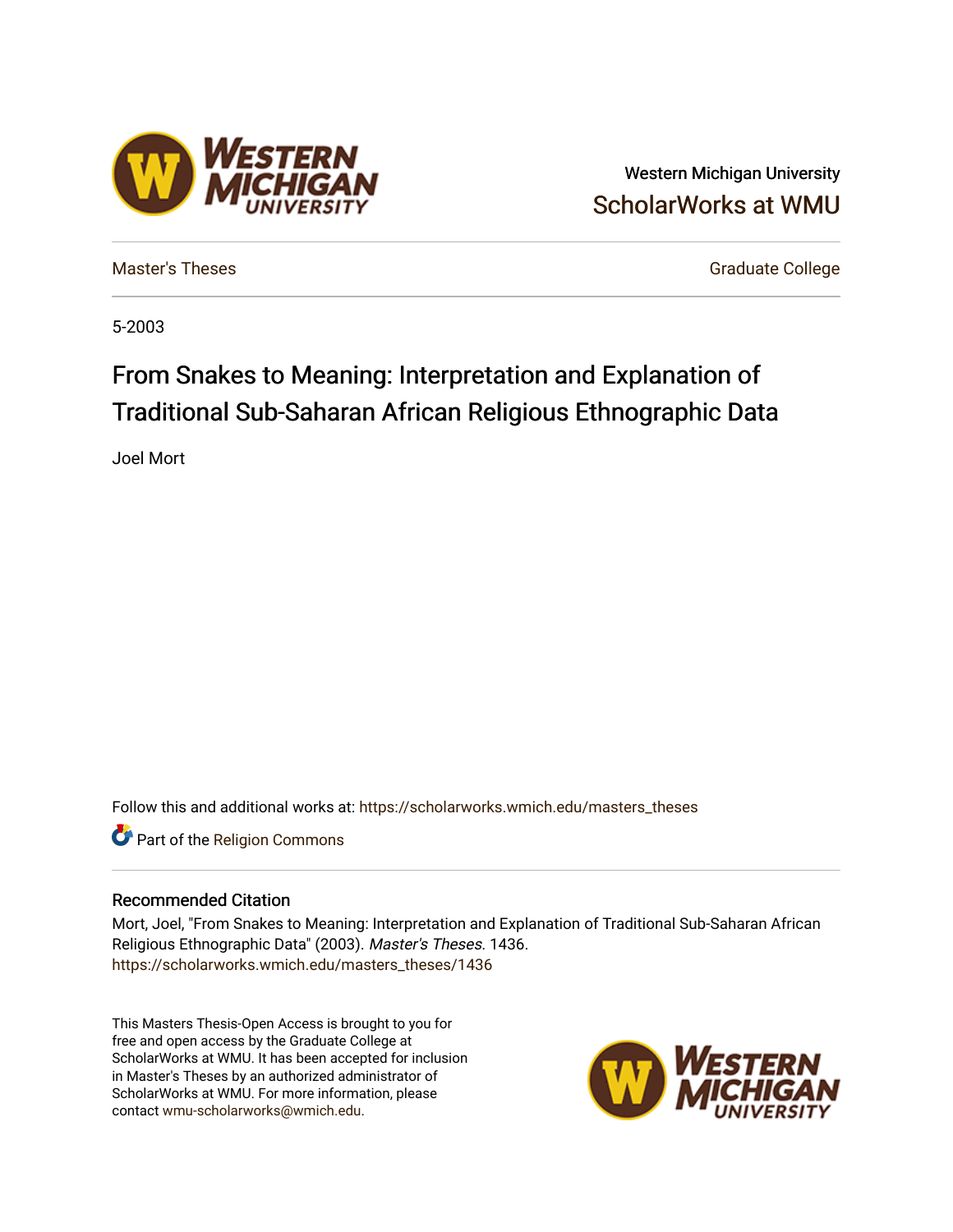# Western Michigan University [ScholarWorks at WMU](https://scholarworks.wmich.edu/)

**ESTERN** 

[Master's Theses](https://scholarworks.wmich.edu/masters_theses) [Graduate College](https://scholarworks.wmich.edu/grad) Controller College College College College College

5-2003

# From Snakes to Meaning: Interpretation and Explanation of Traditional Sub-Saharan African Religious Ethnographic Data

Joel Mort

Follow this and additional works at: [https://scholarworks.wmich.edu/masters\\_theses](https://scholarworks.wmich.edu/masters_theses?utm_source=scholarworks.wmich.edu%2Fmasters_theses%2F1436&utm_medium=PDF&utm_campaign=PDFCoverPages) 

Part of the [Religion Commons](http://network.bepress.com/hgg/discipline/538?utm_source=scholarworks.wmich.edu%2Fmasters_theses%2F1436&utm_medium=PDF&utm_campaign=PDFCoverPages)

#### Recommended Citation

Mort, Joel, "From Snakes to Meaning: Interpretation and Explanation of Traditional Sub-Saharan African Religious Ethnographic Data" (2003). Master's Theses. 1436. [https://scholarworks.wmich.edu/masters\\_theses/1436](https://scholarworks.wmich.edu/masters_theses/1436?utm_source=scholarworks.wmich.edu%2Fmasters_theses%2F1436&utm_medium=PDF&utm_campaign=PDFCoverPages) 

This Masters Thesis-Open Access is brought to you for free and open access by the Graduate College at ScholarWorks at WMU. It has been accepted for inclusion in Master's Theses by an authorized administrator of ScholarWorks at WMU. For more information, please contact [wmu-scholarworks@wmich.edu](mailto:wmu-scholarworks@wmich.edu).

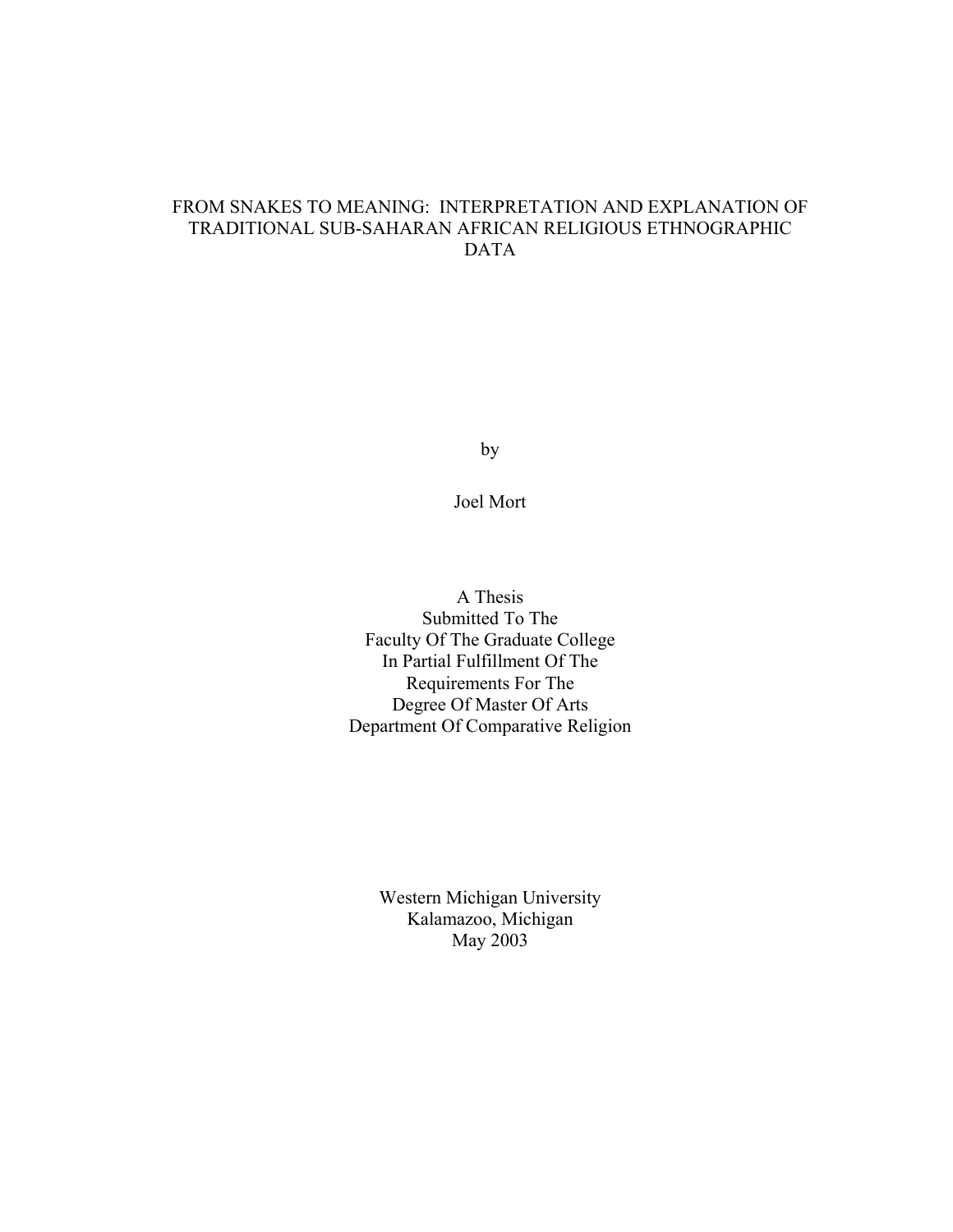## FROM SNAKES TO MEANING: INTERPRETATION AND EXPLANATION OF TRADITIONAL SUB-SAHARAN AFRICAN RELIGIOUS ETHNOGRAPHIC DATA

by

Joel Mort

A Thesis Submitted To The Faculty Of The Graduate College In Partial Fulfillment Of The Requirements For The Degree Of Master Of Arts Department Of Comparative Religion

> Western Michigan University Kalamazoo, Michigan May 2003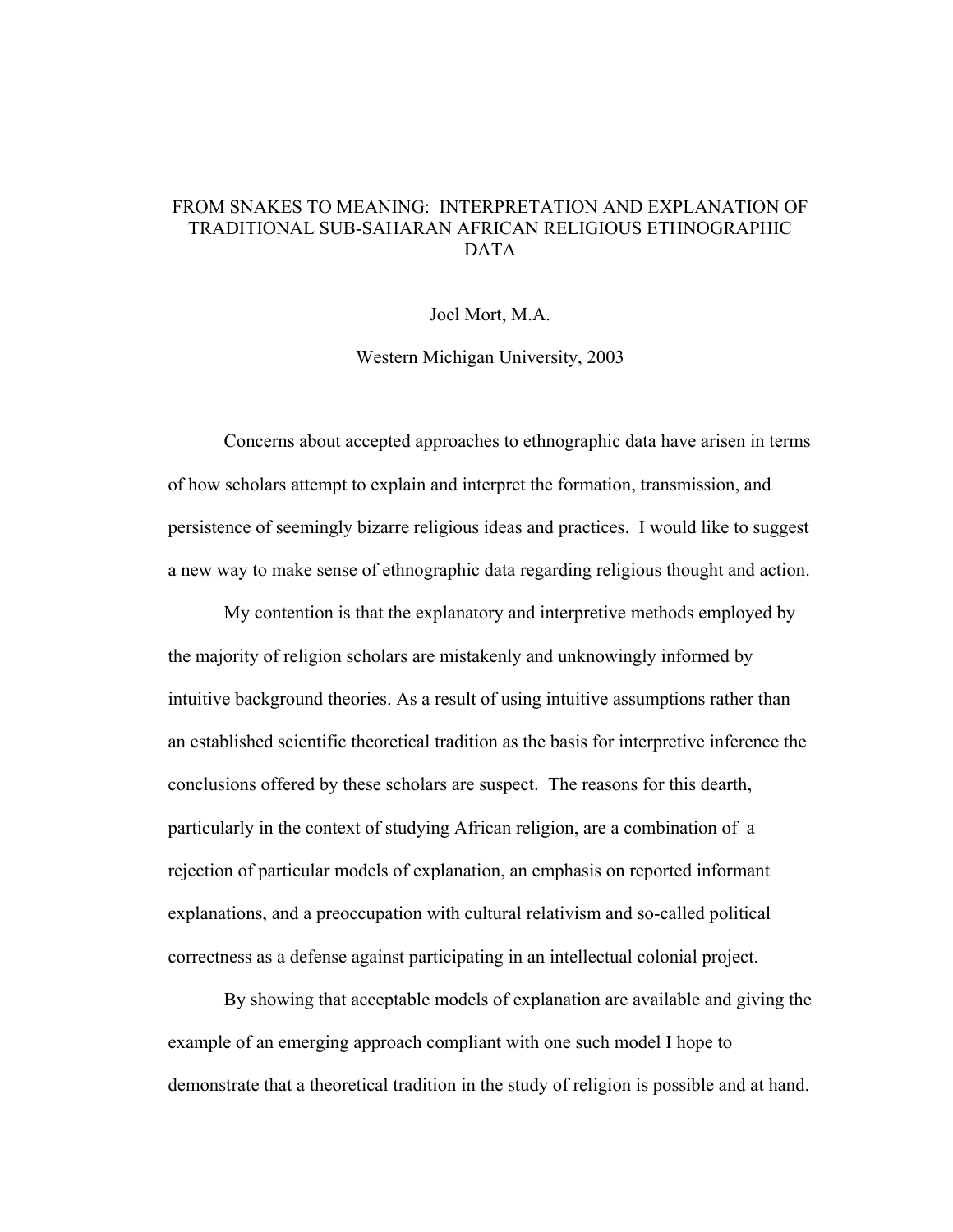## FROM SNAKES TO MEANING: INTERPRETATION AND EXPLANATION OF TRADITIONAL SUB-SAHARAN AFRICAN RELIGIOUS ETHNOGRAPHIC DATA

#### Joel Mort, M.A.

Western Michigan University, 2003

Concerns about accepted approaches to ethnographic data have arisen in terms of how scholars attempt to explain and interpret the formation, transmission, and persistence of seemingly bizarre religious ideas and practices. I would like to suggest a new way to make sense of ethnographic data regarding religious thought and action.

My contention is that the explanatory and interpretive methods employed by the majority of religion scholars are mistakenly and unknowingly informed by intuitive background theories. As a result of using intuitive assumptions rather than an established scientific theoretical tradition as the basis for interpretive inference the conclusions offered by these scholars are suspect. The reasons for this dearth, particularly in the context of studying African religion, are a combination of a rejection of particular models of explanation, an emphasis on reported informant explanations, and a preoccupation with cultural relativism and so-called political correctness as a defense against participating in an intellectual colonial project.

By showing that acceptable models of explanation are available and giving the example of an emerging approach compliant with one such model I hope to demonstrate that a theoretical tradition in the study of religion is possible and at hand.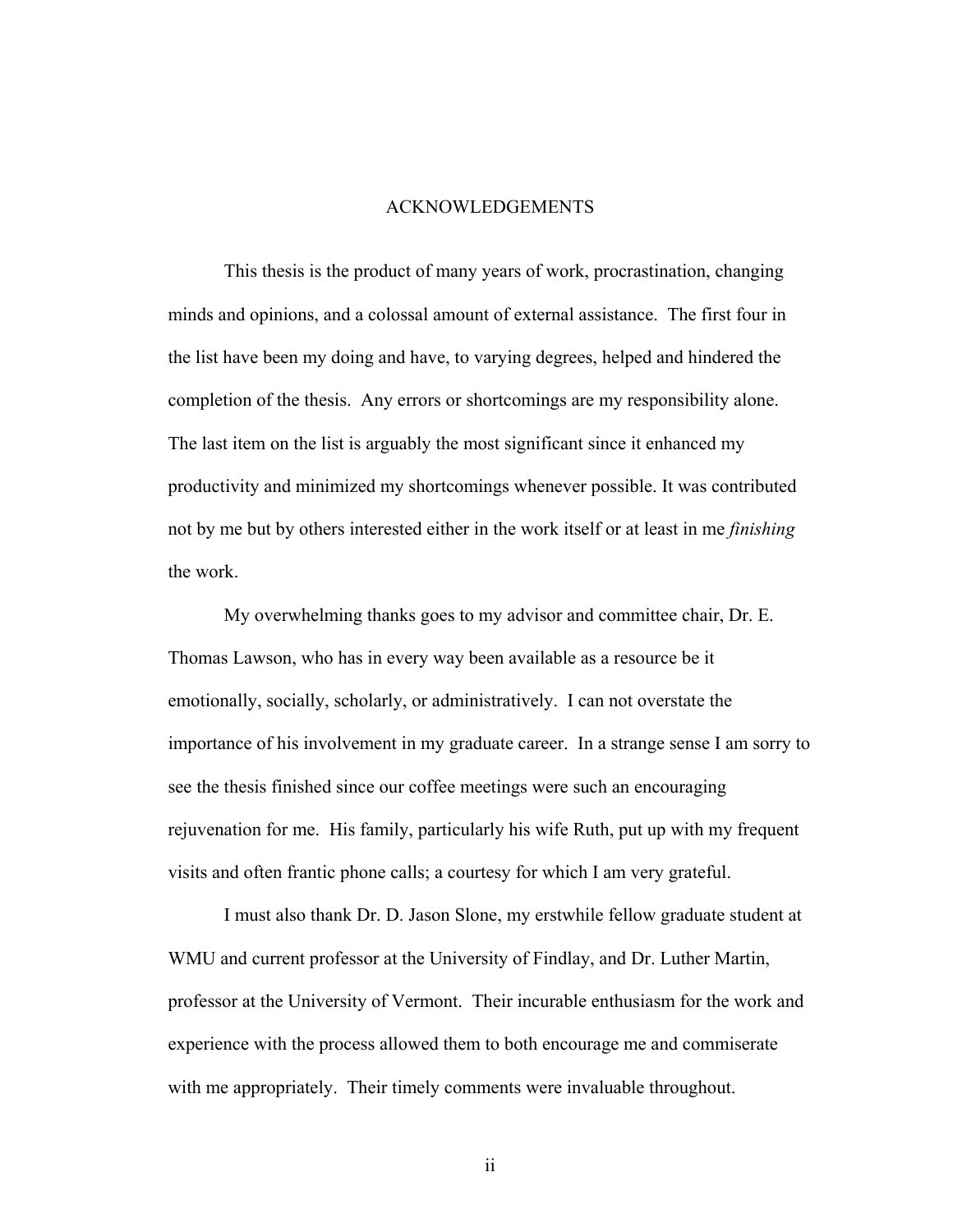#### ACKNOWLEDGEMENTS

This thesis is the product of many years of work, procrastination, changing minds and opinions, and a colossal amount of external assistance. The first four in the list have been my doing and have, to varying degrees, helped and hindered the completion of the thesis. Any errors or shortcomings are my responsibility alone. The last item on the list is arguably the most significant since it enhanced my productivity and minimized my shortcomings whenever possible. It was contributed not by me but by others interested either in the work itself or at least in me *finishing* the work.

My overwhelming thanks goes to my advisor and committee chair, Dr. E. Thomas Lawson, who has in every way been available as a resource be it emotionally, socially, scholarly, or administratively. I can not overstate the importance of his involvement in my graduate career. In a strange sense I am sorry to see the thesis finished since our coffee meetings were such an encouraging rejuvenation for me. His family, particularly his wife Ruth, put up with my frequent visits and often frantic phone calls; a courtesy for which I am very grateful.

I must also thank Dr. D. Jason Slone, my erstwhile fellow graduate student at WMU and current professor at the University of Findlay, and Dr. Luther Martin, professor at the University of Vermont. Their incurable enthusiasm for the work and experience with the process allowed them to both encourage me and commiserate with me appropriately. Their timely comments were invaluable throughout.

ii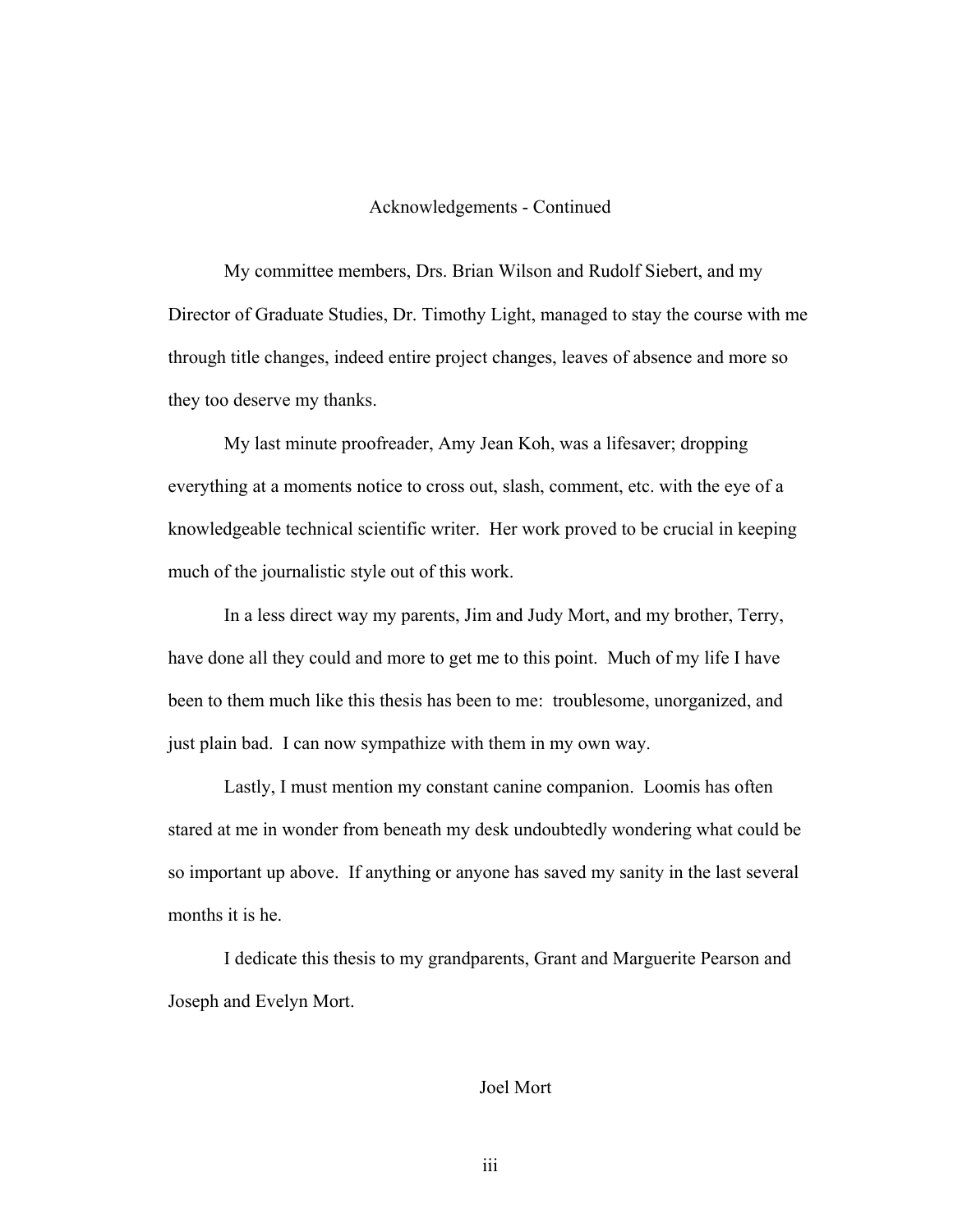#### Acknowledgements - Continued

My committee members, Drs. Brian Wilson and Rudolf Siebert, and my Director of Graduate Studies, Dr. Timothy Light, managed to stay the course with me through title changes, indeed entire project changes, leaves of absence and more so they too deserve my thanks.

My last minute proofreader, Amy Jean Koh, was a lifesaver; dropping everything at a moments notice to cross out, slash, comment, etc. with the eye of a knowledgeable technical scientific writer. Her work proved to be crucial in keeping much of the journalistic style out of this work.

In a less direct way my parents, Jim and Judy Mort, and my brother, Terry, have done all they could and more to get me to this point. Much of my life I have been to them much like this thesis has been to me: troublesome, unorganized, and just plain bad. I can now sympathize with them in my own way.

Lastly, I must mention my constant canine companion. Loomis has often stared at me in wonder from beneath my desk undoubtedly wondering what could be so important up above. If anything or anyone has saved my sanity in the last several months it is he.

I dedicate this thesis to my grandparents, Grant and Marguerite Pearson and Joseph and Evelyn Mort.

## Joel Mort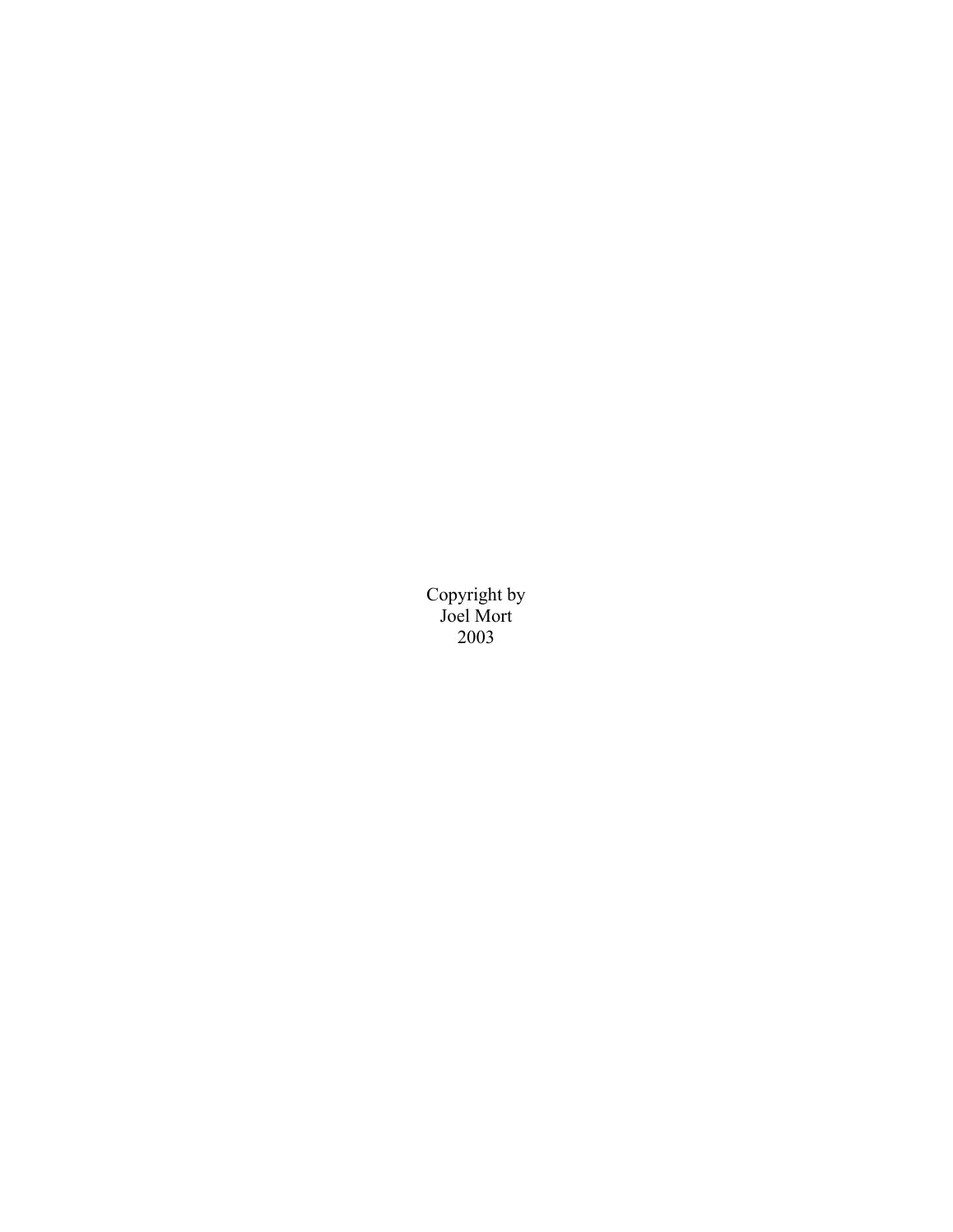Copyright by Joel Mort 2003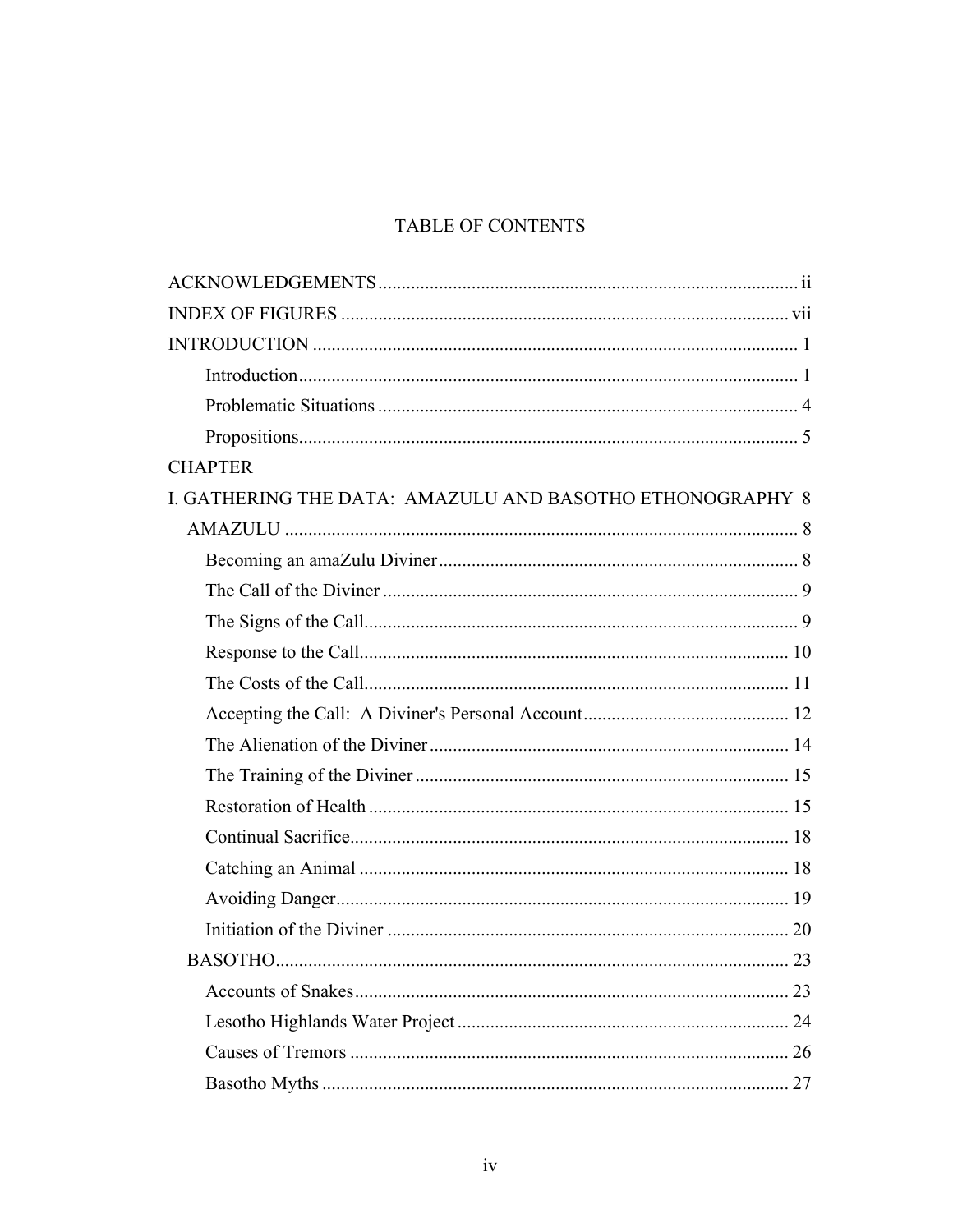# TABLE OF CONTENTS

| <b>CHAPTER</b>                                            |    |
|-----------------------------------------------------------|----|
| I. GATHERING THE DATA: AMAZULU AND BASOTHO ETHONOGRAPHY 8 |    |
|                                                           |    |
|                                                           |    |
|                                                           |    |
|                                                           |    |
|                                                           |    |
|                                                           |    |
|                                                           |    |
|                                                           |    |
|                                                           |    |
|                                                           |    |
|                                                           |    |
|                                                           |    |
|                                                           |    |
|                                                           |    |
|                                                           |    |
|                                                           | 23 |
|                                                           | 24 |
|                                                           |    |
|                                                           |    |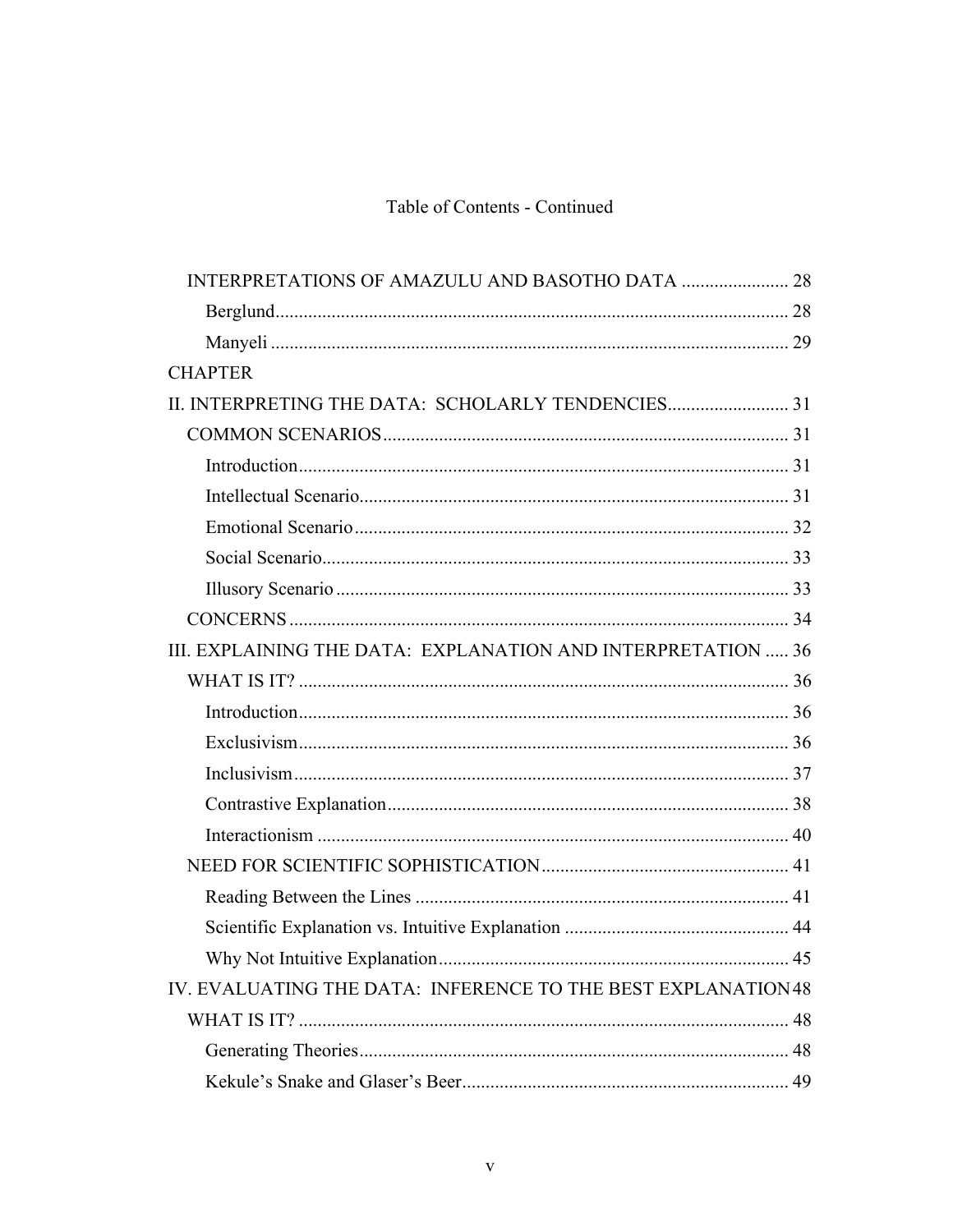# Table of Contents - Continued

| INTERPRETATIONS OF AMAZULU AND BASOTHO DATA  28               |    |
|---------------------------------------------------------------|----|
|                                                               |    |
|                                                               |    |
| <b>CHAPTER</b>                                                |    |
| II. INTERPRETING THE DATA: SCHOLARLY TENDENCIES 31            |    |
|                                                               |    |
|                                                               |    |
|                                                               |    |
|                                                               |    |
|                                                               |    |
|                                                               |    |
|                                                               |    |
| III. EXPLAINING THE DATA: EXPLANATION AND INTERPRETATION  36  |    |
|                                                               |    |
|                                                               |    |
|                                                               |    |
|                                                               |    |
|                                                               |    |
|                                                               |    |
|                                                               |    |
|                                                               |    |
|                                                               |    |
|                                                               |    |
| IV. EVALUATING THE DATA: INFERENCE TO THE BEST EXPLANATION 48 |    |
|                                                               | 48 |
|                                                               |    |
|                                                               |    |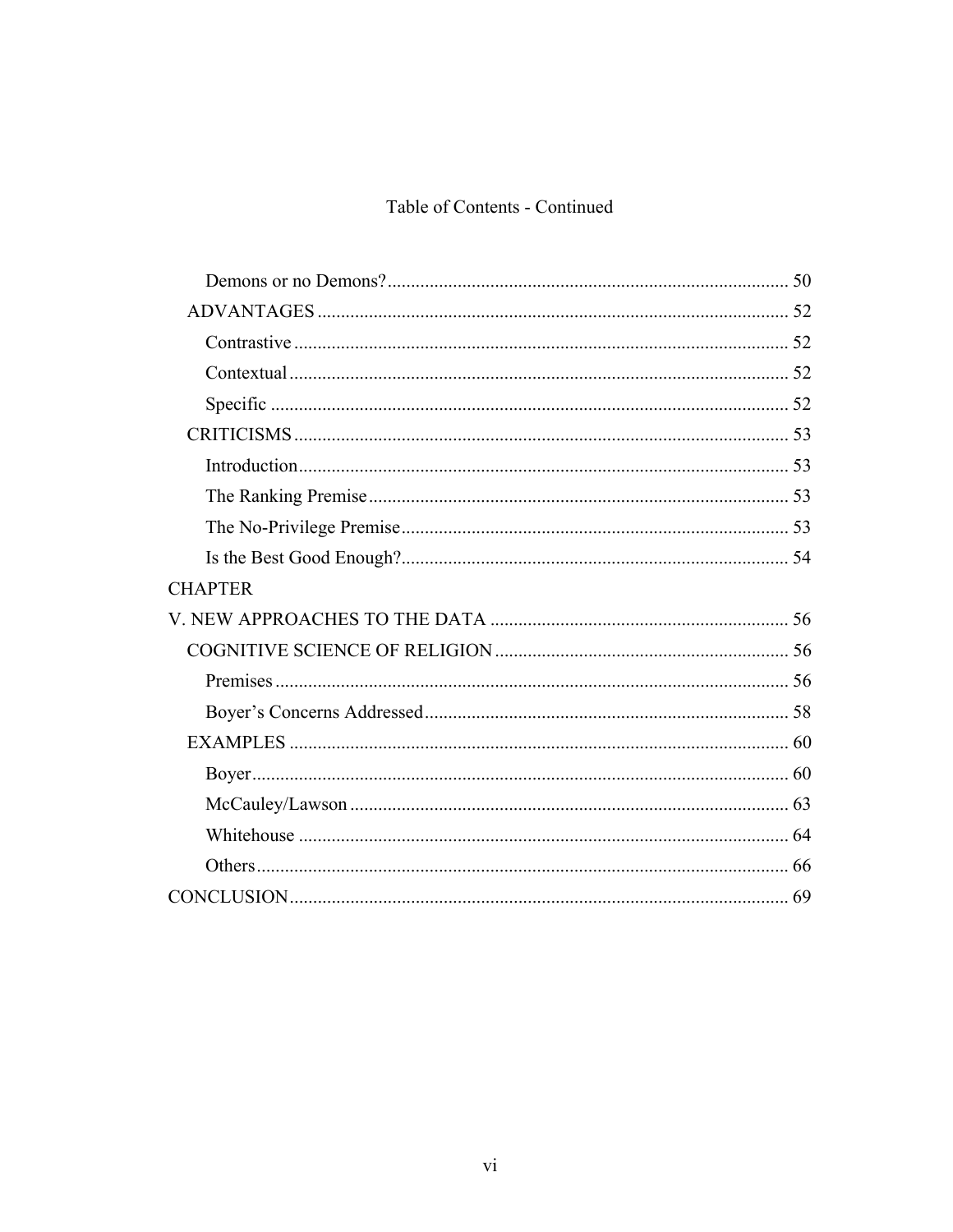# Table of Contents - Continued

| <b>CHAPTER</b> |  |
|----------------|--|
|                |  |
|                |  |
|                |  |
|                |  |
|                |  |
|                |  |
|                |  |
|                |  |
|                |  |
|                |  |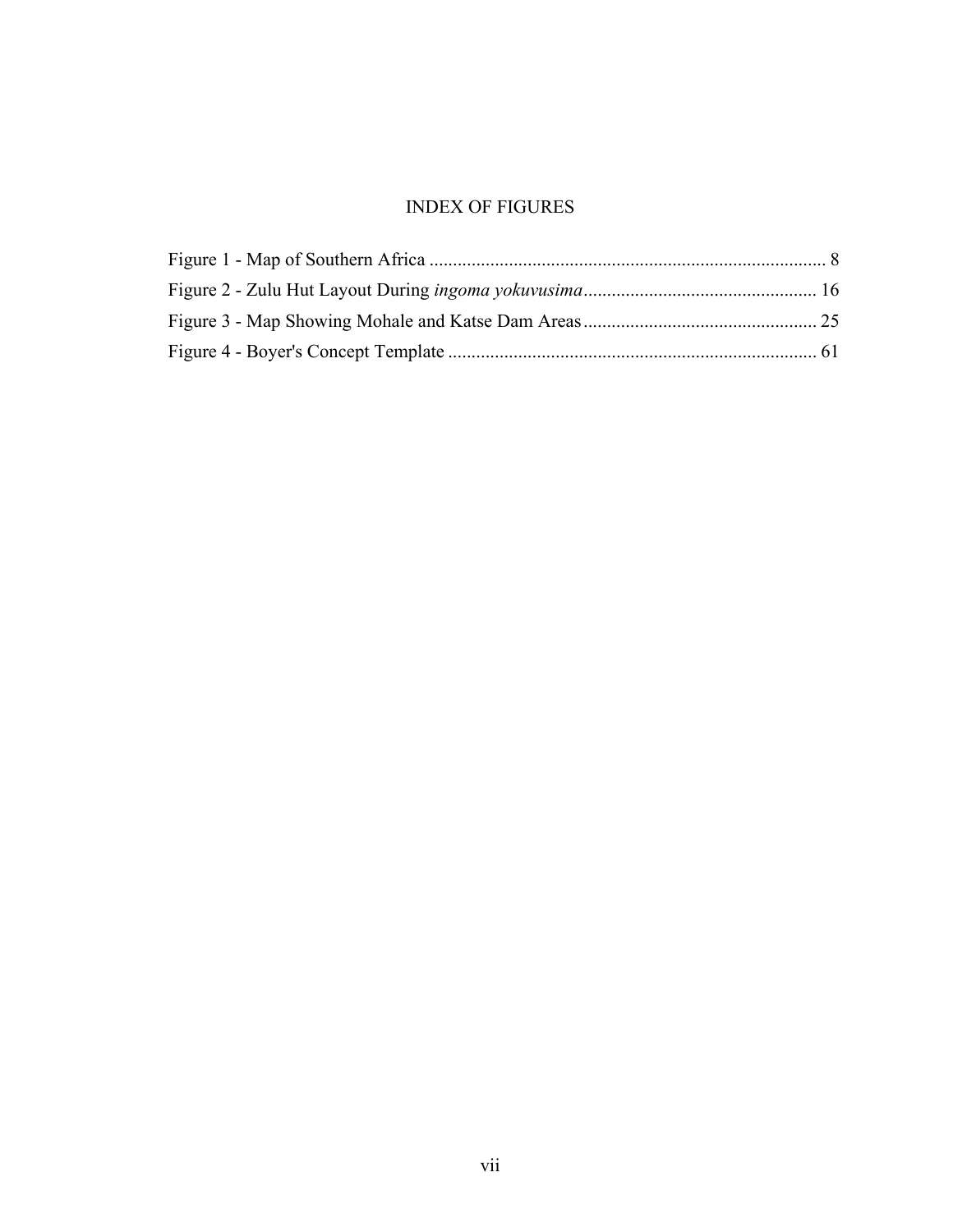# INDEX OF FIGURES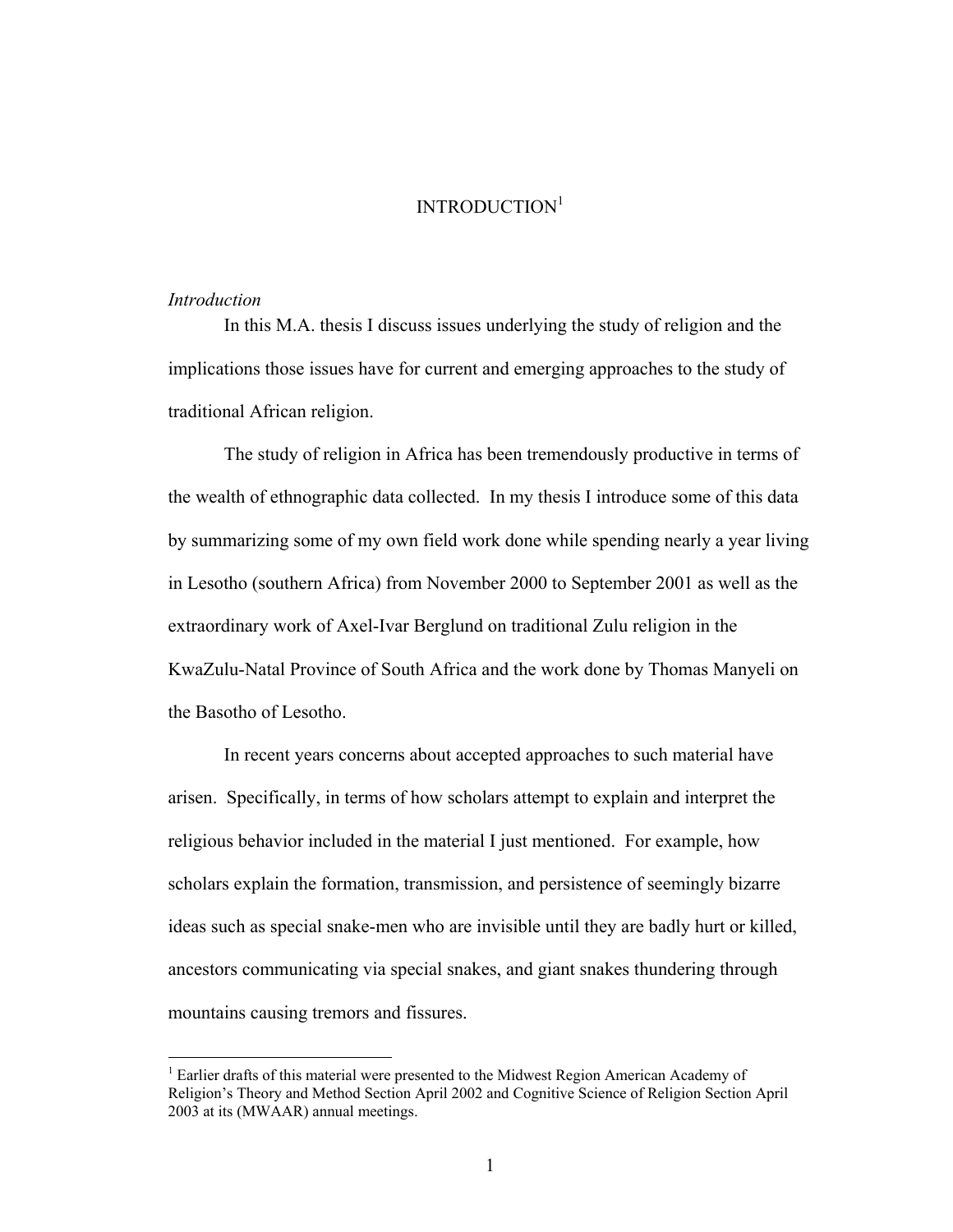# INTRODUCTION<sup>[1](#page-10-0)</sup>

#### *Introduction*

1

In this M.A. thesis I discuss issues underlying the study of religion and the implications those issues have for current and emerging approaches to the study of traditional African religion.

The study of religion in Africa has been tremendously productive in terms of the wealth of ethnographic data collected. In my thesis I introduce some of this data by summarizing some of my own field work done while spending nearly a year living in Lesotho (southern Africa) from November 2000 to September 2001 as well as the extraordinary work of Axel-Ivar Berglund on traditional Zulu religion in the KwaZulu-Natal Province of South Africa and the work done by Thomas Manyeli on the Basotho of Lesotho.

In recent years concerns about accepted approaches to such material have arisen. Specifically, in terms of how scholars attempt to explain and interpret the religious behavior included in the material I just mentioned. For example, how scholars explain the formation, transmission, and persistence of seemingly bizarre ideas such as special snake-men who are invisible until they are badly hurt or killed, ancestors communicating via special snakes, and giant snakes thundering through mountains causing tremors and fissures.

<span id="page-10-0"></span><sup>&</sup>lt;sup>1</sup> Earlier drafts of this material were presented to the Midwest Region American Academy of Religion's Theory and Method Section April 2002 and Cognitive Science of Religion Section April 2003 at its (MWAAR) annual meetings.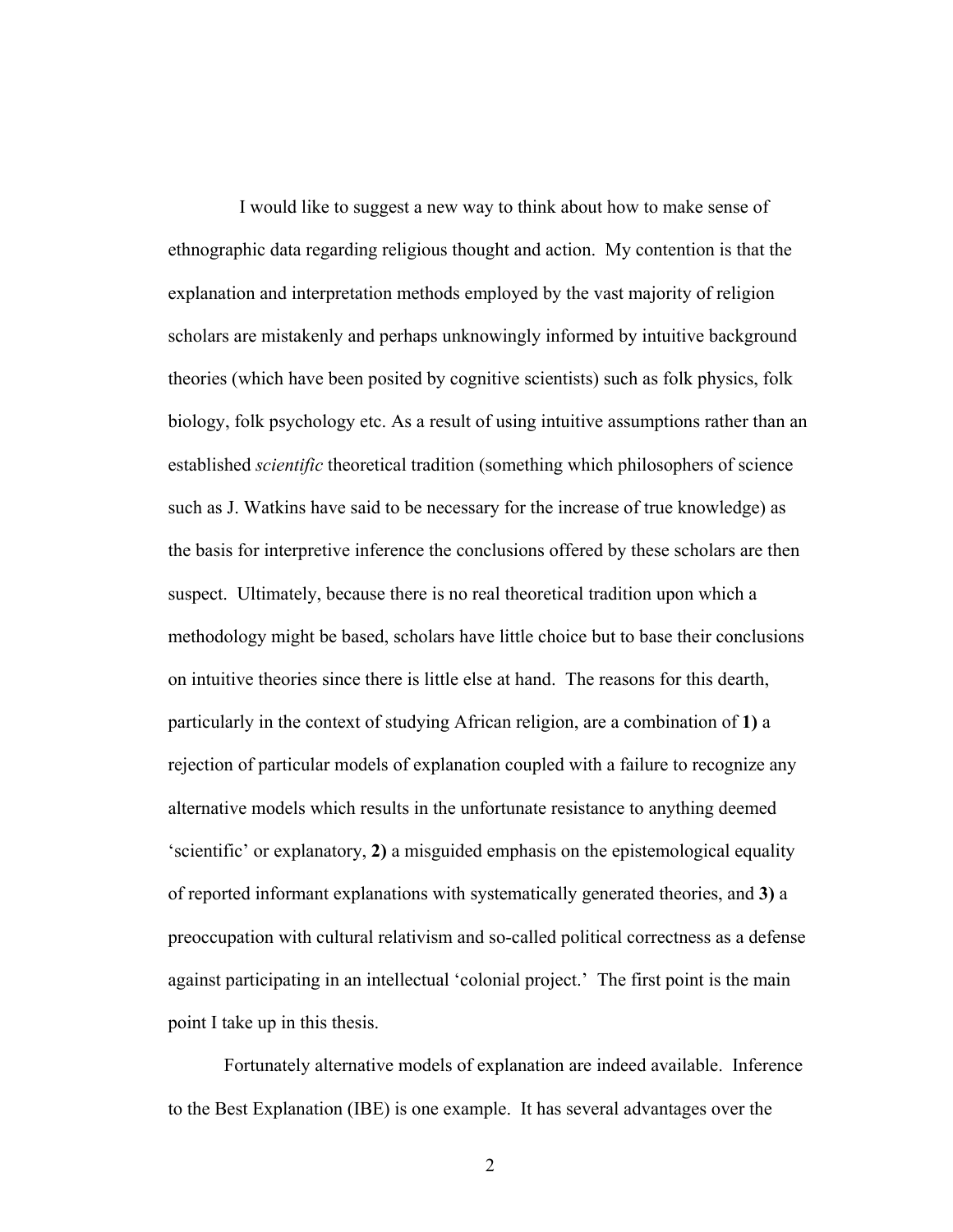I would like to suggest a new way to think about how to make sense of ethnographic data regarding religious thought and action. My contention is that the explanation and interpretation methods employed by the vast majority of religion scholars are mistakenly and perhaps unknowingly informed by intuitive background theories (which have been posited by cognitive scientists) such as folk physics, folk biology, folk psychology etc. As a result of using intuitive assumptions rather than an established *scientific* theoretical tradition (something which philosophers of science such as J. Watkins have said to be necessary for the increase of true knowledge) as the basis for interpretive inference the conclusions offered by these scholars are then suspect. Ultimately, because there is no real theoretical tradition upon which a methodology might be based, scholars have little choice but to base their conclusions on intuitive theories since there is little else at hand. The reasons for this dearth, particularly in the context of studying African religion, are a combination of **1)** a rejection of particular models of explanation coupled with a failure to recognize any alternative models which results in the unfortunate resistance to anything deemed 'scientific' or explanatory, **2)** a misguided emphasis on the epistemological equality of reported informant explanations with systematically generated theories, and **3)** a preoccupation with cultural relativism and so-called political correctness as a defense against participating in an intellectual 'colonial project.' The first point is the main point I take up in this thesis.

Fortunately alternative models of explanation are indeed available. Inference to the Best Explanation (IBE) is one example. It has several advantages over the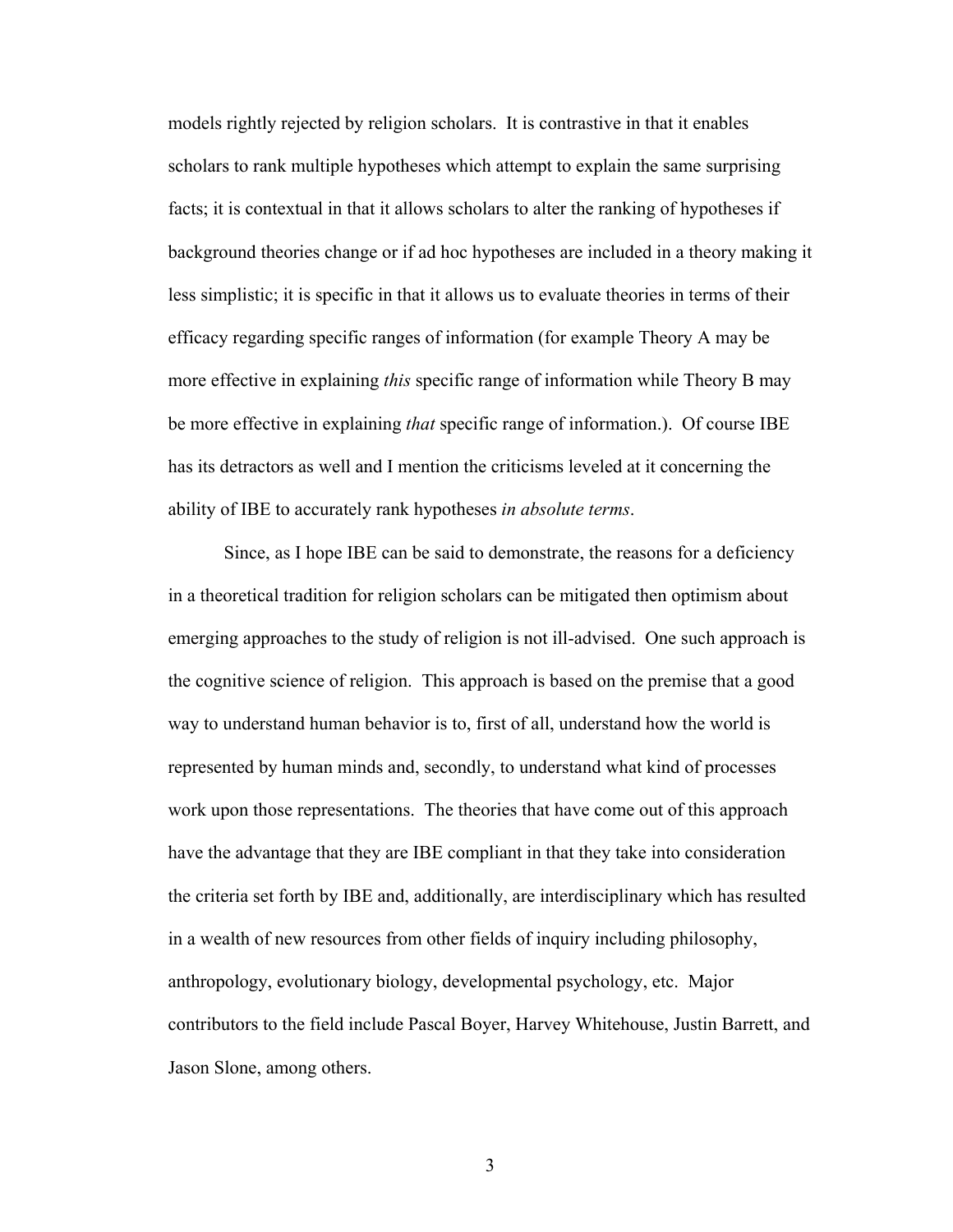models rightly rejected by religion scholars. It is contrastive in that it enables scholars to rank multiple hypotheses which attempt to explain the same surprising facts; it is contextual in that it allows scholars to alter the ranking of hypotheses if background theories change or if ad hoc hypotheses are included in a theory making it less simplistic; it is specific in that it allows us to evaluate theories in terms of their efficacy regarding specific ranges of information (for example Theory A may be more effective in explaining *this* specific range of information while Theory B may be more effective in explaining *that* specific range of information.). Of course IBE has its detractors as well and I mention the criticisms leveled at it concerning the ability of IBE to accurately rank hypotheses *in absolute terms*.

Since, as I hope IBE can be said to demonstrate, the reasons for a deficiency in a theoretical tradition for religion scholars can be mitigated then optimism about emerging approaches to the study of religion is not ill-advised. One such approach is the cognitive science of religion. This approach is based on the premise that a good way to understand human behavior is to, first of all, understand how the world is represented by human minds and, secondly, to understand what kind of processes work upon those representations. The theories that have come out of this approach have the advantage that they are IBE compliant in that they take into consideration the criteria set forth by IBE and, additionally, are interdisciplinary which has resulted in a wealth of new resources from other fields of inquiry including philosophy, anthropology, evolutionary biology, developmental psychology, etc. Major contributors to the field include Pascal Boyer, Harvey Whitehouse, Justin Barrett, and Jason Slone, among others.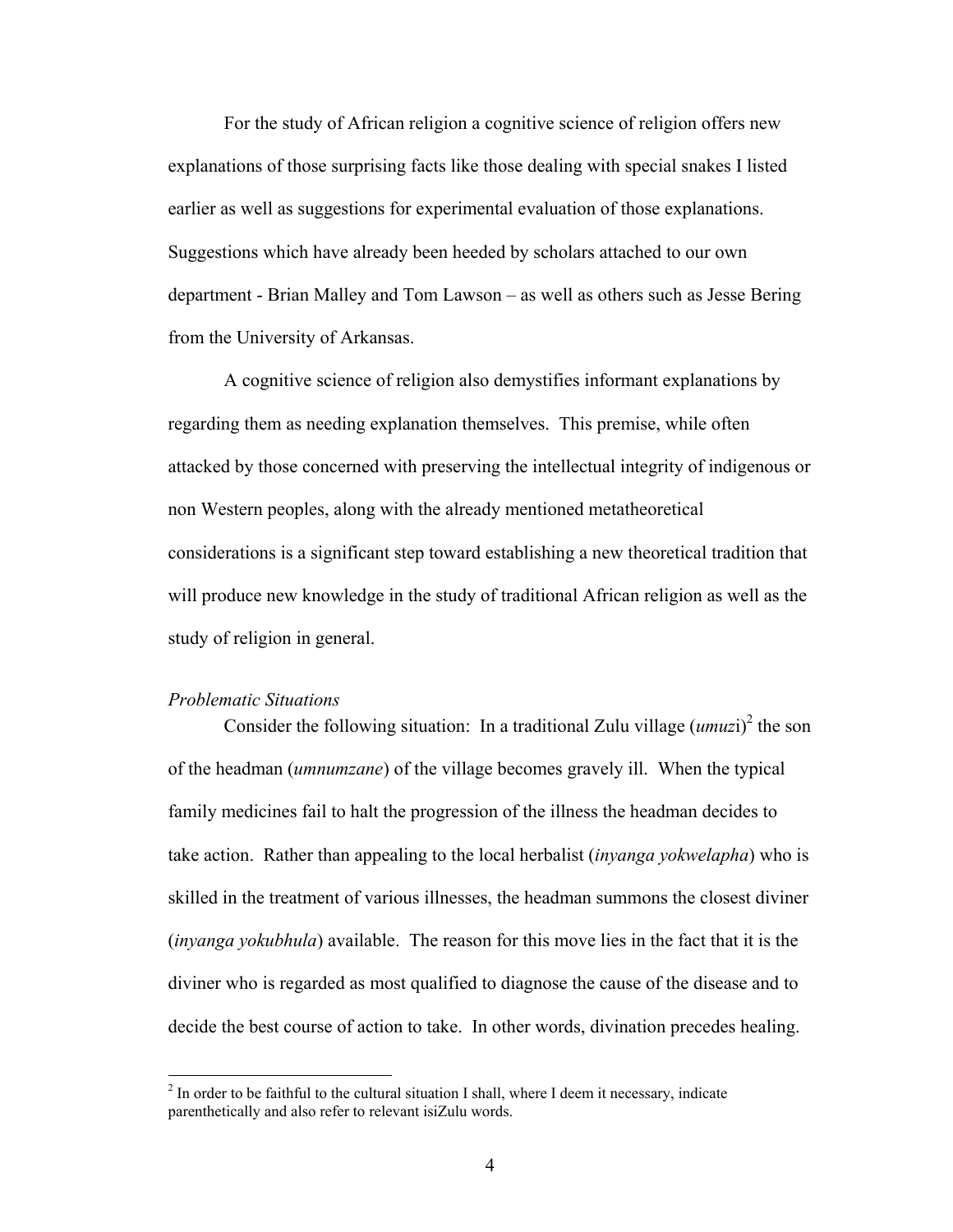For the study of African religion a cognitive science of religion offers new explanations of those surprising facts like those dealing with special snakes I listed earlier as well as suggestions for experimental evaluation of those explanations. Suggestions which have already been heeded by scholars attached to our own department - Brian Malley and Tom Lawson – as well as others such as Jesse Bering from the University of Arkansas.

A cognitive science of religion also demystifies informant explanations by regarding them as needing explanation themselves. This premise, while often attacked by those concerned with preserving the intellectual integrity of indigenous or non Western peoples, along with the already mentioned metatheoretical considerations is a significant step toward establishing a new theoretical tradition that will produce new knowledge in the study of traditional African religion as well as the study of religion in general.

#### *Problematic Situations*

 $\overline{a}$ 

Consider the following situation: In a traditional Zulu village  $(umuzi)^2$  $(umuzi)^2$  the son of the headman (*umnumzane*) of the village becomes gravely ill. When the typical family medicines fail to halt the progression of the illness the headman decides to take action. Rather than appealing to the local herbalist (*inyanga yokwelapha*) who is skilled in the treatment of various illnesses, the headman summons the closest diviner (*inyanga yokubhula*) available. The reason for this move lies in the fact that it is the diviner who is regarded as most qualified to diagnose the cause of the disease and to decide the best course of action to take. In other words, divination precedes healing.

<span id="page-13-0"></span> $2$  In order to be faithful to the cultural situation I shall, where I deem it necessary, indicate parenthetically and also refer to relevant isiZulu words.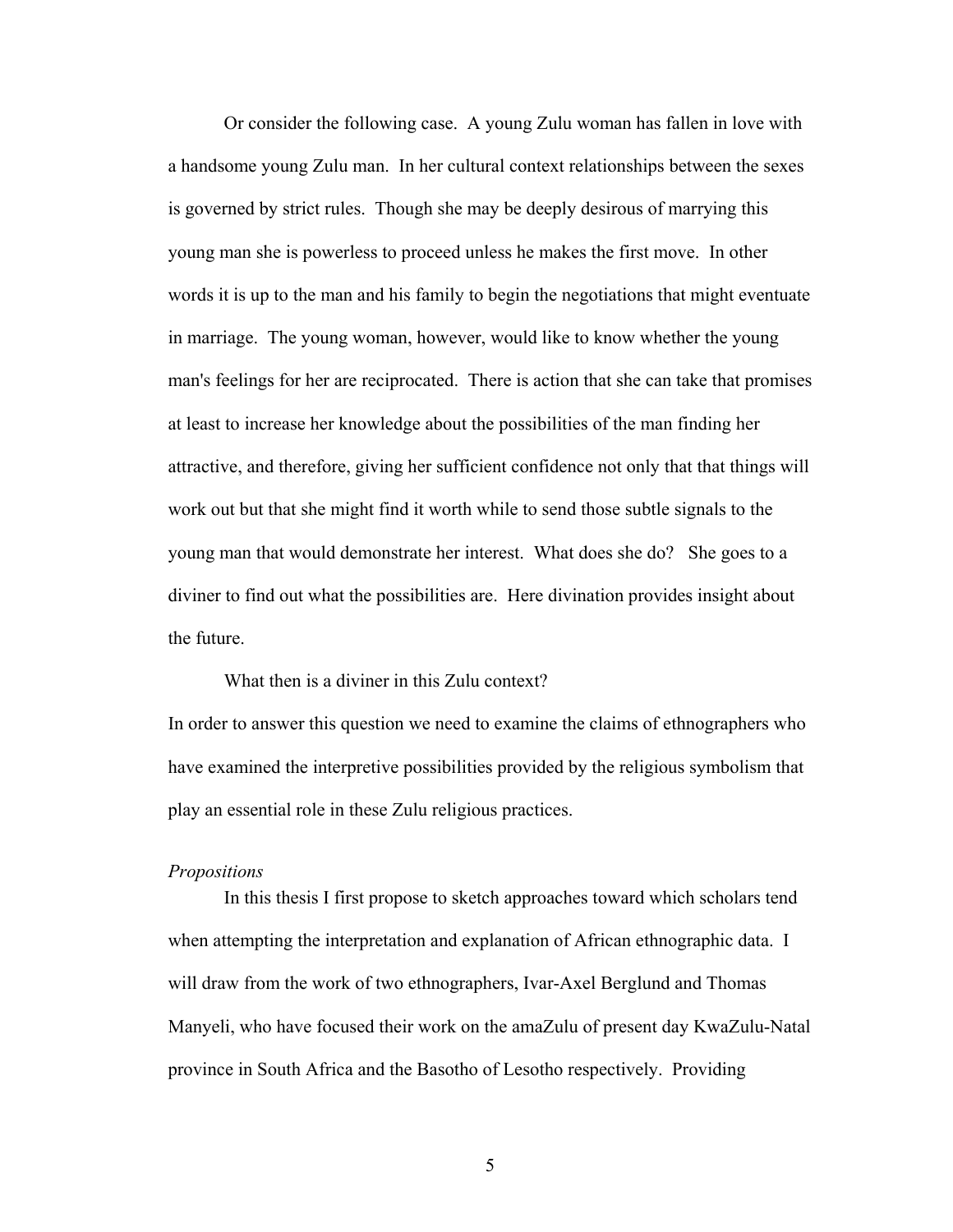Or consider the following case. A young Zulu woman has fallen in love with a handsome young Zulu man. In her cultural context relationships between the sexes is governed by strict rules. Though she may be deeply desirous of marrying this young man she is powerless to proceed unless he makes the first move. In other words it is up to the man and his family to begin the negotiations that might eventuate in marriage. The young woman, however, would like to know whether the young man's feelings for her are reciprocated. There is action that she can take that promises at least to increase her knowledge about the possibilities of the man finding her attractive, and therefore, giving her sufficient confidence not only that that things will work out but that she might find it worth while to send those subtle signals to the young man that would demonstrate her interest. What does she do? She goes to a diviner to find out what the possibilities are. Here divination provides insight about the future.

What then is a diviner in this Zulu context?

In order to answer this question we need to examine the claims of ethnographers who have examined the interpretive possibilities provided by the religious symbolism that play an essential role in these Zulu religious practices.

#### *Propositions*

In this thesis I first propose to sketch approaches toward which scholars tend when attempting the interpretation and explanation of African ethnographic data. I will draw from the work of two ethnographers, Ivar-Axel Berglund and Thomas Manyeli, who have focused their work on the amaZulu of present day KwaZulu-Natal province in South Africa and the Basotho of Lesotho respectively. Providing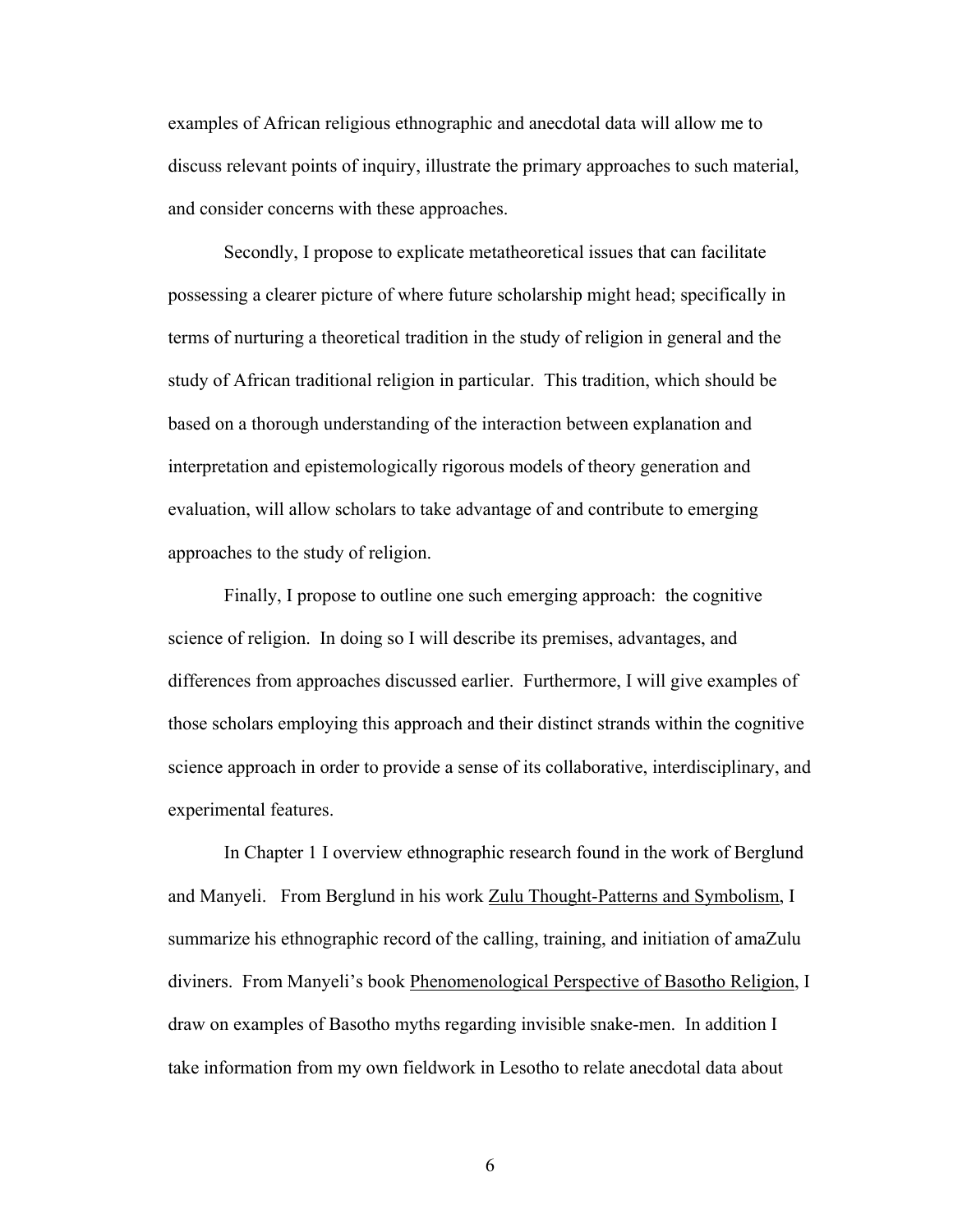examples of African religious ethnographic and anecdotal data will allow me to discuss relevant points of inquiry, illustrate the primary approaches to such material, and consider concerns with these approaches.

Secondly, I propose to explicate metatheoretical issues that can facilitate possessing a clearer picture of where future scholarship might head; specifically in terms of nurturing a theoretical tradition in the study of religion in general and the study of African traditional religion in particular. This tradition, which should be based on a thorough understanding of the interaction between explanation and interpretation and epistemologically rigorous models of theory generation and evaluation, will allow scholars to take advantage of and contribute to emerging approaches to the study of religion.

Finally, I propose to outline one such emerging approach: the cognitive science of religion. In doing so I will describe its premises, advantages, and differences from approaches discussed earlier. Furthermore, I will give examples of those scholars employing this approach and their distinct strands within the cognitive science approach in order to provide a sense of its collaborative, interdisciplinary, and experimental features.

In Chapter 1 I overview ethnographic research found in the work of Berglund and Manyeli. From Berglund in his work Zulu Thought-Patterns and Symbolism, I summarize his ethnographic record of the calling, training, and initiation of amaZulu diviners. From Manyeli's book Phenomenological Perspective of Basotho Religion, I draw on examples of Basotho myths regarding invisible snake-men. In addition I take information from my own fieldwork in Lesotho to relate anecdotal data about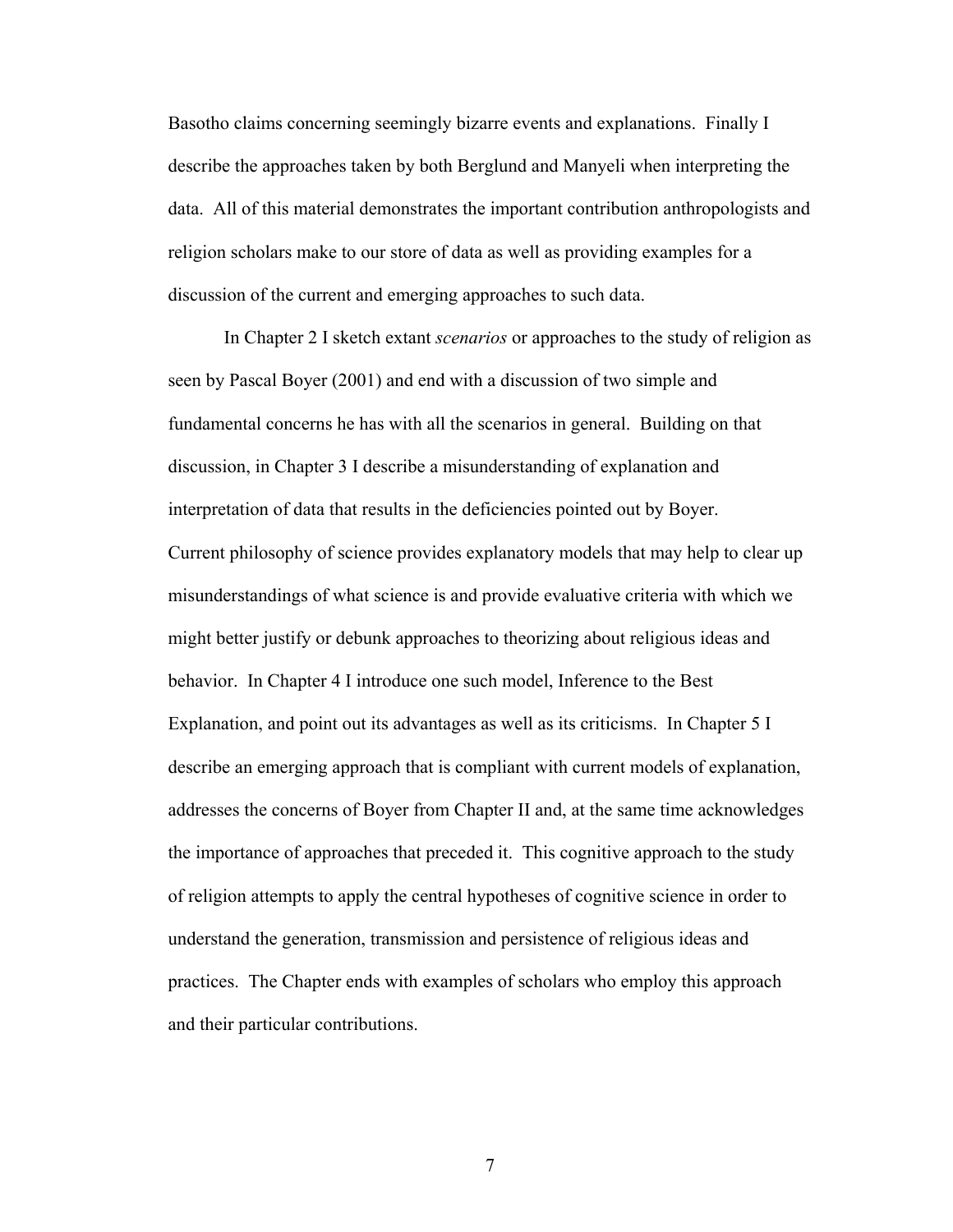Basotho claims concerning seemingly bizarre events and explanations. Finally I describe the approaches taken by both Berglund and Manyeli when interpreting the data. All of this material demonstrates the important contribution anthropologists and religion scholars make to our store of data as well as providing examples for a discussion of the current and emerging approaches to such data.

In Chapter 2 I sketch extant *scenarios* or approaches to the study of religion as seen by Pascal Boyer (2001) and end with a discussion of two simple and fundamental concerns he has with all the scenarios in general. Building on that discussion, in Chapter 3 I describe a misunderstanding of explanation and interpretation of data that results in the deficiencies pointed out by Boyer. Current philosophy of science provides explanatory models that may help to clear up misunderstandings of what science is and provide evaluative criteria with which we might better justify or debunk approaches to theorizing about religious ideas and behavior. In Chapter 4 I introduce one such model, Inference to the Best Explanation, and point out its advantages as well as its criticisms. In Chapter 5 I describe an emerging approach that is compliant with current models of explanation, addresses the concerns of Boyer from Chapter II and, at the same time acknowledges the importance of approaches that preceded it. This cognitive approach to the study of religion attempts to apply the central hypotheses of cognitive science in order to understand the generation, transmission and persistence of religious ideas and practices. The Chapter ends with examples of scholars who employ this approach and their particular contributions.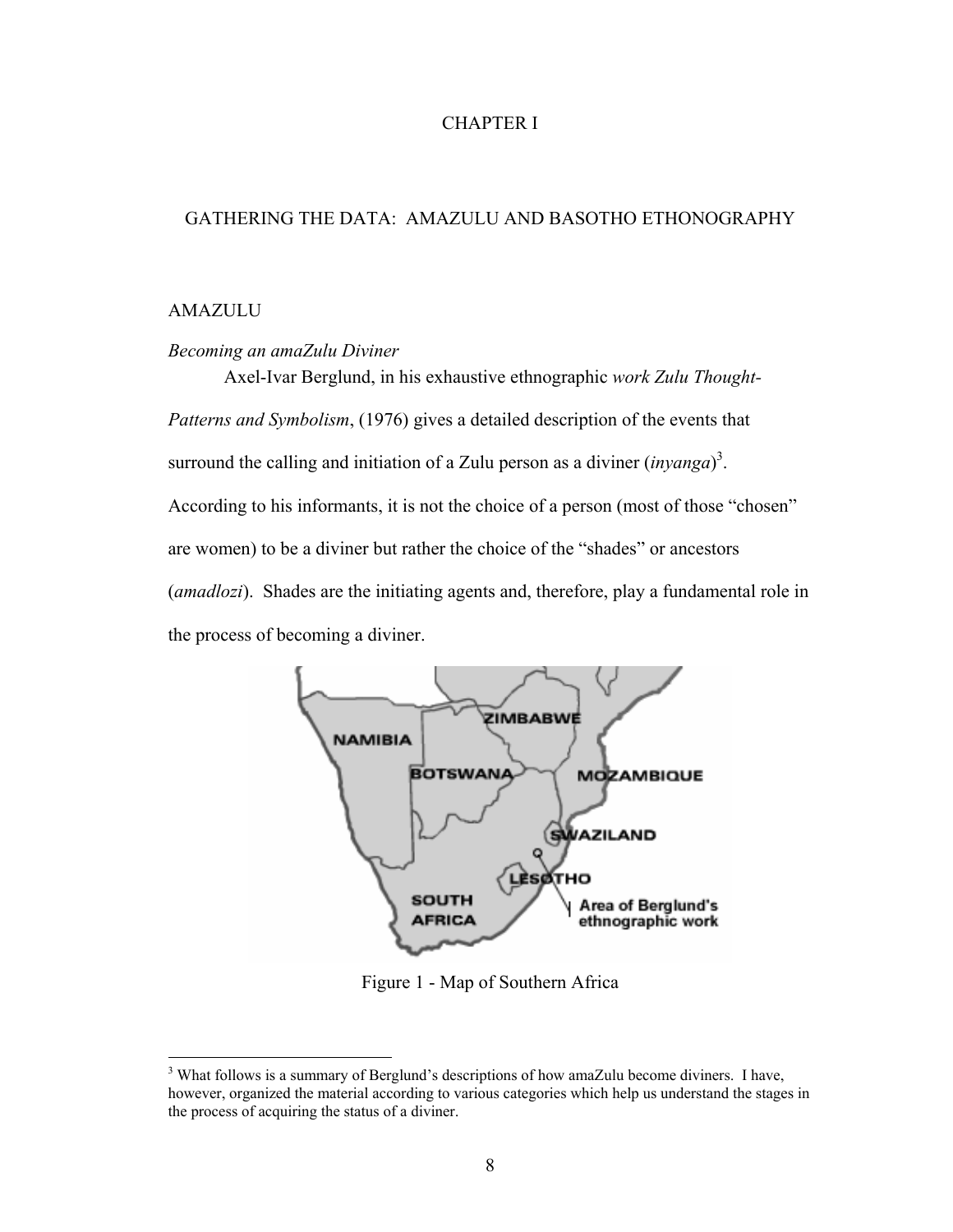## CHAPTER I

#### GATHERING THE DATA: AMAZULU AND BASOTHO ETHONOGRAPHY

#### AMAZULU

 $\overline{a}$ 

#### *Becoming an amaZulu Diviner*

Axel-Ivar Berglund, in his exhaustive ethnographic *work Zulu Thought-Patterns and Symbolism*, (1976) gives a detailed description of the events that surround the calling and initiation of a Zulu person as a diviner  $(inyanga)^3$  $(inyanga)^3$ . According to his informants, it is not the choice of a person (most of those "chosen" are women) to be a diviner but rather the choice of the "shades" or ancestors (*amadlozi*). Shades are the initiating agents and, therefore, play a fundamental role in the process of becoming a diviner.



Figure 1 - Map of Southern Africa

<span id="page-17-0"></span><sup>&</sup>lt;sup>3</sup> What follows is a summary of Berglund's descriptions of how amaZulu become diviners. I have, however, organized the material according to various categories which help us understand the stages in the process of acquiring the status of a diviner.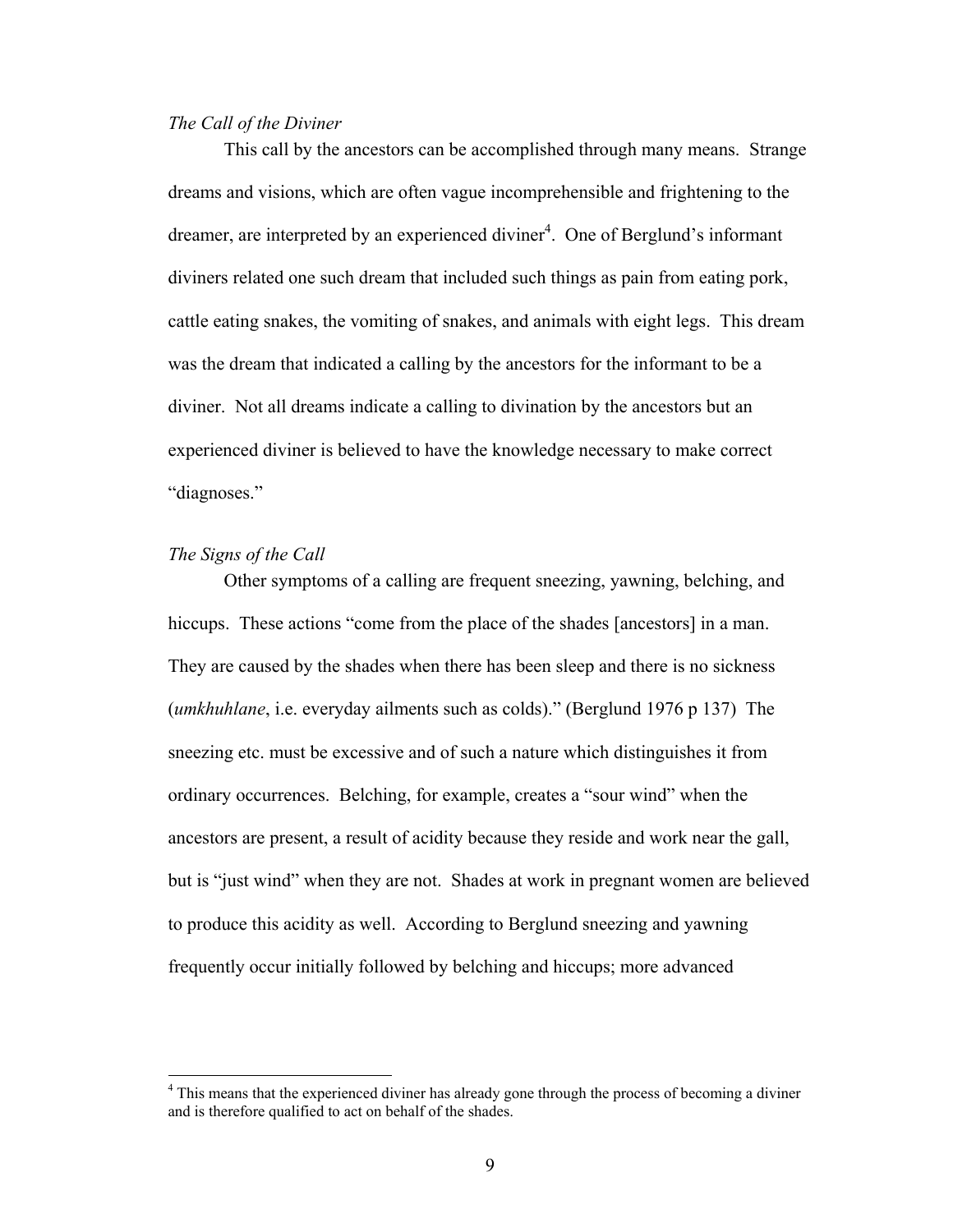#### *The Call of the Diviner*

This call by the ancestors can be accomplished through many means. Strange dreams and visions, which are often vague incomprehensible and frightening to the dreamer, are interpreted by an experienced diviner<sup>[4](#page-18-0)</sup>. One of Berglund's informant diviners related one such dream that included such things as pain from eating pork, cattle eating snakes, the vomiting of snakes, and animals with eight legs. This dream was the dream that indicated a calling by the ancestors for the informant to be a diviner. Not all dreams indicate a calling to divination by the ancestors but an experienced diviner is believed to have the knowledge necessary to make correct "diagnoses."

#### *The Signs of the Call*

1

Other symptoms of a calling are frequent sneezing, yawning, belching, and hiccups. These actions "come from the place of the shades [ancestors] in a man. They are caused by the shades when there has been sleep and there is no sickness (*umkhuhlane*, i.e. everyday ailments such as colds)." (Berglund 1976 p 137) The sneezing etc. must be excessive and of such a nature which distinguishes it from ordinary occurrences. Belching, for example, creates a "sour wind" when the ancestors are present, a result of acidity because they reside and work near the gall, but is "just wind" when they are not. Shades at work in pregnant women are believed to produce this acidity as well. According to Berglund sneezing and yawning frequently occur initially followed by belching and hiccups; more advanced

<span id="page-18-0"></span><sup>&</sup>lt;sup>4</sup> This means that the experienced diviner has already gone through the process of becoming a diviner and is therefore qualified to act on behalf of the shades.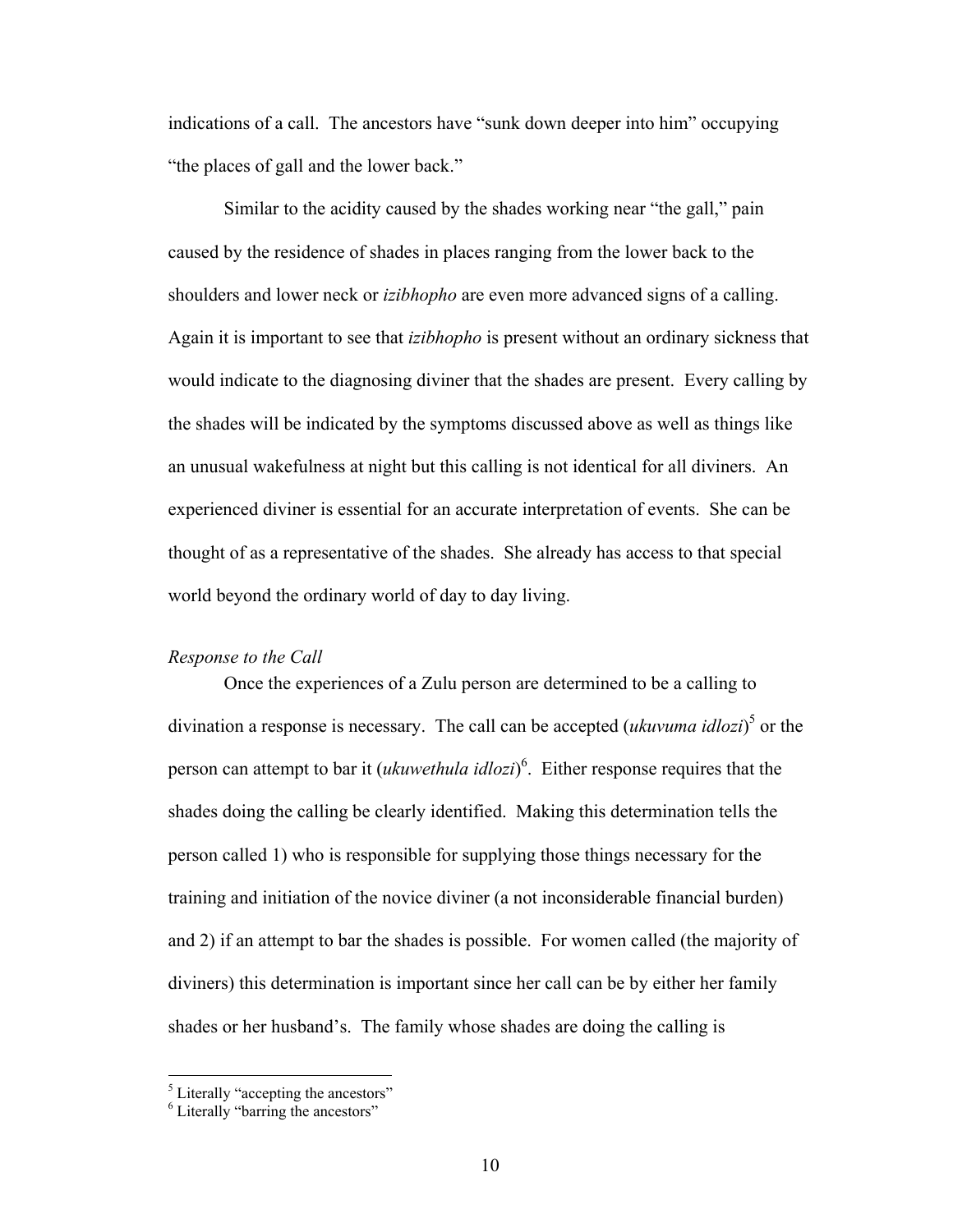indications of a call. The ancestors have "sunk down deeper into him" occupying "the places of gall and the lower back."

Similar to the acidity caused by the shades working near "the gall," pain caused by the residence of shades in places ranging from the lower back to the shoulders and lower neck or *izibhopho* are even more advanced signs of a calling. Again it is important to see that *izibhopho* is present without an ordinary sickness that would indicate to the diagnosing diviner that the shades are present. Every calling by the shades will be indicated by the symptoms discussed above as well as things like an unusual wakefulness at night but this calling is not identical for all diviners. An experienced diviner is essential for an accurate interpretation of events. She can be thought of as a representative of the shades. She already has access to that special world beyond the ordinary world of day to day living.

#### *Response to the Call*

Once the experiences of a Zulu person are determined to be a calling to divination a response is necessary. The call can be accepted (*ukuvuma idlozi*) [5](#page-19-0) or the person can attempt to bar it (*ukuwethula idlozi*) 6 [.](#page-19-1) Either response requires that the shades doing the calling be clearly identified. Making this determination tells the person called 1) who is responsible for supplying those things necessary for the training and initiation of the novice diviner (a not inconsiderable financial burden) and 2) if an attempt to bar the shades is possible. For women called (the majority of diviners) this determination is important since her call can be by either her family shades or her husband's. The family whose shades are doing the calling is

<span id="page-19-1"></span><span id="page-19-0"></span>

<sup>&</sup>lt;sup>5</sup> Literally "accepting the ancestors" <sup>6</sup> Literally "barring the ancestors"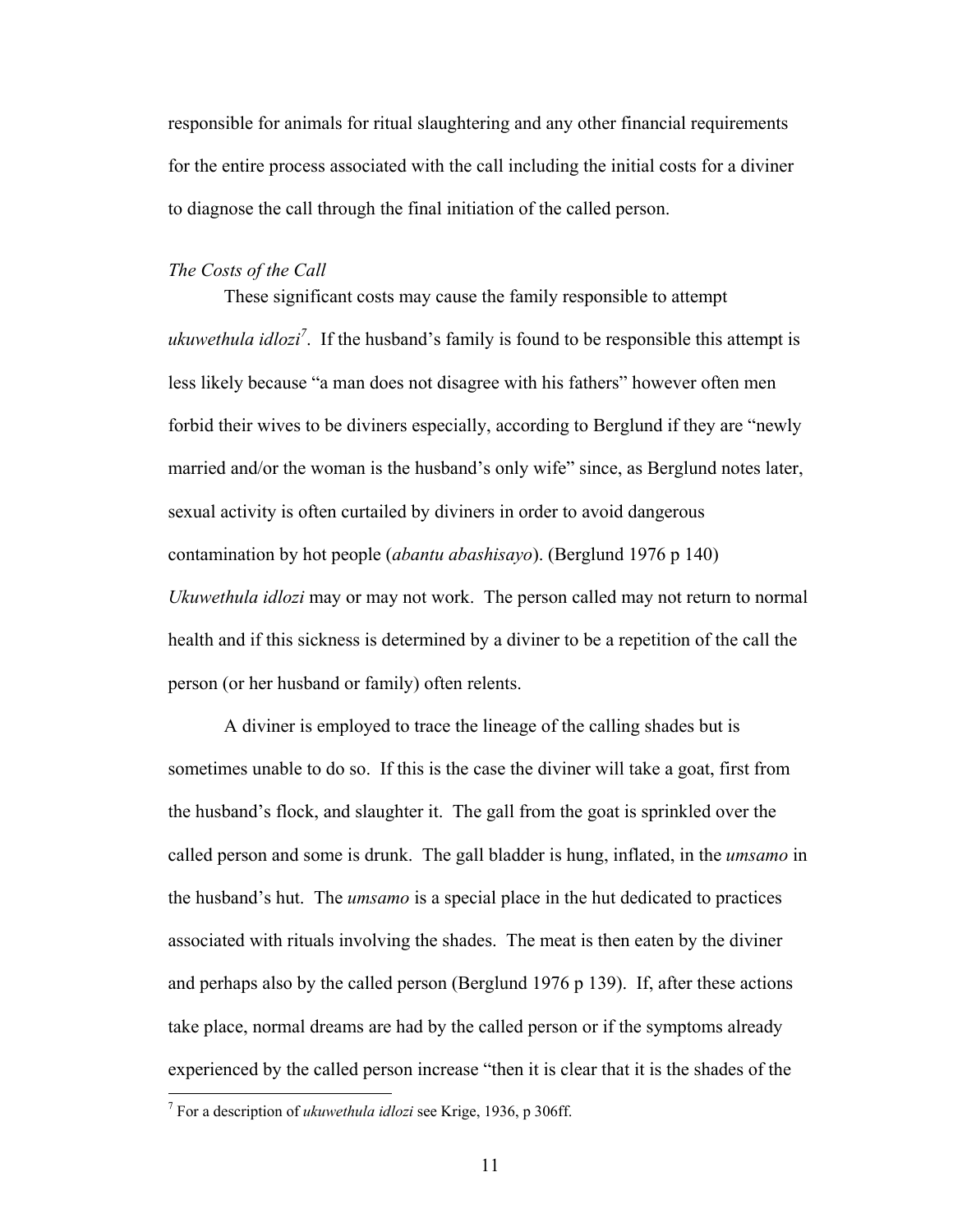responsible for animals for ritual slaughtering and any other financial requirements for the entire process associated with the call including the initial costs for a diviner to diagnose the call through the final initiation of the called person.

#### *The Costs of the Call*

These significant costs may cause the family responsible to attempt *ukuwethula idloz[i7](#page-20-0)* . If the husband's family is found to be responsible this attempt is less likely because "a man does not disagree with his fathers" however often men forbid their wives to be diviners especially, according to Berglund if they are "newly married and/or the woman is the husband's only wife" since, as Berglund notes later, sexual activity is often curtailed by diviners in order to avoid dangerous contamination by hot people (*abantu abashisayo*). (Berglund 1976 p 140) *Ukuwethula idlozi* may or may not work. The person called may not return to normal health and if this sickness is determined by a diviner to be a repetition of the call the person (or her husband or family) often relents.

A diviner is employed to trace the lineage of the calling shades but is sometimes unable to do so. If this is the case the diviner will take a goat, first from the husband's flock, and slaughter it. The gall from the goat is sprinkled over the called person and some is drunk. The gall bladder is hung, inflated, in the *umsamo* in the husband's hut. The *umsamo* is a special place in the hut dedicated to practices associated with rituals involving the shades. The meat is then eaten by the diviner and perhaps also by the called person (Berglund 1976 p 139). If, after these actions take place, normal dreams are had by the called person or if the symptoms already experienced by the called person increase "then it is clear that it is the shades of the

 $\overline{a}$ 

<span id="page-20-0"></span><sup>7</sup> For a description of *ukuwethula idlozi* see Krige, 1936, p 306ff.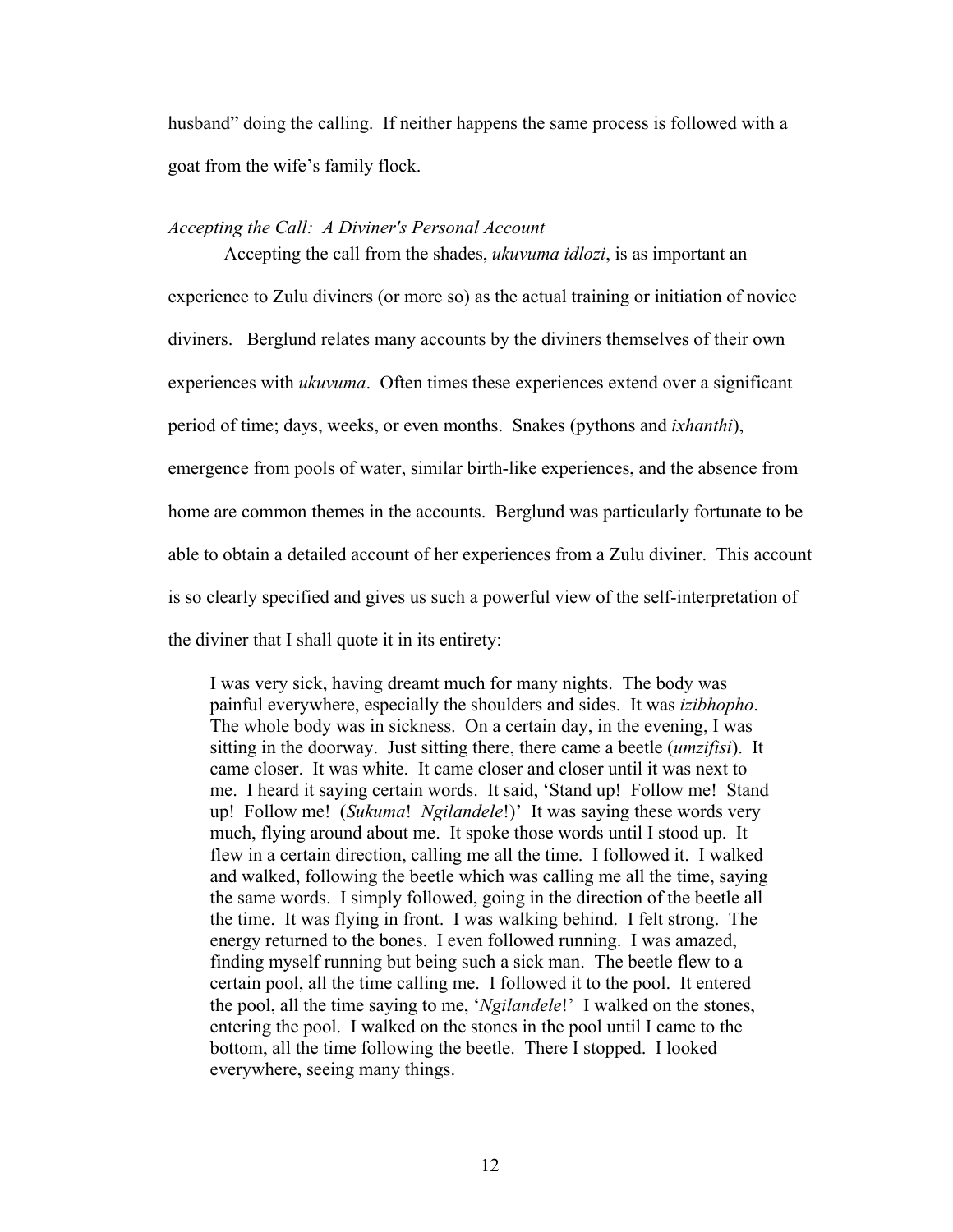husband" doing the calling. If neither happens the same process is followed with a goat from the wife's family flock.

#### *Accepting the Call: A Diviner's Personal Account*

Accepting the call from the shades, *ukuvuma idlozi*, is as important an experience to Zulu diviners (or more so) as the actual training or initiation of novice diviners. Berglund relates many accounts by the diviners themselves of their own experiences with *ukuvuma*. Often times these experiences extend over a significant period of time; days, weeks, or even months. Snakes (pythons and *ixhanthi*), emergence from pools of water, similar birth-like experiences, and the absence from home are common themes in the accounts. Berglund was particularly fortunate to be able to obtain a detailed account of her experiences from a Zulu diviner. This account is so clearly specified and gives us such a powerful view of the self-interpretation of the diviner that I shall quote it in its entirety:

I was very sick, having dreamt much for many nights. The body was painful everywhere, especially the shoulders and sides. It was *izibhopho*. The whole body was in sickness. On a certain day, in the evening, I was sitting in the doorway. Just sitting there, there came a beetle (*umzifisi*). It came closer. It was white. It came closer and closer until it was next to me. I heard it saying certain words. It said, 'Stand up! Follow me! Stand up! Follow me! (*Sukuma*! *Ngilandele*!)' It was saying these words very much, flying around about me. It spoke those words until I stood up. It flew in a certain direction, calling me all the time. I followed it. I walked and walked, following the beetle which was calling me all the time, saying the same words. I simply followed, going in the direction of the beetle all the time. It was flying in front. I was walking behind. I felt strong. The energy returned to the bones. I even followed running. I was amazed, finding myself running but being such a sick man. The beetle flew to a certain pool, all the time calling me. I followed it to the pool. It entered the pool, all the time saying to me, '*Ngilandele*!' I walked on the stones, entering the pool. I walked on the stones in the pool until I came to the bottom, all the time following the beetle. There I stopped. I looked everywhere, seeing many things.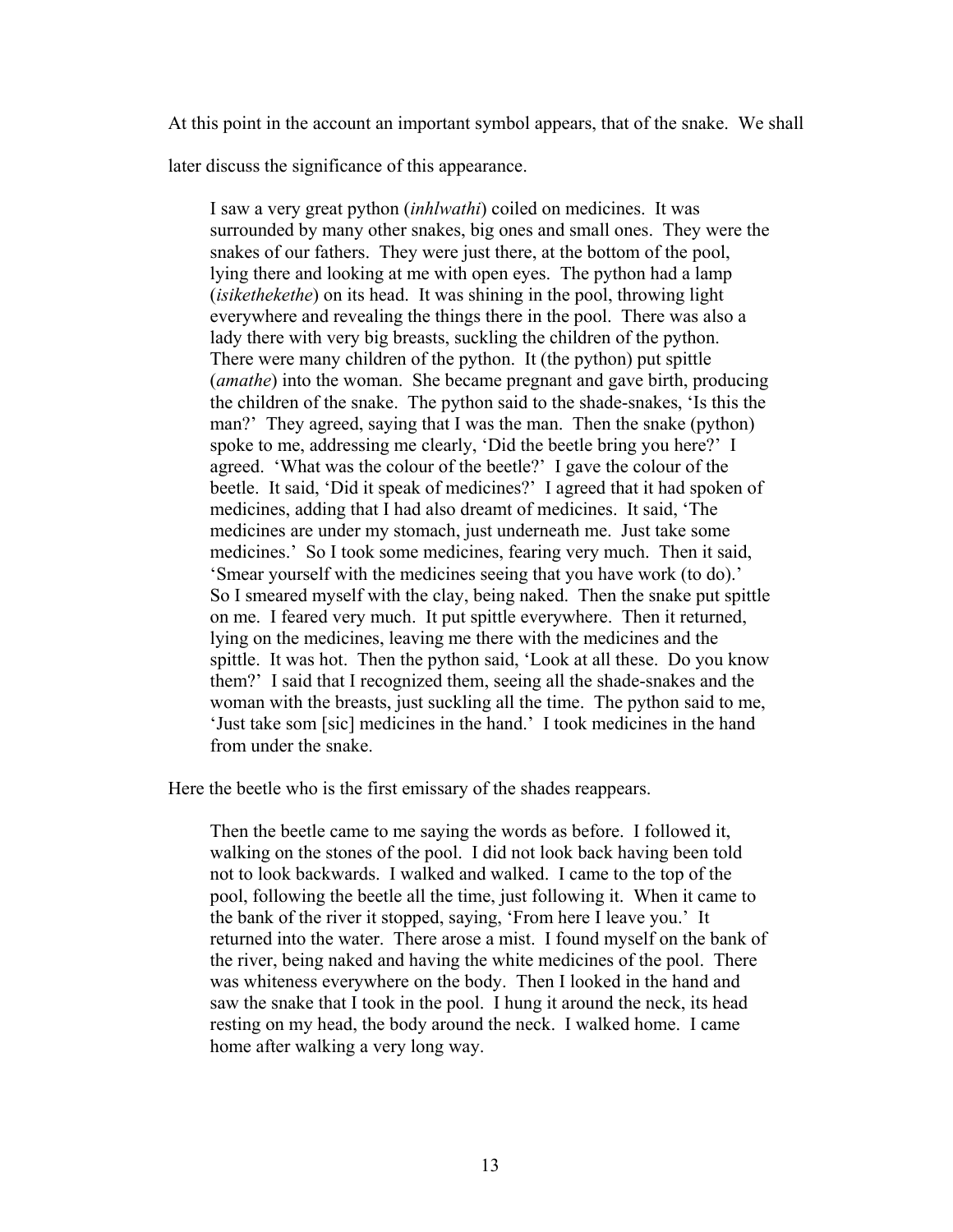At this point in the account an important symbol appears, that of the snake. We shall

later discuss the significance of this appearance.

I saw a very great python (*inhlwathi*) coiled on medicines. It was surrounded by many other snakes, big ones and small ones. They were the snakes of our fathers. They were just there, at the bottom of the pool, lying there and looking at me with open eyes. The python had a lamp (*isikethekethe*) on its head. It was shining in the pool, throwing light everywhere and revealing the things there in the pool. There was also a lady there with very big breasts, suckling the children of the python. There were many children of the python. It (the python) put spittle (*amathe*) into the woman. She became pregnant and gave birth, producing the children of the snake. The python said to the shade-snakes, 'Is this the man?' They agreed, saying that I was the man. Then the snake (python) spoke to me, addressing me clearly, 'Did the beetle bring you here?' I agreed. 'What was the colour of the beetle?' I gave the colour of the beetle. It said, 'Did it speak of medicines?' I agreed that it had spoken of medicines, adding that I had also dreamt of medicines. It said, 'The medicines are under my stomach, just underneath me. Just take some medicines.' So I took some medicines, fearing very much. Then it said, 'Smear yourself with the medicines seeing that you have work (to do).' So I smeared myself with the clay, being naked. Then the snake put spittle on me. I feared very much. It put spittle everywhere. Then it returned, lying on the medicines, leaving me there with the medicines and the spittle. It was hot. Then the python said, 'Look at all these. Do you know them?' I said that I recognized them, seeing all the shade-snakes and the woman with the breasts, just suckling all the time. The python said to me, 'Just take som [sic] medicines in the hand.' I took medicines in the hand from under the snake.

Here the beetle who is the first emissary of the shades reappears.

Then the beetle came to me saying the words as before. I followed it, walking on the stones of the pool. I did not look back having been told not to look backwards. I walked and walked. I came to the top of the pool, following the beetle all the time, just following it. When it came to the bank of the river it stopped, saying, 'From here I leave you.' It returned into the water. There arose a mist. I found myself on the bank of the river, being naked and having the white medicines of the pool. There was whiteness everywhere on the body. Then I looked in the hand and saw the snake that I took in the pool. I hung it around the neck, its head resting on my head, the body around the neck. I walked home. I came home after walking a very long way.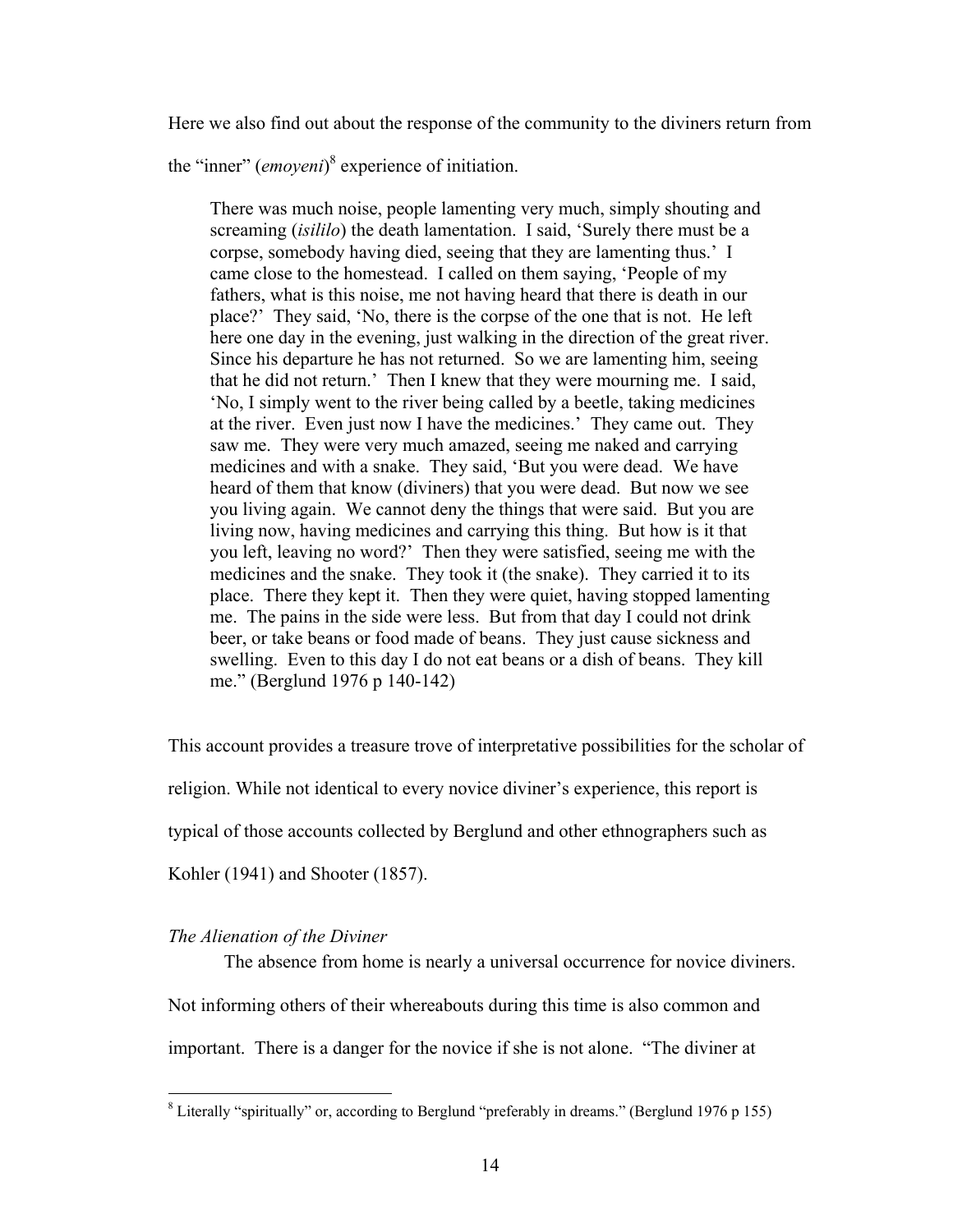Here we also find out about the response of the community to the diviners return from

the "inner" (*emoyeni*) 8  [e](#page-23-0)xperience of initiation.

There was much noise, people lamenting very much, simply shouting and screaming (*isililo*) the death lamentation. I said, 'Surely there must be a corpse, somebody having died, seeing that they are lamenting thus.' I came close to the homestead. I called on them saying, 'People of my fathers, what is this noise, me not having heard that there is death in our place?' They said, 'No, there is the corpse of the one that is not. He left here one day in the evening, just walking in the direction of the great river. Since his departure he has not returned. So we are lamenting him, seeing that he did not return.' Then I knew that they were mourning me. I said, 'No, I simply went to the river being called by a beetle, taking medicines at the river. Even just now I have the medicines.' They came out. They saw me. They were very much amazed, seeing me naked and carrying medicines and with a snake. They said, 'But you were dead. We have heard of them that know (diviners) that you were dead. But now we see you living again. We cannot deny the things that were said. But you are living now, having medicines and carrying this thing. But how is it that you left, leaving no word?' Then they were satisfied, seeing me with the medicines and the snake. They took it (the snake). They carried it to its place. There they kept it. Then they were quiet, having stopped lamenting me. The pains in the side were less. But from that day I could not drink beer, or take beans or food made of beans. They just cause sickness and swelling. Even to this day I do not eat beans or a dish of beans. They kill me." (Berglund 1976 p 140-142)

This account provides a treasure trove of interpretative possibilities for the scholar of

religion. While not identical to every novice diviner's experience, this report is

typical of those accounts collected by Berglund and other ethnographers such as

Kohler (1941) and Shooter (1857).

#### *The Alienation of the Diviner*

The absence from home is nearly a universal occurrence for novice diviners. Not informing others of their whereabouts during this time is also common and important. There is a danger for the novice if she is not alone. "The diviner at

<span id="page-23-0"></span><sup>&</sup>lt;sup>8</sup> Literally "spiritually" or, according to Berglund "preferably in dreams." (Berglund 1976 p 155)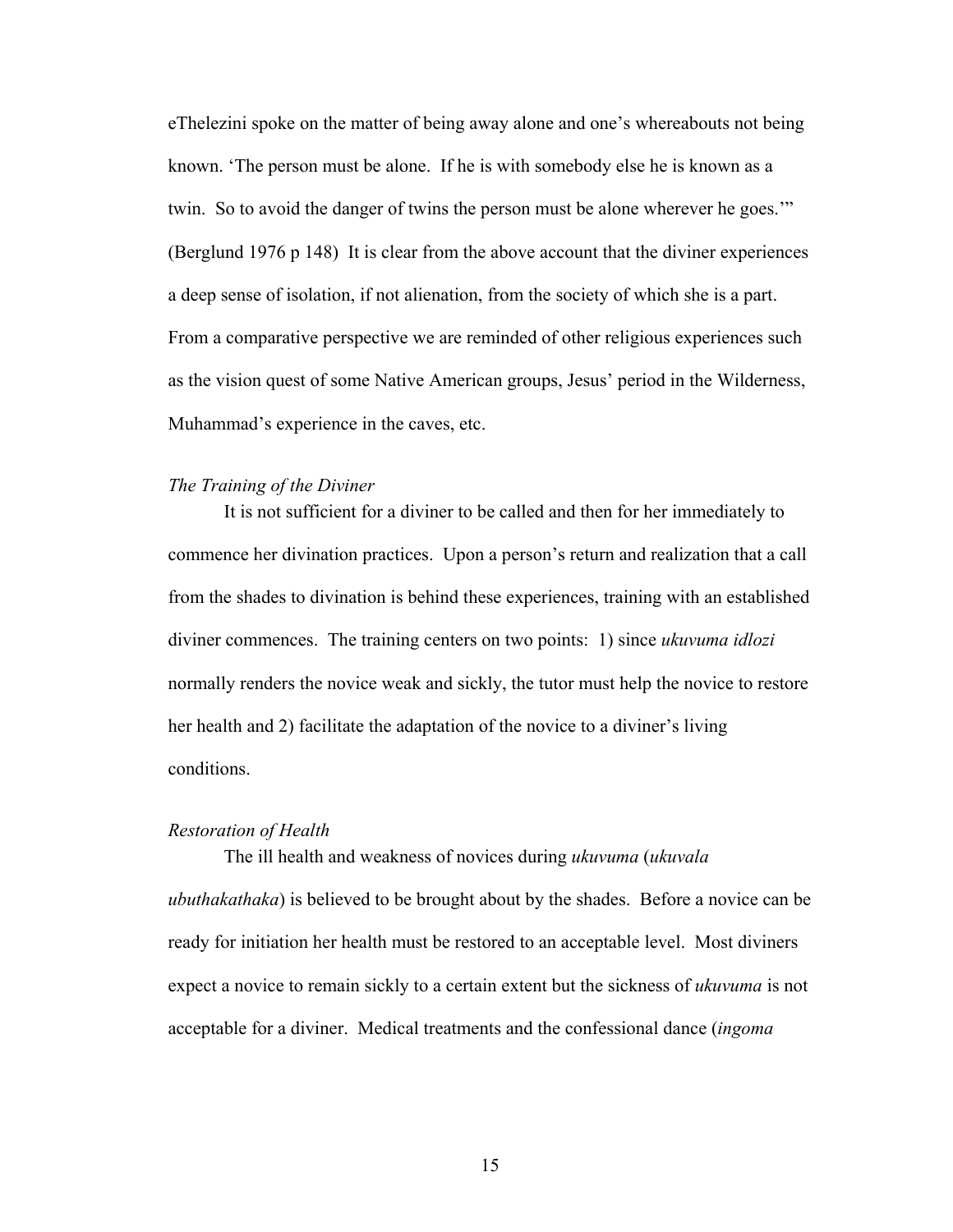eThelezini spoke on the matter of being away alone and one's whereabouts not being known. 'The person must be alone. If he is with somebody else he is known as a twin. So to avoid the danger of twins the person must be alone wherever he goes.'" (Berglund 1976 p 148) It is clear from the above account that the diviner experiences a deep sense of isolation, if not alienation, from the society of which she is a part. From a comparative perspective we are reminded of other religious experiences such as the vision quest of some Native American groups, Jesus' period in the Wilderness, Muhammad's experience in the caves, etc.

#### *The Training of the Diviner*

It is not sufficient for a diviner to be called and then for her immediately to commence her divination practices. Upon a person's return and realization that a call from the shades to divination is behind these experiences, training with an established diviner commences. The training centers on two points: 1) since *ukuvuma idlozi* normally renders the novice weak and sickly, the tutor must help the novice to restore her health and 2) facilitate the adaptation of the novice to a diviner's living conditions.

#### *Restoration of Health*

The ill health and weakness of novices during *ukuvuma* (*ukuvala ubuthakathaka*) is believed to be brought about by the shades. Before a novice can be ready for initiation her health must be restored to an acceptable level. Most diviners expect a novice to remain sickly to a certain extent but the sickness of *ukuvuma* is not acceptable for a diviner. Medical treatments and the confessional dance (*ingoma*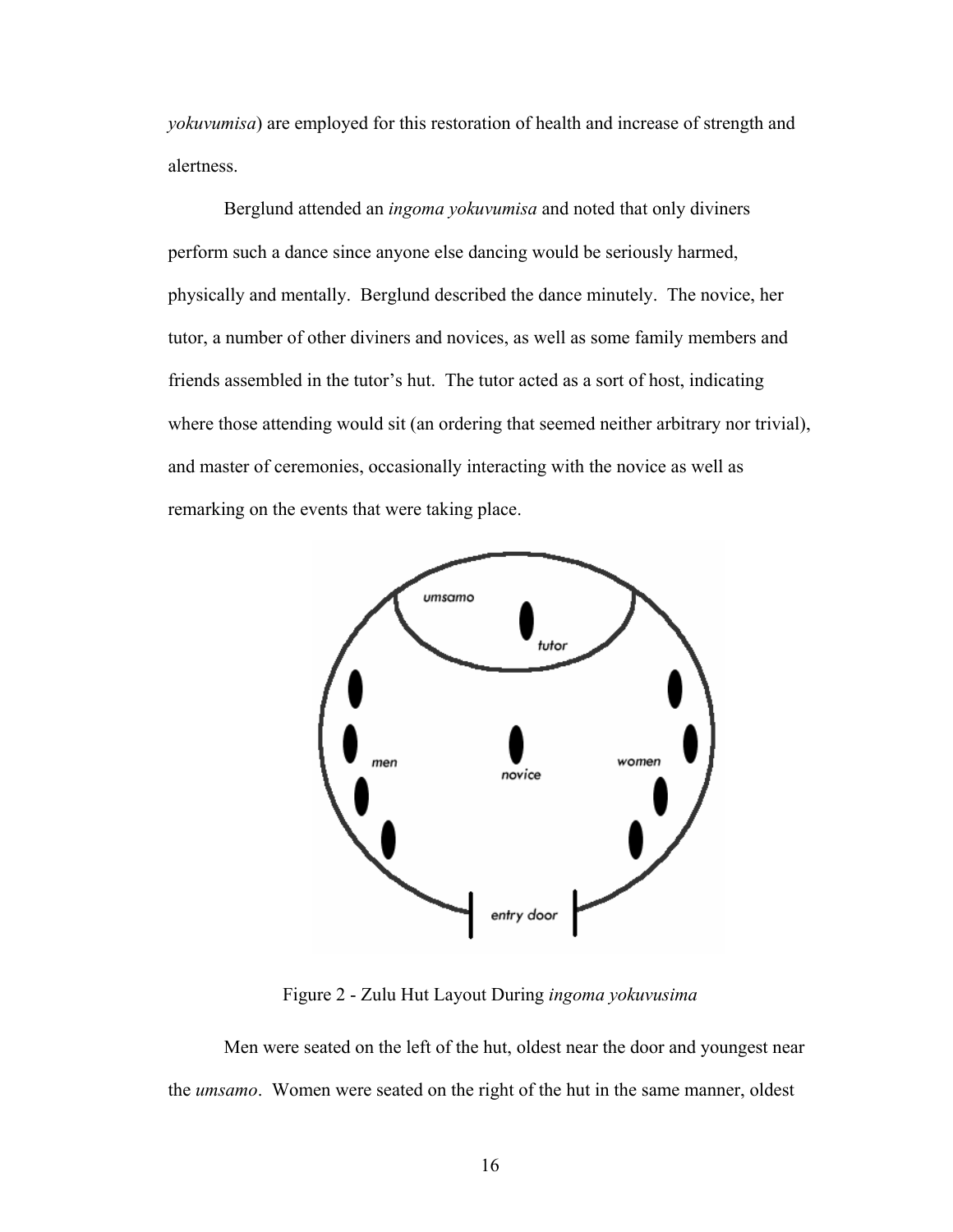*yokuvumisa*) are employed for this restoration of health and increase of strength and alertness.

Berglund attended an *ingoma yokuvumisa* and noted that only diviners perform such a dance since anyone else dancing would be seriously harmed, physically and mentally. Berglund described the dance minutely. The novice, her tutor, a number of other diviners and novices, as well as some family members and friends assembled in the tutor's hut. The tutor acted as a sort of host, indicating where those attending would sit (an ordering that seemed neither arbitrary nor trivial), and master of ceremonies, occasionally interacting with the novice as well as remarking on the events that were taking place.



Figure 2 - Zulu Hut Layout During *ingoma yokuvusima* 

Men were seated on the left of the hut, oldest near the door and youngest near the *umsamo*. Women were seated on the right of the hut in the same manner, oldest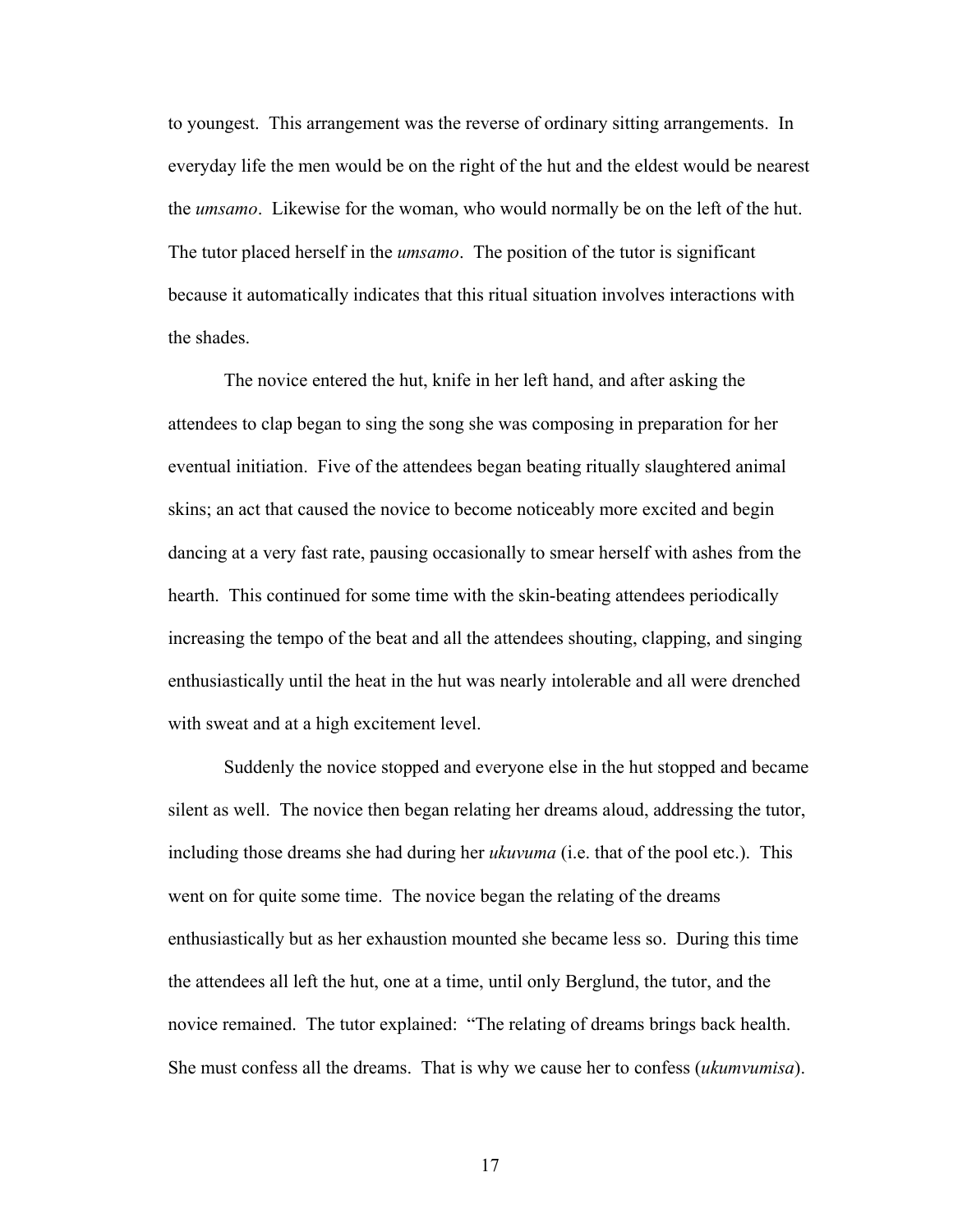to youngest. This arrangement was the reverse of ordinary sitting arrangements. In everyday life the men would be on the right of the hut and the eldest would be nearest the *umsamo*. Likewise for the woman, who would normally be on the left of the hut. The tutor placed herself in the *umsamo*. The position of the tutor is significant because it automatically indicates that this ritual situation involves interactions with the shades.

The novice entered the hut, knife in her left hand, and after asking the attendees to clap began to sing the song she was composing in preparation for her eventual initiation. Five of the attendees began beating ritually slaughtered animal skins; an act that caused the novice to become noticeably more excited and begin dancing at a very fast rate, pausing occasionally to smear herself with ashes from the hearth. This continued for some time with the skin-beating attendees periodically increasing the tempo of the beat and all the attendees shouting, clapping, and singing enthusiastically until the heat in the hut was nearly intolerable and all were drenched with sweat and at a high excitement level.

Suddenly the novice stopped and everyone else in the hut stopped and became silent as well. The novice then began relating her dreams aloud, addressing the tutor, including those dreams she had during her *ukuvuma* (i.e. that of the pool etc.). This went on for quite some time. The novice began the relating of the dreams enthusiastically but as her exhaustion mounted she became less so. During this time the attendees all left the hut, one at a time, until only Berglund, the tutor, and the novice remained. The tutor explained: "The relating of dreams brings back health. She must confess all the dreams. That is why we cause her to confess (*ukumvumisa*).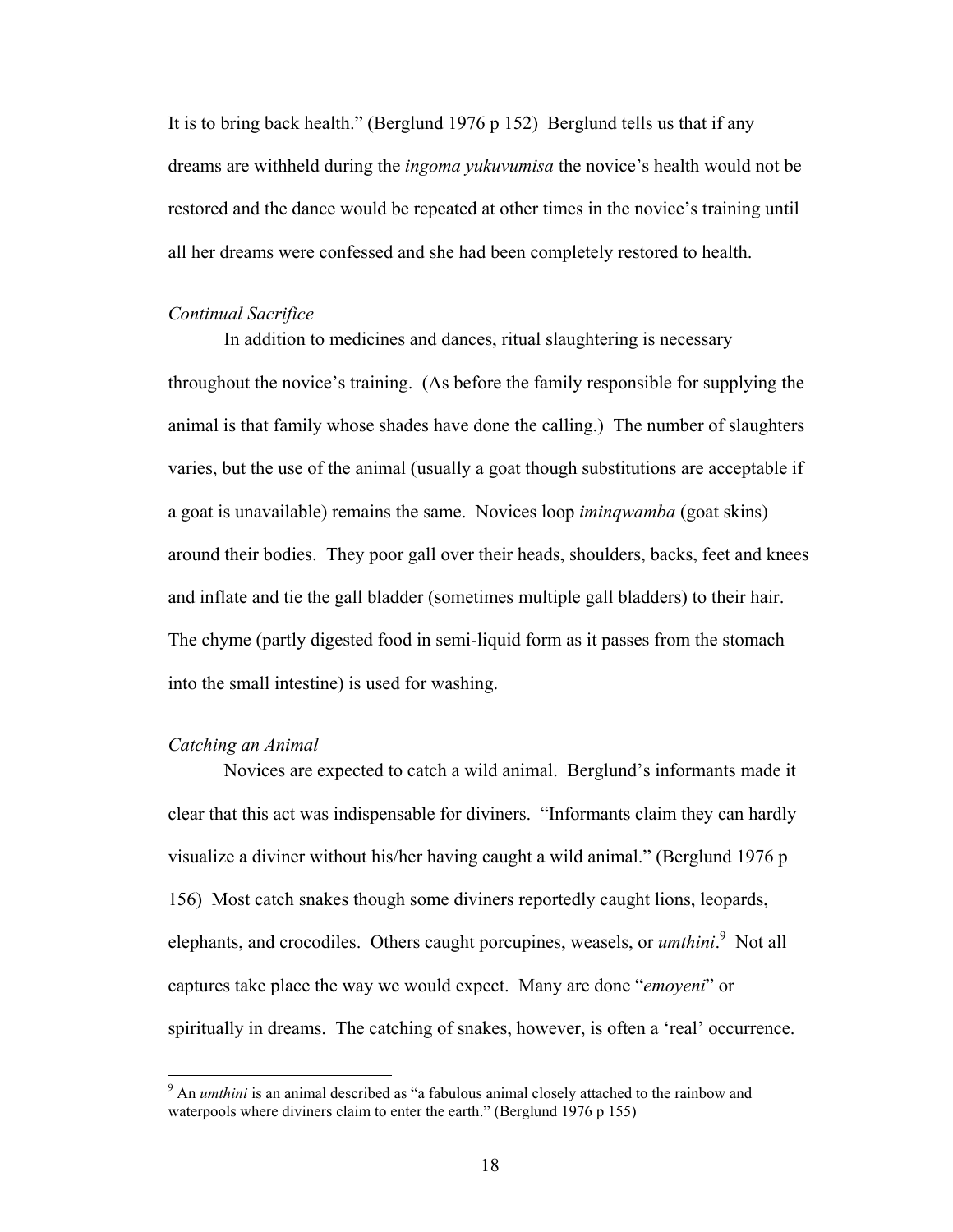It is to bring back health." (Berglund 1976 p 152) Berglund tells us that if any dreams are withheld during the *ingoma yukuvumisa* the novice's health would not be restored and the dance would be repeated at other times in the novice's training until all her dreams were confessed and she had been completely restored to health.

#### *Continual Sacrifice*

In addition to medicines and dances, ritual slaughtering is necessary throughout the novice's training. (As before the family responsible for supplying the animal is that family whose shades have done the calling.) The number of slaughters varies, but the use of the animal (usually a goat though substitutions are acceptable if a goat is unavailable) remains the same. Novices loop *iminqwamba* (goat skins) around their bodies. They poor gall over their heads, shoulders, backs, feet and knees and inflate and tie the gall bladder (sometimes multiple gall bladders) to their hair. The chyme (partly digested food in semi-liquid form as it passes from the stomach into the small intestine) is used for washing.

#### *Catching an Animal*

 $\overline{a}$ 

Novices are expected to catch a wild animal. Berglund's informants made it clear that this act was indispensable for diviners. "Informants claim they can hardly visualize a diviner without his/her having caught a wild animal." (Berglund 1976 p 156) Most catch snakes though some diviners reportedly caught lions, leopards, elephants, and crocodiles. Others caught porcupines, weasels, or *umthini*.<sup>[9](#page-27-0)</sup> Not all captures take place the way we would expect. Many are done "*emoyeni*" or spiritually in dreams. The catching of snakes, however, is often a 'real' occurrence.

<span id="page-27-0"></span><sup>&</sup>lt;sup>9</sup> An *umthini* is an animal described as "a fabulous animal closely attached to the rainbow and waterpools where diviners claim to enter the earth." (Berglund 1976 p 155)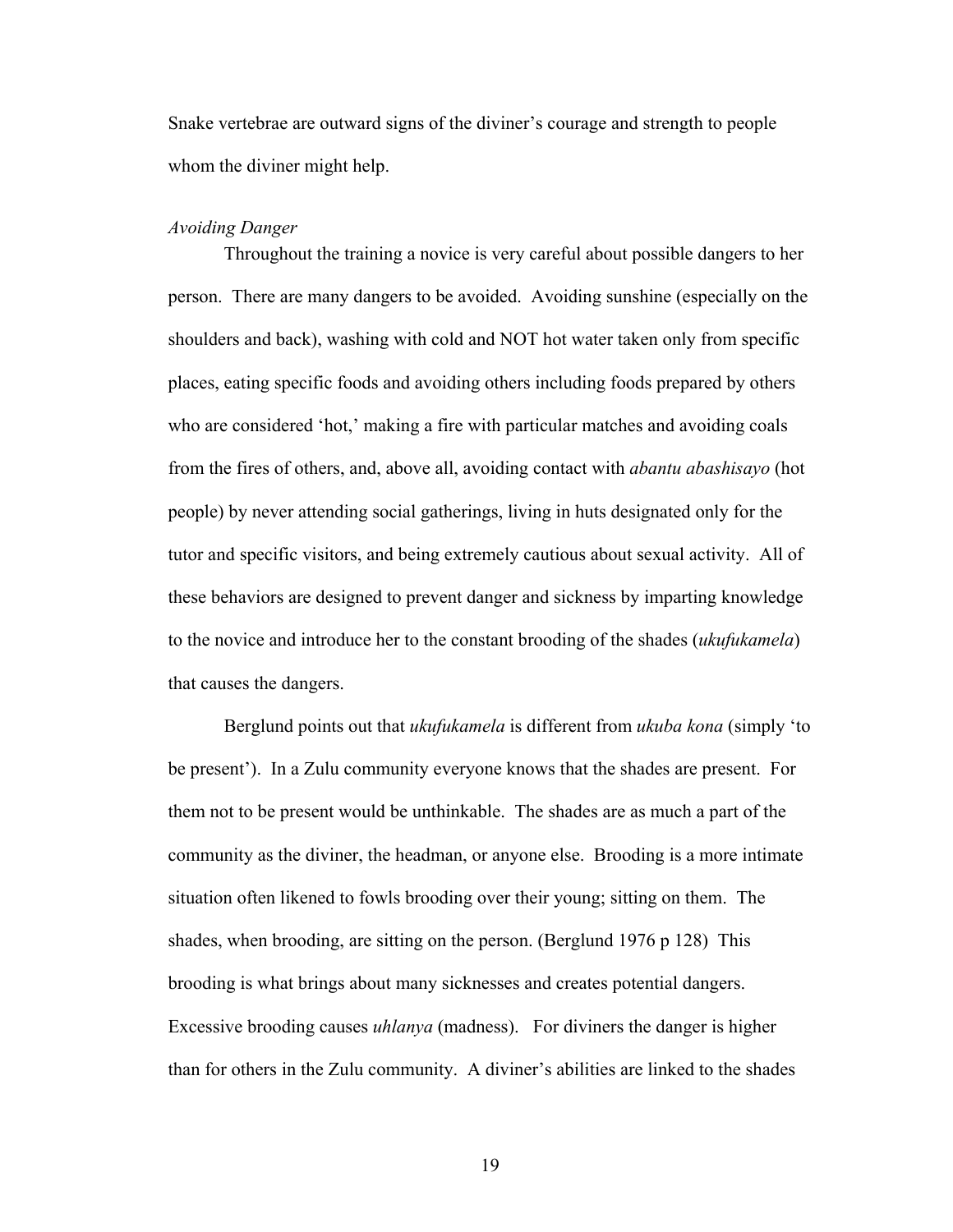Snake vertebrae are outward signs of the diviner's courage and strength to people whom the diviner might help.

#### *Avoiding Danger*

Throughout the training a novice is very careful about possible dangers to her person. There are many dangers to be avoided. Avoiding sunshine (especially on the shoulders and back), washing with cold and NOT hot water taken only from specific places, eating specific foods and avoiding others including foods prepared by others who are considered 'hot,' making a fire with particular matches and avoiding coals from the fires of others, and, above all, avoiding contact with *abantu abashisayo* (hot people) by never attending social gatherings, living in huts designated only for the tutor and specific visitors, and being extremely cautious about sexual activity. All of these behaviors are designed to prevent danger and sickness by imparting knowledge to the novice and introduce her to the constant brooding of the shades (*ukufukamela*) that causes the dangers.

Berglund points out that *ukufukamela* is different from *ukuba kona* (simply 'to be present'). In a Zulu community everyone knows that the shades are present. For them not to be present would be unthinkable. The shades are as much a part of the community as the diviner, the headman, or anyone else. Brooding is a more intimate situation often likened to fowls brooding over their young; sitting on them. The shades, when brooding, are sitting on the person. (Berglund 1976 p 128) This brooding is what brings about many sicknesses and creates potential dangers. Excessive brooding causes *uhlanya* (madness). For diviners the danger is higher than for others in the Zulu community. A diviner's abilities are linked to the shades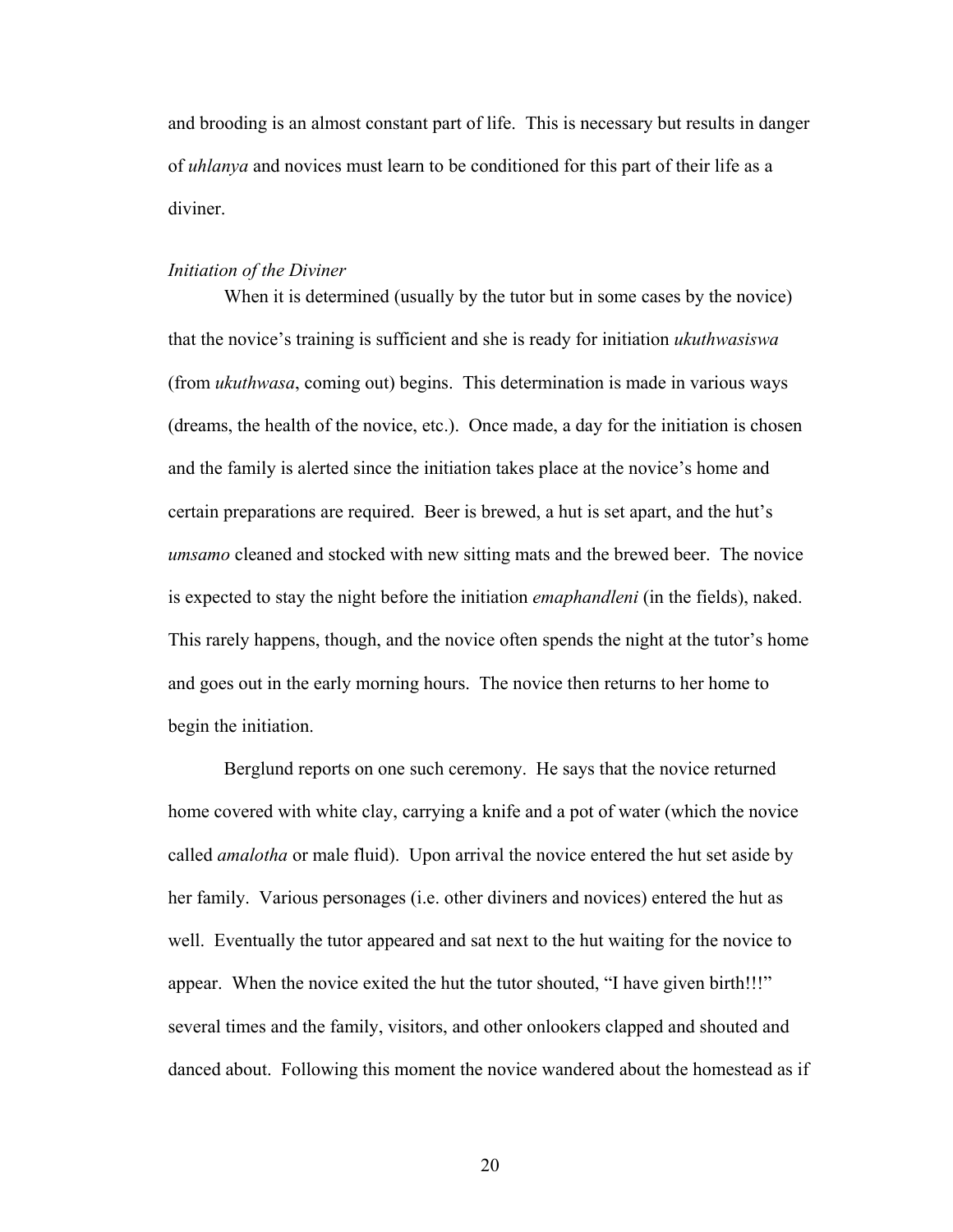and brooding is an almost constant part of life. This is necessary but results in danger of *uhlanya* and novices must learn to be conditioned for this part of their life as a diviner.

#### *Initiation of the Diviner*

When it is determined (usually by the tutor but in some cases by the novice) that the novice's training is sufficient and she is ready for initiation *ukuthwasiswa* (from *ukuthwasa*, coming out) begins. This determination is made in various ways (dreams, the health of the novice, etc.). Once made, a day for the initiation is chosen and the family is alerted since the initiation takes place at the novice's home and certain preparations are required. Beer is brewed, a hut is set apart, and the hut's *umsamo* cleaned and stocked with new sitting mats and the brewed beer. The novice is expected to stay the night before the initiation *emaphandleni* (in the fields), naked. This rarely happens, though, and the novice often spends the night at the tutor's home and goes out in the early morning hours. The novice then returns to her home to begin the initiation.

Berglund reports on one such ceremony. He says that the novice returned home covered with white clay, carrying a knife and a pot of water (which the novice called *amalotha* or male fluid). Upon arrival the novice entered the hut set aside by her family. Various personages (i.e. other diviners and novices) entered the hut as well. Eventually the tutor appeared and sat next to the hut waiting for the novice to appear. When the novice exited the hut the tutor shouted, "I have given birth!!!" several times and the family, visitors, and other onlookers clapped and shouted and danced about. Following this moment the novice wandered about the homestead as if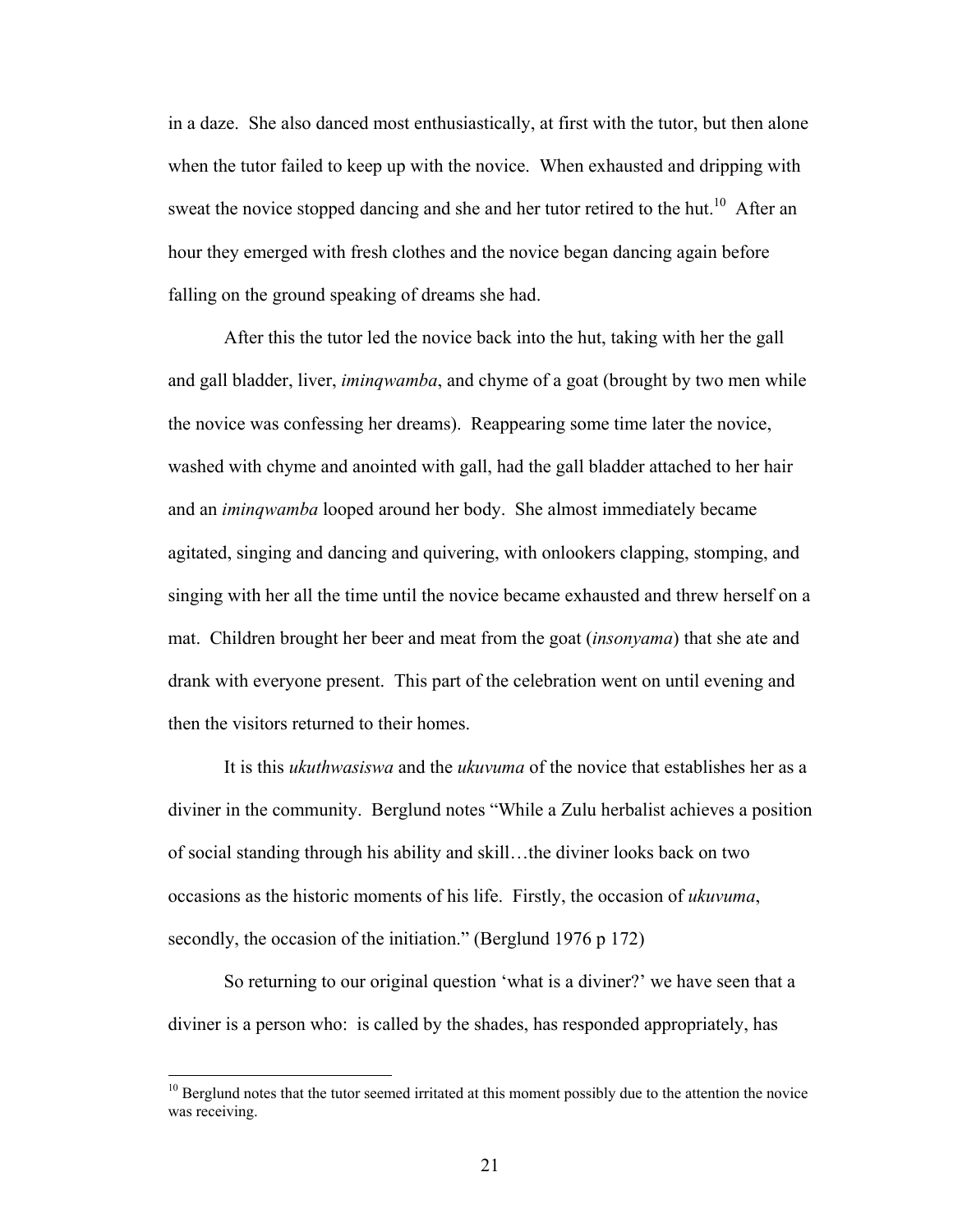in a daze. She also danced most enthusiastically, at first with the tutor, but then alone when the tutor failed to keep up with the novice. When exhausted and dripping with sweat the novice stopped dancing and she and her tutor retired to the hut.<sup>10</sup> After an hour they emerged with fresh clothes and the novice began dancing again before falling on the ground speaking of dreams she had.

After this the tutor led the novice back into the hut, taking with her the gall and gall bladder, liver, *iminqwamba*, and chyme of a goat (brought by two men while the novice was confessing her dreams). Reappearing some time later the novice, washed with chyme and anointed with gall, had the gall bladder attached to her hair and an *iminqwamba* looped around her body. She almost immediately became agitated, singing and dancing and quivering, with onlookers clapping, stomping, and singing with her all the time until the novice became exhausted and threw herself on a mat. Children brought her beer and meat from the goat (*insonyama*) that she ate and drank with everyone present. This part of the celebration went on until evening and then the visitors returned to their homes.

 It is this *ukuthwasiswa* and the *ukuvuma* of the novice that establishes her as a diviner in the community. Berglund notes "While a Zulu herbalist achieves a position of social standing through his ability and skill…the diviner looks back on two occasions as the historic moments of his life. Firstly, the occasion of *ukuvuma*, secondly, the occasion of the initiation." (Berglund 1976 p 172)

So returning to our original question 'what is a diviner?' we have seen that a diviner is a person who: is called by the shades, has responded appropriately, has

<span id="page-30-0"></span> $10$  Berglund notes that the tutor seemed irritated at this moment possibly due to the attention the novice was receiving.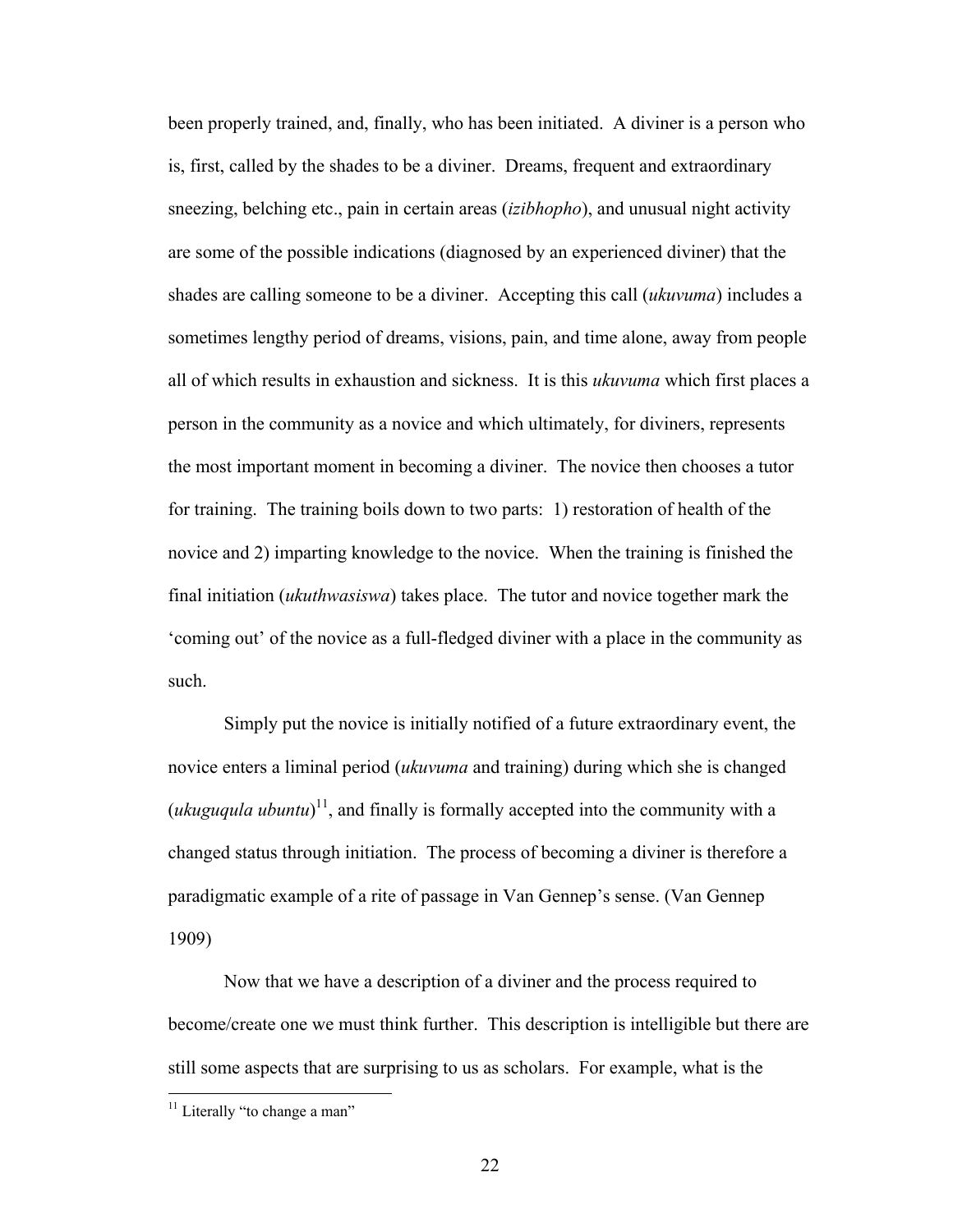been properly trained, and, finally, who has been initiated. A diviner is a person who is, first, called by the shades to be a diviner. Dreams, frequent and extraordinary sneezing, belching etc., pain in certain areas (*izibhopho*), and unusual night activity are some of the possible indications (diagnosed by an experienced diviner) that the shades are calling someone to be a diviner. Accepting this call (*ukuvuma*) includes a sometimes lengthy period of dreams, visions, pain, and time alone, away from people all of which results in exhaustion and sickness. It is this *ukuvuma* which first places a person in the community as a novice and which ultimately, for diviners, represents the most important moment in becoming a diviner. The novice then chooses a tutor for training. The training boils down to two parts: 1) restoration of health of the novice and 2) imparting knowledge to the novice. When the training is finished the final initiation (*ukuthwasiswa*) takes place. The tutor and novice together mark the 'coming out' of the novice as a full-fledged diviner with a place in the community as such.

Simply put the novice is initially notified of a future extraordinary event, the novice enters a liminal period (*ukuvuma* and training) during which she is changed  $(ukuguqula ubuntu)^{11}$ , and finally is formally accepted into the community with a changed status through initiation. The process of becoming a diviner is therefore a paradigmatic example of a rite of passage in Van Gennep's sense. (Van Gennep 1909)

Now that we have a description of a diviner and the process required to become/create one we must think further. This description is intelligible but there are still some aspects that are surprising to us as scholars. For example, what is the

<u>.</u>

<span id="page-31-0"></span> $11$  Literally "to change a man"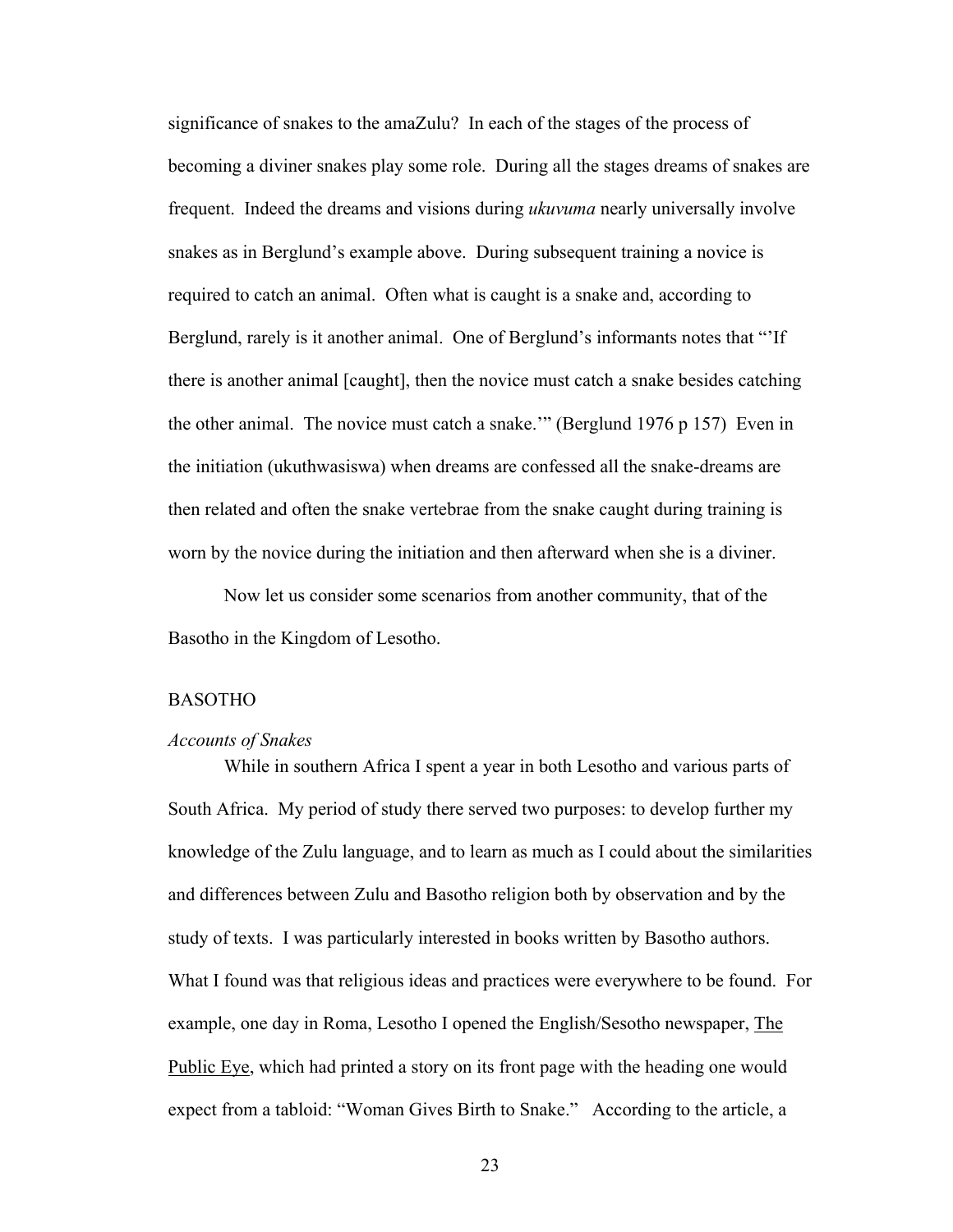significance of snakes to the amaZulu? In each of the stages of the process of becoming a diviner snakes play some role. During all the stages dreams of snakes are frequent. Indeed the dreams and visions during *ukuvuma* nearly universally involve snakes as in Berglund's example above. During subsequent training a novice is required to catch an animal. Often what is caught is a snake and, according to Berglund, rarely is it another animal. One of Berglund's informants notes that "'If there is another animal [caught], then the novice must catch a snake besides catching the other animal. The novice must catch a snake.'" (Berglund 1976 p 157) Even in the initiation (ukuthwasiswa) when dreams are confessed all the snake-dreams are then related and often the snake vertebrae from the snake caught during training is worn by the novice during the initiation and then afterward when she is a diviner.

Now let us consider some scenarios from another community, that of the Basotho in the Kingdom of Lesotho.

#### BASOTHO

#### *Accounts of Snakes*

While in southern Africa I spent a year in both Lesotho and various parts of South Africa. My period of study there served two purposes: to develop further my knowledge of the Zulu language, and to learn as much as I could about the similarities and differences between Zulu and Basotho religion both by observation and by the study of texts. I was particularly interested in books written by Basotho authors. What I found was that religious ideas and practices were everywhere to be found. For example, one day in Roma, Lesotho I opened the English/Sesotho newspaper, The Public Eye, which had printed a story on its front page with the heading one would expect from a tabloid: "Woman Gives Birth to Snake." According to the article, a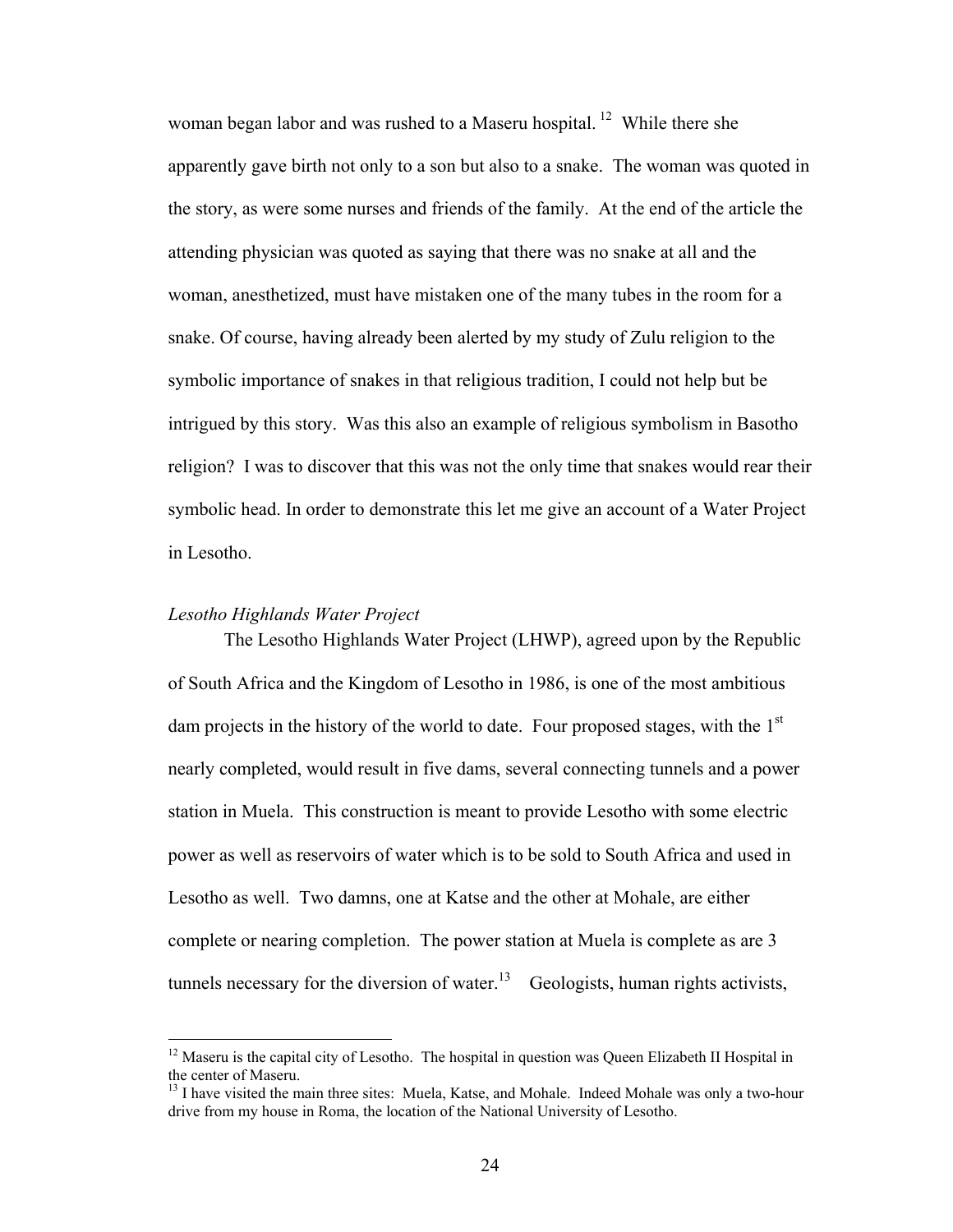woman began labor and was rushed to a Maseru hospital.<sup>12</sup> While there she apparently gave birth not only to a son but also to a snake. The woman was quoted in the story, as were some nurses and friends of the family. At the end of the article the attending physician was quoted as saying that there was no snake at all and the woman, anesthetized, must have mistaken one of the many tubes in the room for a snake. Of course, having already been alerted by my study of Zulu religion to the symbolic importance of snakes in that religious tradition, I could not help but be intrigued by this story. Was this also an example of religious symbolism in Basotho religion? I was to discover that this was not the only time that snakes would rear their symbolic head. In order to demonstrate this let me give an account of a Water Project in Lesotho.

#### *Lesotho Highlands Water Project*

 $\overline{a}$ 

The Lesotho Highlands Water Project (LHWP), agreed upon by the Republic of South Africa and the Kingdom of Lesotho in 1986, is one of the most ambitious dam projects in the history of the world to date. Four proposed stages, with the  $1<sup>st</sup>$ nearly completed, would result in five dams, several connecting tunnels and a power station in Muela. This construction is meant to provide Lesotho with some electric power as well as reservoirs of water which is to be sold to South Africa and used in Lesotho as well. Two damns, one at Katse and the other at Mohale, are either complete or nearing completion. The power station at Muela is complete as are 3 tunnels necessary for the diversion of water.<sup>13</sup> Geologists, human rights activists,

<span id="page-33-0"></span> $12$  Maseru is the capital city of Lesotho. The hospital in question was Queen Elizabeth II Hospital in the center of Maseru.<br><sup>13</sup> I have visited the main three sites: Muela, Katse, and Mohale. Indeed Mohale was only a two-hour

<span id="page-33-1"></span>drive from my house in Roma, the location of the National University of Lesotho.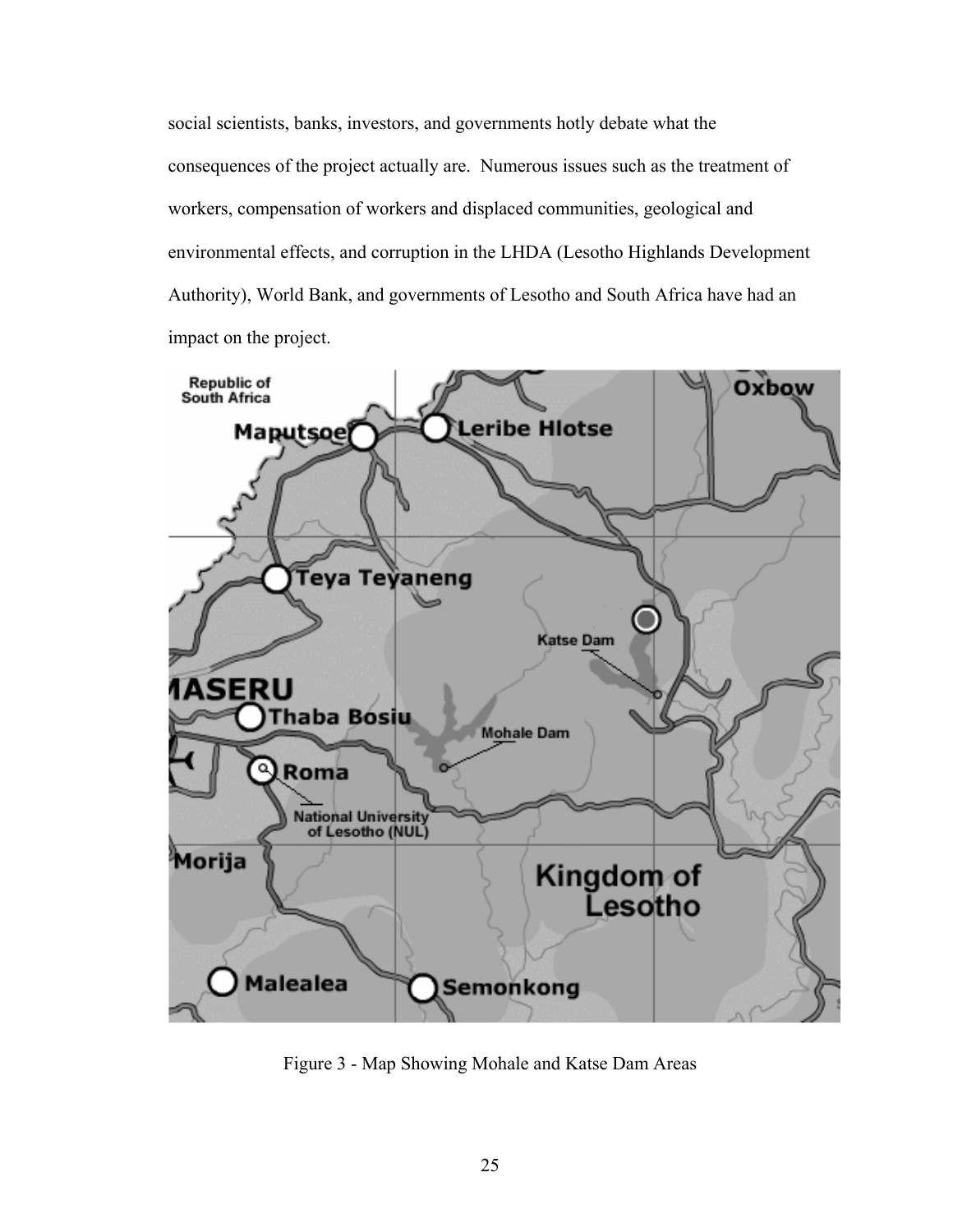social scientists, banks, investors, and governments hotly debate what the consequences of the project actually are. Numerous issues such as the treatment of workers, compensation of workers and displaced communities, geological and environmental effects, and corruption in the LHDA (Lesotho Highlands Development Authority), World Bank, and governments of Lesotho and South Africa have had an impact on the project.



Figure 3 - Map Showing Mohale and Katse Dam Areas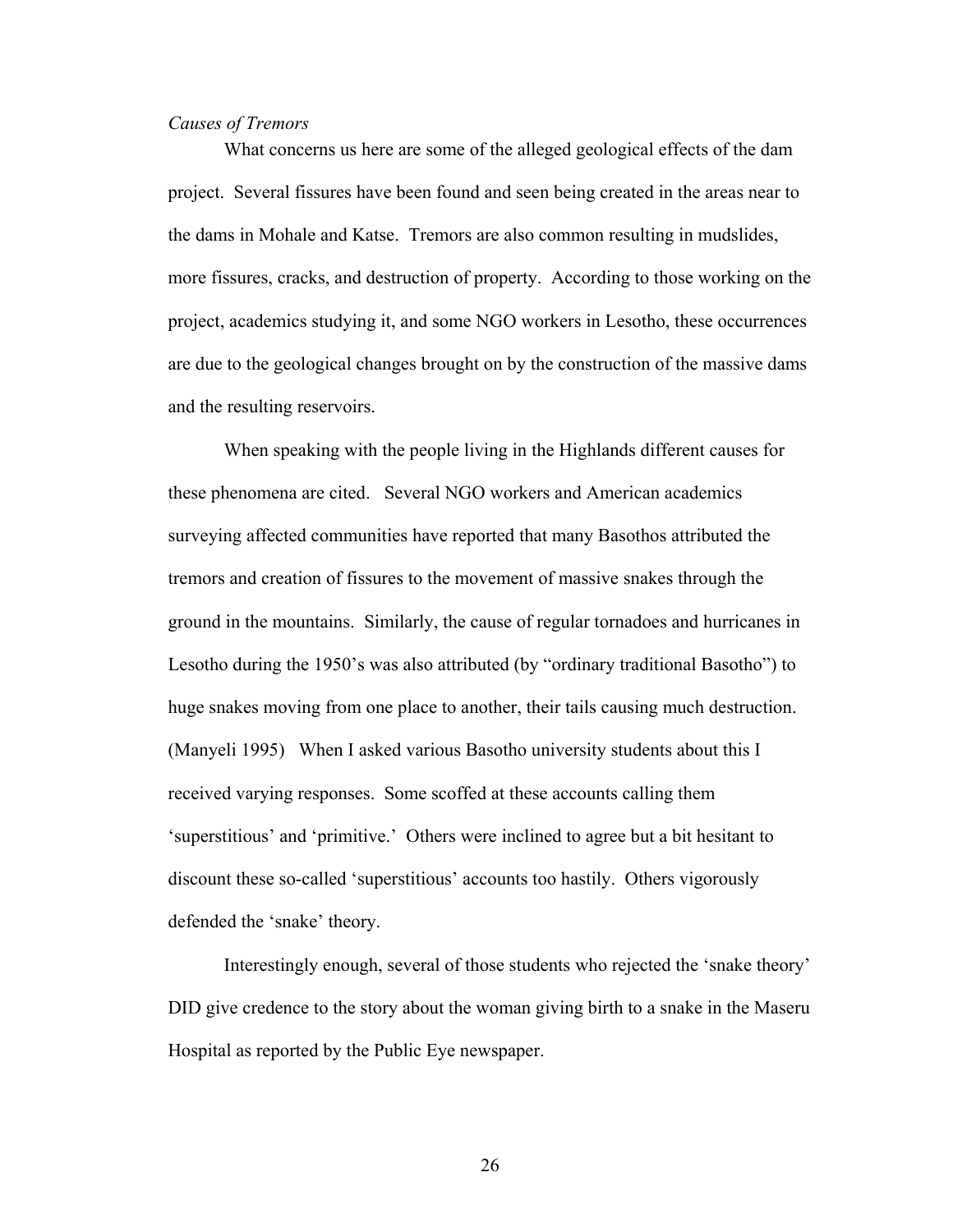#### *Causes of Tremors*

What concerns us here are some of the alleged geological effects of the dam project. Several fissures have been found and seen being created in the areas near to the dams in Mohale and Katse. Tremors are also common resulting in mudslides, more fissures, cracks, and destruction of property. According to those working on the project, academics studying it, and some NGO workers in Lesotho, these occurrences are due to the geological changes brought on by the construction of the massive dams and the resulting reservoirs.

When speaking with the people living in the Highlands different causes for these phenomena are cited. Several NGO workers and American academics surveying affected communities have reported that many Basothos attributed the tremors and creation of fissures to the movement of massive snakes through the ground in the mountains. Similarly, the cause of regular tornadoes and hurricanes in Lesotho during the 1950's was also attributed (by "ordinary traditional Basotho") to huge snakes moving from one place to another, their tails causing much destruction. (Manyeli 1995) When I asked various Basotho university students about this I received varying responses. Some scoffed at these accounts calling them 'superstitious' and 'primitive.' Others were inclined to agree but a bit hesitant to discount these so-called 'superstitious' accounts too hastily. Others vigorously defended the 'snake' theory.

Interestingly enough, several of those students who rejected the 'snake theory' DID give credence to the story about the woman giving birth to a snake in the Maseru Hospital as reported by the Public Eye newspaper.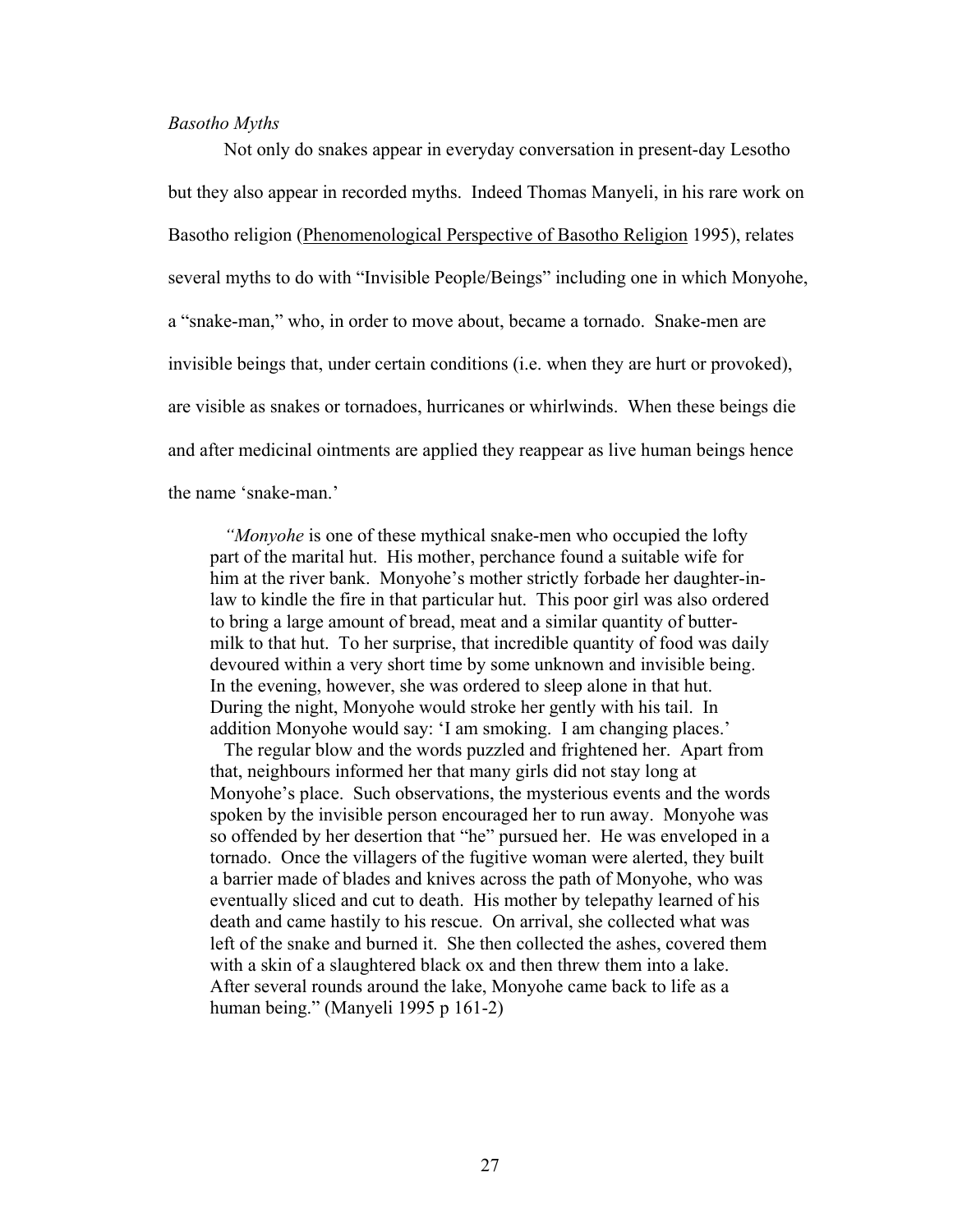### *Basotho Myths*

Not only do snakes appear in everyday conversation in present-day Lesotho but they also appear in recorded myths. Indeed Thomas Manyeli, in his rare work on Basotho religion (Phenomenological Perspective of Basotho Religion 1995), relates several myths to do with "Invisible People/Beings" including one in which Monyohe, a "snake-man," who, in order to move about, became a tornado. Snake-men are invisible beings that, under certain conditions (i.e. when they are hurt or provoked), are visible as snakes or tornadoes, hurricanes or whirlwinds. When these beings die and after medicinal ointments are applied they reappear as live human beings hence the name 'snake-man.'

*"Monyohe* is one of these mythical snake-men who occupied the lofty part of the marital hut. His mother, perchance found a suitable wife for him at the river bank. Monyohe's mother strictly forbade her daughter-inlaw to kindle the fire in that particular hut. This poor girl was also ordered to bring a large amount of bread, meat and a similar quantity of buttermilk to that hut. To her surprise, that incredible quantity of food was daily devoured within a very short time by some unknown and invisible being. In the evening, however, she was ordered to sleep alone in that hut. During the night, Monyohe would stroke her gently with his tail. In addition Monyohe would say: 'I am smoking. I am changing places.'

The regular blow and the words puzzled and frightened her. Apart from that, neighbours informed her that many girls did not stay long at Monyohe's place. Such observations, the mysterious events and the words spoken by the invisible person encouraged her to run away. Monyohe was so offended by her desertion that "he" pursued her. He was enveloped in a tornado. Once the villagers of the fugitive woman were alerted, they built a barrier made of blades and knives across the path of Monyohe, who was eventually sliced and cut to death. His mother by telepathy learned of his death and came hastily to his rescue. On arrival, she collected what was left of the snake and burned it. She then collected the ashes, covered them with a skin of a slaughtered black ox and then threw them into a lake. After several rounds around the lake, Monyohe came back to life as a human being." (Manyeli 1995 p 161-2)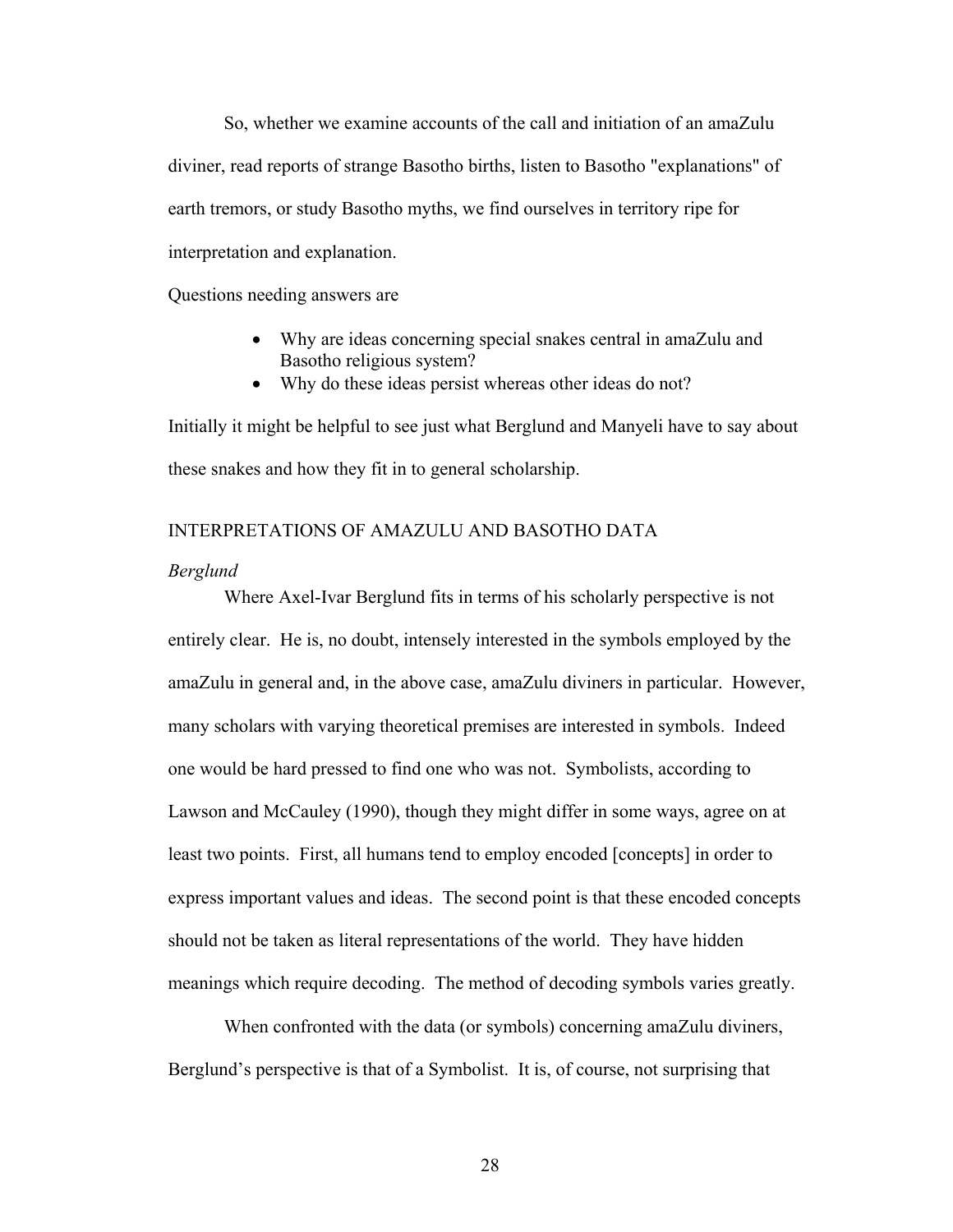So, whether we examine accounts of the call and initiation of an amaZulu diviner, read reports of strange Basotho births, listen to Basotho "explanations" of earth tremors, or study Basotho myths, we find ourselves in territory ripe for interpretation and explanation.

Questions needing answers are

- Why are ideas concerning special snakes central in amaZulu and Basotho religious system?
- Why do these ideas persist whereas other ideas do not?

Initially it might be helpful to see just what Berglund and Manyeli have to say about these snakes and how they fit in to general scholarship.

# INTERPRETATIONS OF AMAZULU AND BASOTHO DATA

### *Berglund*

Where Axel-Ivar Berglund fits in terms of his scholarly perspective is not entirely clear. He is, no doubt, intensely interested in the symbols employed by the amaZulu in general and, in the above case, amaZulu diviners in particular. However, many scholars with varying theoretical premises are interested in symbols. Indeed one would be hard pressed to find one who was not. Symbolists, according to Lawson and McCauley (1990), though they might differ in some ways, agree on at least two points. First, all humans tend to employ encoded [concepts] in order to express important values and ideas. The second point is that these encoded concepts should not be taken as literal representations of the world. They have hidden meanings which require decoding. The method of decoding symbols varies greatly.

When confronted with the data (or symbols) concerning amaZulu diviners, Berglund's perspective is that of a Symbolist. It is, of course, not surprising that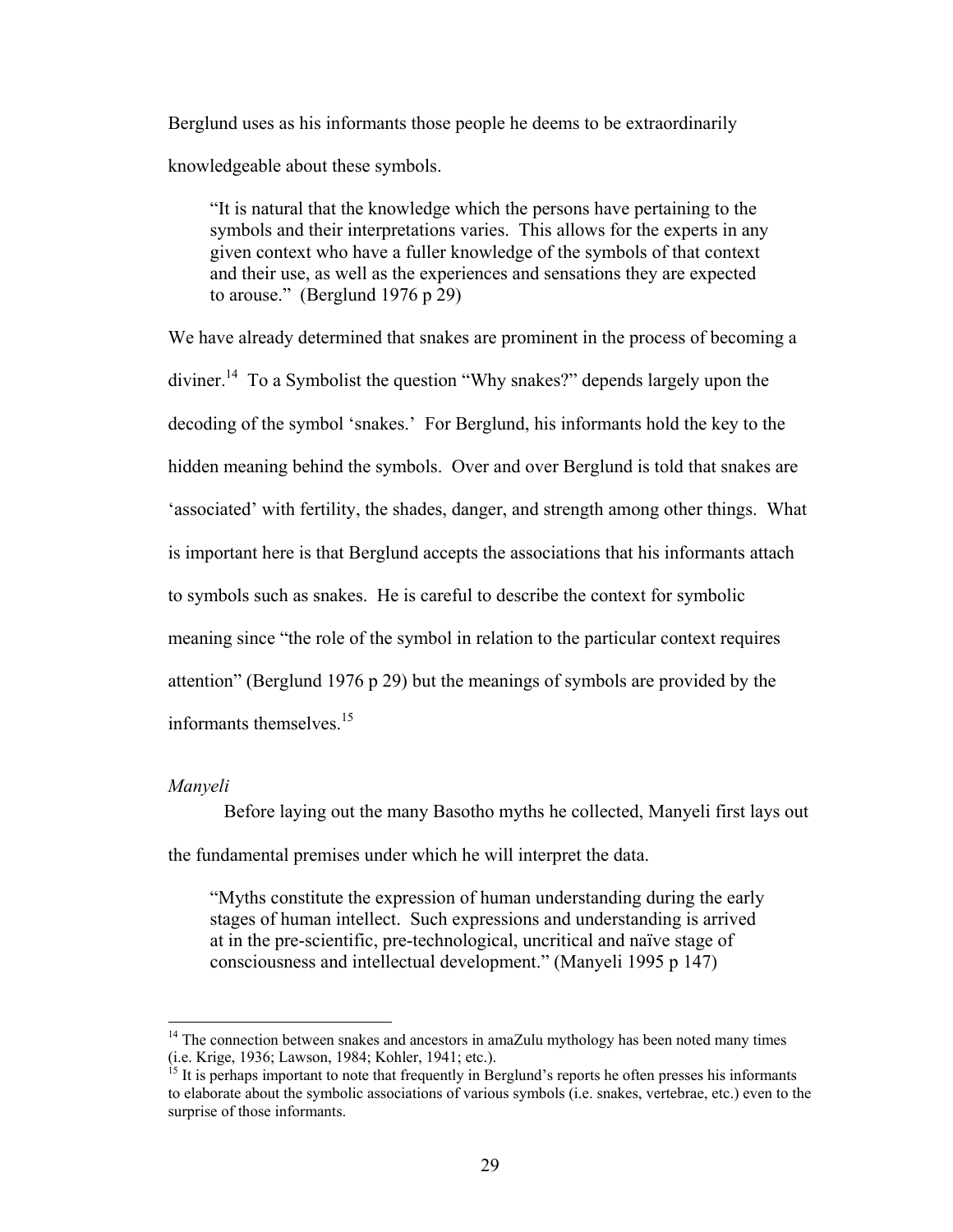Berglund uses as his informants those people he deems to be extraordinarily knowledgeable about these symbols.

"It is natural that the knowledge which the persons have pertaining to the symbols and their interpretations varies. This allows for the experts in any given context who have a fuller knowledge of the symbols of that context and their use, as well as the experiences and sensations they are expected to arouse." (Berglund 1976 p 29)

We have already determined that snakes are prominent in the process of becoming a diviner[.14](#page-38-0) To a Symbolist the question "Why snakes?" depends largely upon the decoding of the symbol 'snakes.' For Berglund, his informants hold the key to the hidden meaning behind the symbols. Over and over Berglund is told that snakes are 'associated' with fertility, the shades, danger, and strength among other things. What is important here is that Berglund accepts the associations that his informants attach to symbols such as snakes. He is careful to describe the context for symbolic meaning since "the role of the symbol in relation to the particular context requires attention" (Berglund 1976 p 29) but the meanings of symbols are provided by the informants themselves.<sup>15</sup>

# *Manyeli*

1

Before laying out the many Basotho myths he collected, Manyeli first lays out the fundamental premises under which he will interpret the data.

"Myths constitute the expression of human understanding during the early stages of human intellect. Such expressions and understanding is arrived at in the pre-scientific, pre-technological, uncritical and naïve stage of consciousness and intellectual development." (Manyeli 1995 p 147)

<span id="page-38-0"></span> $14$  The connection between snakes and ancestors in amaZulu mythology has been noted many times (i.e. Krige, 1936; Lawson, 1984; Kohler, 1941; etc.).<br><sup>15</sup> It is perhaps important to note that frequently in Berglund's reports he often presses his informants

<span id="page-38-1"></span>to elaborate about the symbolic associations of various symbols (i.e. snakes, vertebrae, etc.) even to the surprise of those informants.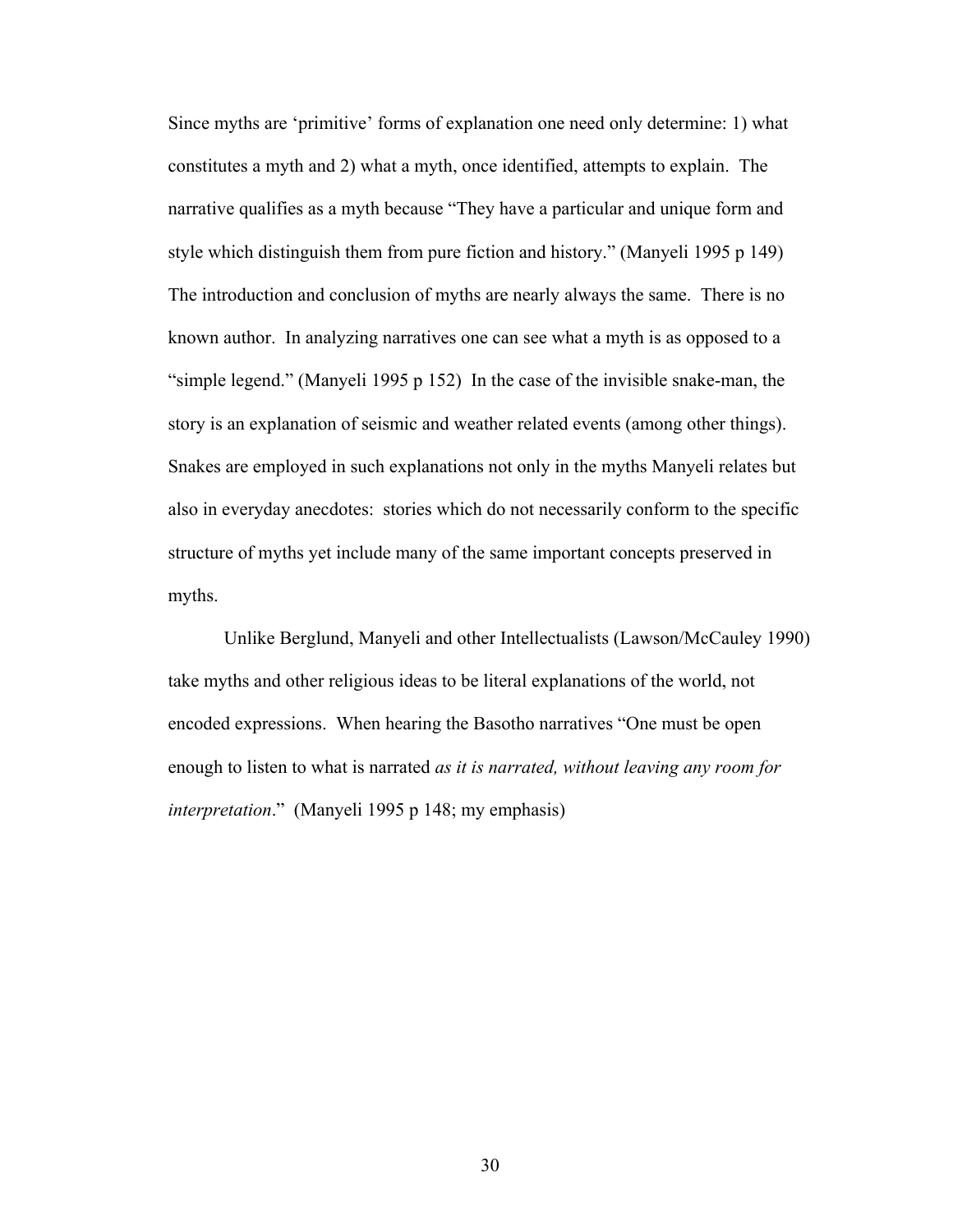Since myths are 'primitive' forms of explanation one need only determine: 1) what constitutes a myth and 2) what a myth, once identified, attempts to explain. The narrative qualifies as a myth because "They have a particular and unique form and style which distinguish them from pure fiction and history." (Manyeli 1995 p 149) The introduction and conclusion of myths are nearly always the same. There is no known author. In analyzing narratives one can see what a myth is as opposed to a "simple legend." (Manyeli 1995 p 152) In the case of the invisible snake-man, the story is an explanation of seismic and weather related events (among other things). Snakes are employed in such explanations not only in the myths Manyeli relates but also in everyday anecdotes: stories which do not necessarily conform to the specific structure of myths yet include many of the same important concepts preserved in myths.

Unlike Berglund, Manyeli and other Intellectualists (Lawson/McCauley 1990) take myths and other religious ideas to be literal explanations of the world, not encoded expressions. When hearing the Basotho narratives "One must be open enough to listen to what is narrated *as it is narrated, without leaving any room for interpretation*." (Manyeli 1995 p 148; my emphasis)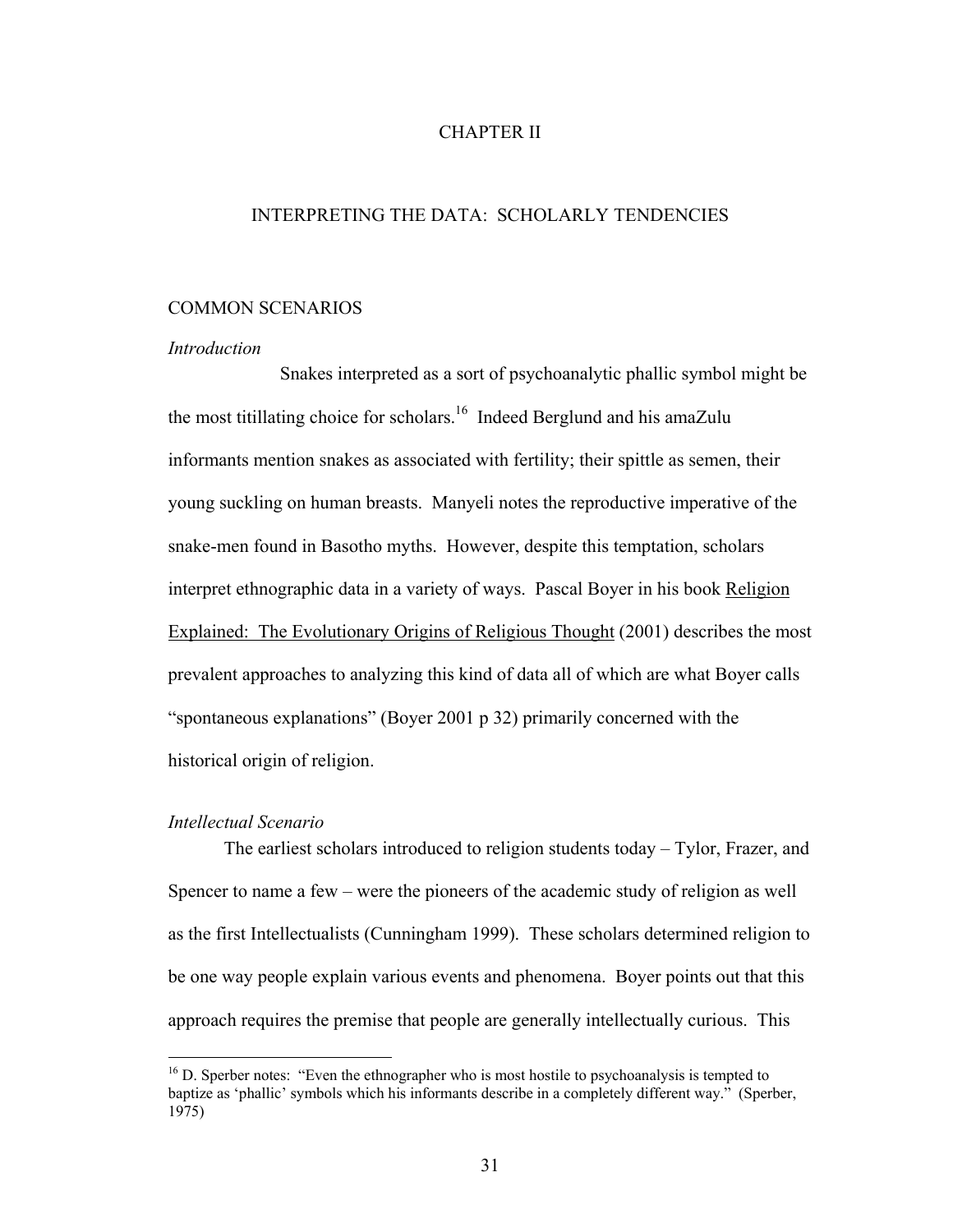# CHAPTER II

# INTERPRETING THE DATA: SCHOLARLY TENDENCIES

# COMMON SCENARIOS

#### *Introduction*

Snakes interpreted as a sort of psychoanalytic phallic symbol might be the most titillating choice for scholars.<sup>16</sup> Indeed Berglund and his amaZulu informants mention snakes as associated with fertility; their spittle as semen, their young suckling on human breasts. Manyeli notes the reproductive imperative of the snake-men found in Basotho myths. However, despite this temptation, scholars interpret ethnographic data in a variety of ways. Pascal Boyer in his book Religion Explained: The Evolutionary Origins of Religious Thought (2001) describes the most prevalent approaches to analyzing this kind of data all of which are what Boyer calls "spontaneous explanations" (Boyer 2001 p 32) primarily concerned with the historical origin of religion.

# *Intellectual Scenario*

 $\overline{a}$ 

The earliest scholars introduced to religion students today – Tylor, Frazer, and Spencer to name a few – were the pioneers of the academic study of religion as well as the first Intellectualists (Cunningham 1999). These scholars determined religion to be one way people explain various events and phenomena. Boyer points out that this approach requires the premise that people are generally intellectually curious. This

<span id="page-40-0"></span> $16$  D. Sperber notes: "Even the ethnographer who is most hostile to psychoanalysis is tempted to baptize as 'phallic' symbols which his informants describe in a completely different way." (Sperber, 1975)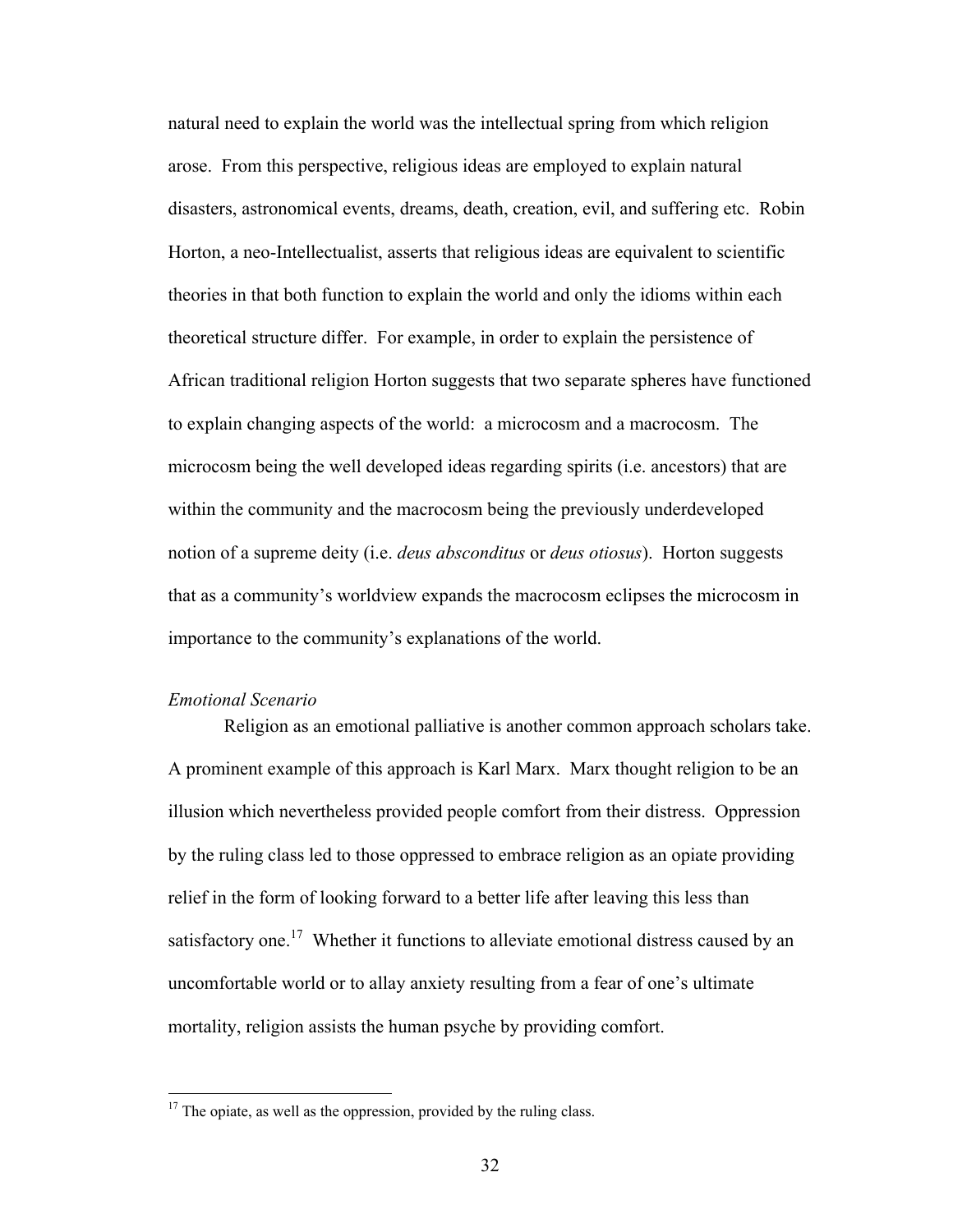natural need to explain the world was the intellectual spring from which religion arose. From this perspective, religious ideas are employed to explain natural disasters, astronomical events, dreams, death, creation, evil, and suffering etc. Robin Horton, a neo-Intellectualist, asserts that religious ideas are equivalent to scientific theories in that both function to explain the world and only the idioms within each theoretical structure differ. For example, in order to explain the persistence of African traditional religion Horton suggests that two separate spheres have functioned to explain changing aspects of the world: a microcosm and a macrocosm. The microcosm being the well developed ideas regarding spirits (i.e. ancestors) that are within the community and the macrocosm being the previously underdeveloped notion of a supreme deity (i.e. *deus absconditus* or *deus otiosus*). Horton suggests that as a community's worldview expands the macrocosm eclipses the microcosm in importance to the community's explanations of the world.

# *Emotional Scenario*

<u>.</u>

Religion as an emotional palliative is another common approach scholars take. A prominent example of this approach is Karl Marx. Marx thought religion to be an illusion which nevertheless provided people comfort from their distress. Oppression by the ruling class led to those oppressed to embrace religion as an opiate providing relief in the form of looking forward to a better life after leaving this less than satisfactory one.<sup>17</sup> Whether it functions to alleviate emotional distress caused by an uncomfortable world or to allay anxiety resulting from a fear of one's ultimate mortality, religion assists the human psyche by providing comfort.

<span id="page-41-0"></span> $17$  The opiate, as well as the oppression, provided by the ruling class.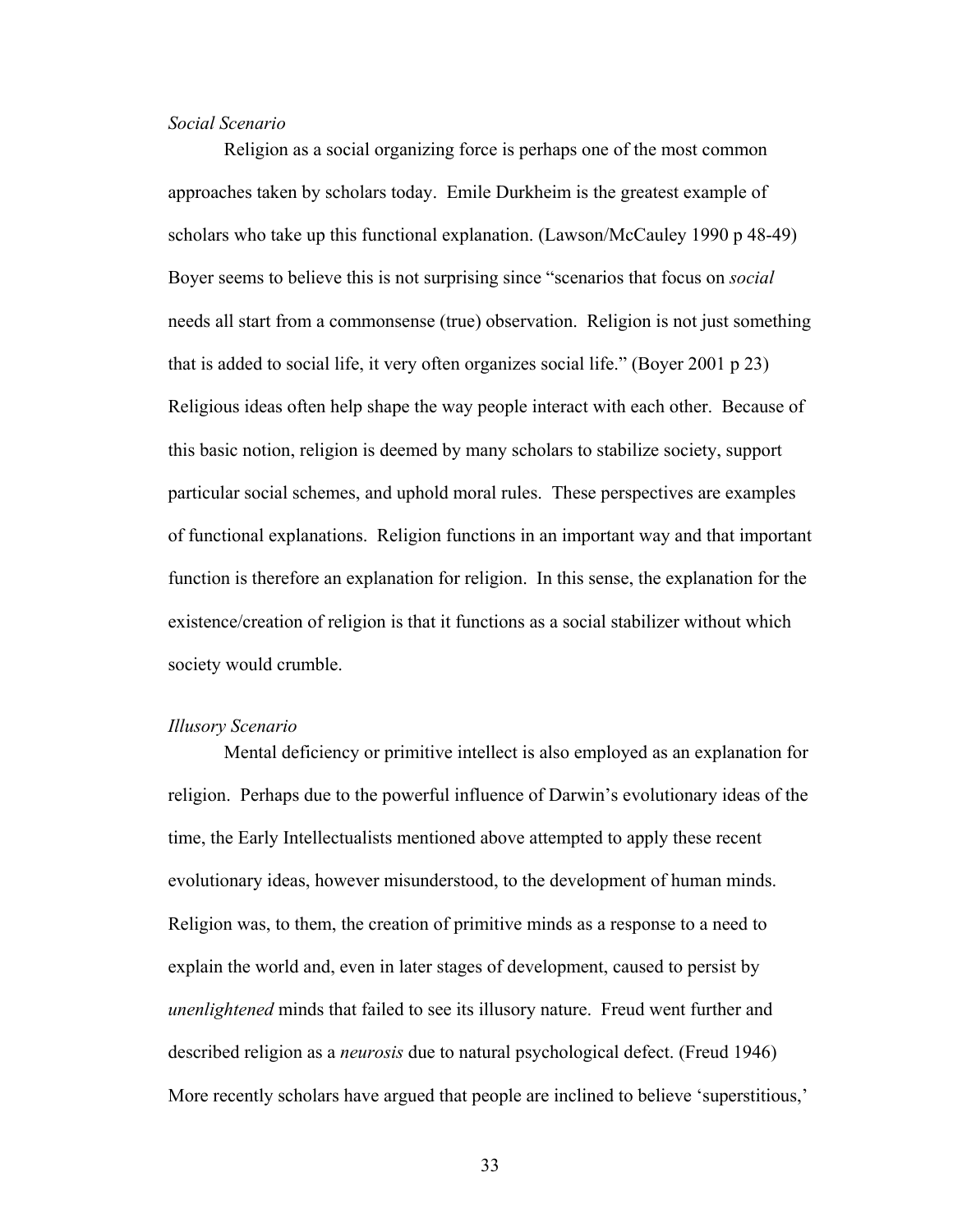# *Social Scenario*

Religion as a social organizing force is perhaps one of the most common approaches taken by scholars today. Emile Durkheim is the greatest example of scholars who take up this functional explanation. (Lawson/McCauley 1990 p 48-49) Boyer seems to believe this is not surprising since "scenarios that focus on *social* needs all start from a commonsense (true) observation. Religion is not just something that is added to social life, it very often organizes social life." (Boyer 2001 p 23) Religious ideas often help shape the way people interact with each other. Because of this basic notion, religion is deemed by many scholars to stabilize society, support particular social schemes, and uphold moral rules. These perspectives are examples of functional explanations. Religion functions in an important way and that important function is therefore an explanation for religion. In this sense, the explanation for the existence/creation of religion is that it functions as a social stabilizer without which society would crumble.

### *Illusory Scenario*

Mental deficiency or primitive intellect is also employed as an explanation for religion. Perhaps due to the powerful influence of Darwin's evolutionary ideas of the time, the Early Intellectualists mentioned above attempted to apply these recent evolutionary ideas, however misunderstood, to the development of human minds. Religion was, to them, the creation of primitive minds as a response to a need to explain the world and, even in later stages of development, caused to persist by *unenlightened* minds that failed to see its illusory nature. Freud went further and described religion as a *neurosis* due to natural psychological defect. (Freud 1946) More recently scholars have argued that people are inclined to believe 'superstitious,'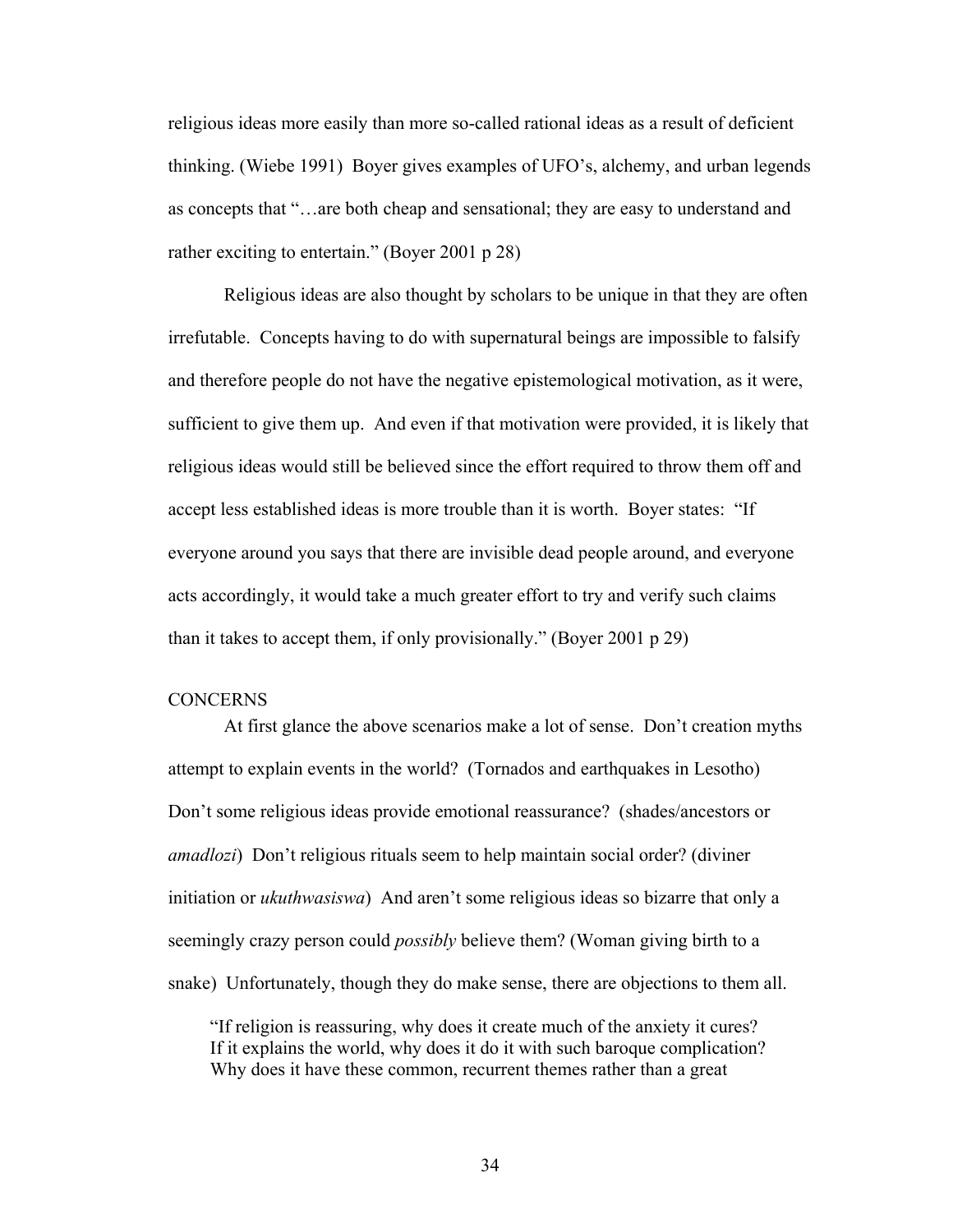religious ideas more easily than more so-called rational ideas as a result of deficient thinking. (Wiebe 1991) Boyer gives examples of UFO's, alchemy, and urban legends as concepts that "…are both cheap and sensational; they are easy to understand and rather exciting to entertain." (Boyer 2001 p 28)

Religious ideas are also thought by scholars to be unique in that they are often irrefutable. Concepts having to do with supernatural beings are impossible to falsify and therefore people do not have the negative epistemological motivation, as it were, sufficient to give them up. And even if that motivation were provided, it is likely that religious ideas would still be believed since the effort required to throw them off and accept less established ideas is more trouble than it is worth. Boyer states: "If everyone around you says that there are invisible dead people around, and everyone acts accordingly, it would take a much greater effort to try and verify such claims than it takes to accept them, if only provisionally." (Boyer 2001 p 29)

#### **CONCERNS**

At first glance the above scenarios make a lot of sense. Don't creation myths attempt to explain events in the world? (Tornados and earthquakes in Lesotho) Don't some religious ideas provide emotional reassurance? (shades/ancestors or *amadlozi*) Don't religious rituals seem to help maintain social order? (diviner initiation or *ukuthwasiswa*) And aren't some religious ideas so bizarre that only a seemingly crazy person could *possibly* believe them? (Woman giving birth to a snake) Unfortunately, though they do make sense, there are objections to them all.

"If religion is reassuring, why does it create much of the anxiety it cures? If it explains the world, why does it do it with such baroque complication? Why does it have these common, recurrent themes rather than a great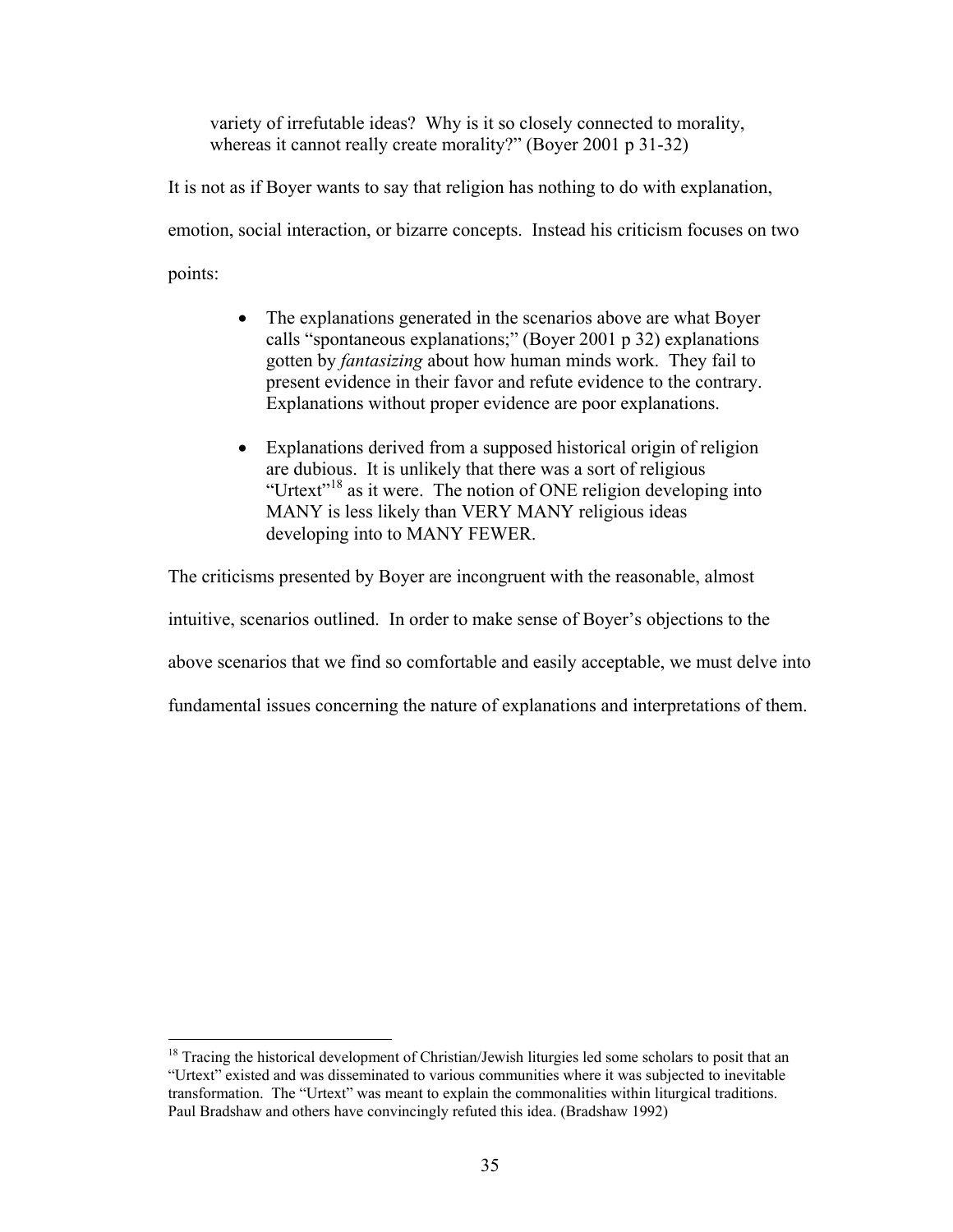variety of irrefutable ideas? Why is it so closely connected to morality, whereas it cannot really create morality?" (Boyer 2001 p 31-32)

It is not as if Boyer wants to say that religion has nothing to do with explanation, emotion, social interaction, or bizarre concepts. Instead his criticism focuses on two points:

- The explanations generated in the scenarios above are what Boyer calls "spontaneous explanations;" (Boyer 2001 p 32) explanations gotten by *fantasizing* about how human minds work. They fail to present evidence in their favor and refute evidence to the contrary. Explanations without proper evidence are poor explanations.
- Explanations derived from a supposed historical origin of religion are dubious. It is unlikely that there was a sort of religious "Urtext["18](#page-44-0) as it were. The notion of ONE religion developing into MANY is less likely than VERY MANY religious ideas developing into to MANY FEWER.

The criticisms presented by Boyer are incongruent with the reasonable, almost

intuitive, scenarios outlined. In order to make sense of Boyer's objections to the

above scenarios that we find so comfortable and easily acceptable, we must delve into

fundamental issues concerning the nature of explanations and interpretations of them.

 $\overline{a}$ 

<span id="page-44-0"></span><sup>&</sup>lt;sup>18</sup> Tracing the historical development of Christian/Jewish liturgies led some scholars to posit that an "Urtext" existed and was disseminated to various communities where it was subjected to inevitable transformation. The "Urtext" was meant to explain the commonalities within liturgical traditions. Paul Bradshaw and others have convincingly refuted this idea. (Bradshaw 1992)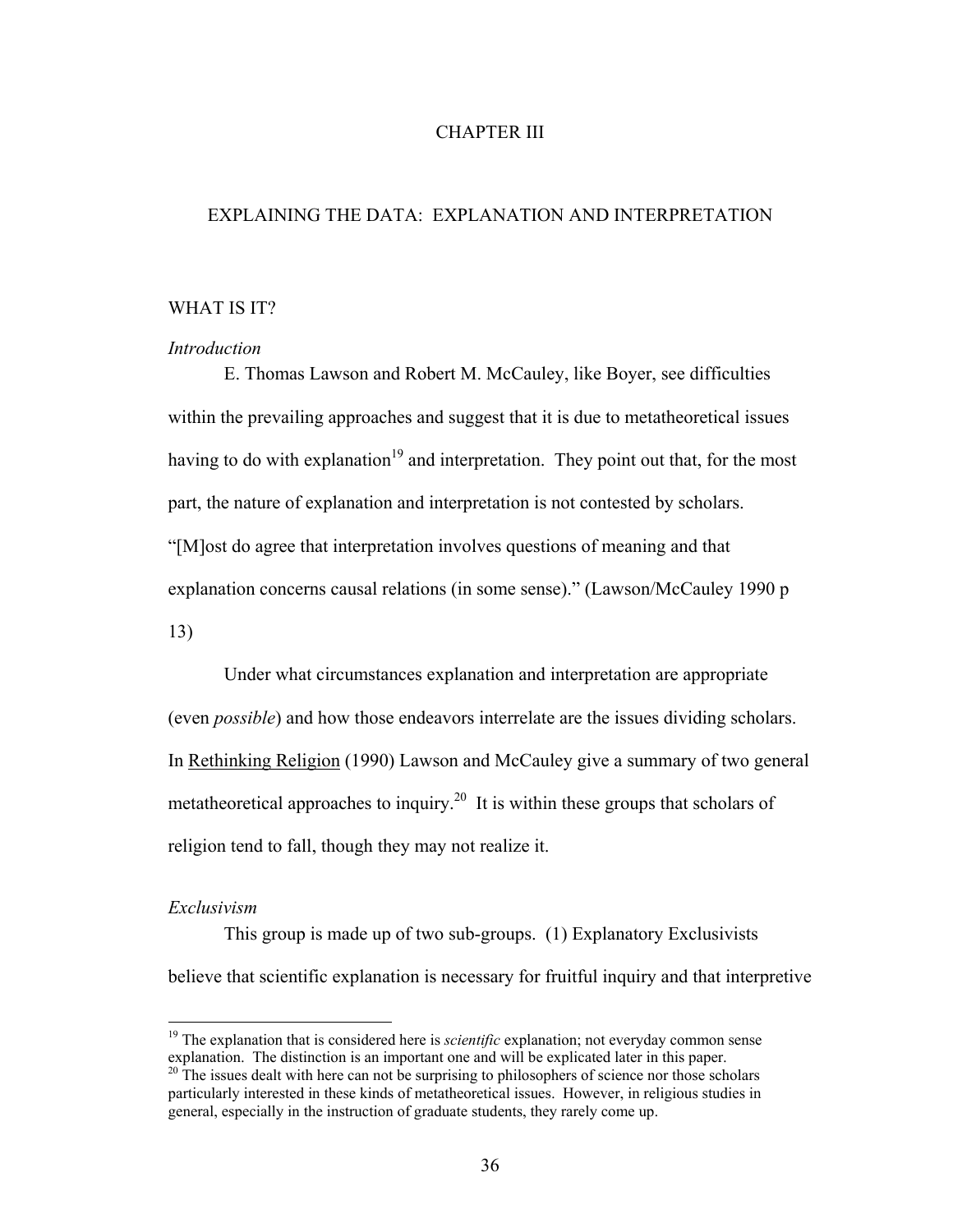# CHAPTER III

# EXPLAINING THE DATA: EXPLANATION AND INTERPRETATION

# WHAT IS IT?

#### *Introduction*

E. Thomas Lawson and Robert M. McCauley, like Boyer, see difficulties within the prevailing approaches and suggest that it is due to metatheoretical issues having to do with explanation<sup>19</sup> and interpretation. They point out that, for the most part, the nature of explanation and interpretation is not contested by scholars. "[M]ost do agree that interpretation involves questions of meaning and that explanation concerns causal relations (in some sense)." (Lawson/McCauley 1990 p 13)

Under what circumstances explanation and interpretation are appropriate (even *possible*) and how those endeavors interrelate are the issues dividing scholars. In Rethinking Religion (1990) Lawson and McCauley give a summary of two general metatheoretical approaches to inquiry.<sup>20</sup> It is within these groups that scholars of religion tend to fall, though they may not realize it.

#### *Exclusivism*

 $\overline{a}$ 

This group is made up of two sub-groups. (1) Explanatory Exclusivists believe that scientific explanation is necessary for fruitful inquiry and that interpretive

<span id="page-45-0"></span><sup>&</sup>lt;sup>19</sup> The explanation that is considered here is *scientific* explanation; not everyday common sense explanation. The distinction is an important one and will be explicated later in this paper.  $^{20}$  The issues dealt with here can not be surprising to philosophers of science nor those scholars

<span id="page-45-1"></span>particularly interested in these kinds of metatheoretical issues. However, in religious studies in general, especially in the instruction of graduate students, they rarely come up.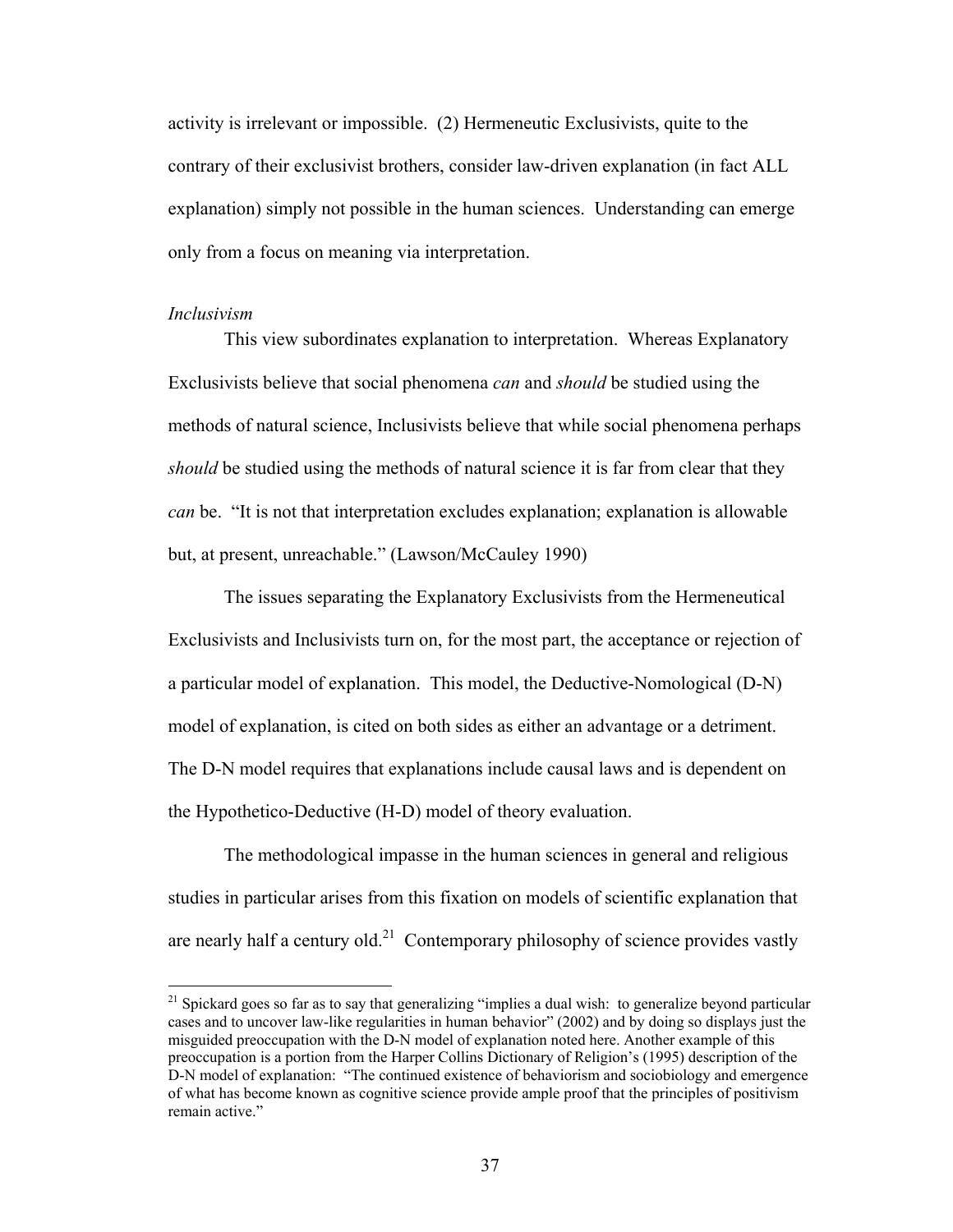activity is irrelevant or impossible. (2) Hermeneutic Exclusivists, quite to the contrary of their exclusivist brothers, consider law-driven explanation (in fact ALL explanation) simply not possible in the human sciences. Understanding can emerge only from a focus on meaning via interpretation.

#### *Inclusivism*

 $\overline{a}$ 

This view subordinates explanation to interpretation. Whereas Explanatory Exclusivists believe that social phenomena *can* and *should* be studied using the methods of natural science, Inclusivists believe that while social phenomena perhaps *should* be studied using the methods of natural science it is far from clear that they *can* be. "It is not that interpretation excludes explanation; explanation is allowable but, at present, unreachable." (Lawson/McCauley 1990)

The issues separating the Explanatory Exclusivists from the Hermeneutical Exclusivists and Inclusivists turn on, for the most part, the acceptance or rejection of a particular model of explanation. This model, the Deductive-Nomological (D-N) model of explanation, is cited on both sides as either an advantage or a detriment. The D-N model requires that explanations include causal laws and is dependent on the Hypothetico-Deductive (H-D) model of theory evaluation.

The methodological impasse in the human sciences in general and religious studies in particular arises from this fixation on models of scientific explanation that are nearly half a century old.<sup>21</sup> Contemporary philosophy of science provides vastly

<span id="page-46-0"></span> $21$  Spickard goes so far as to say that generalizing "implies a dual wish: to generalize beyond particular cases and to uncover law-like regularities in human behavior" (2002) and by doing so displays just the misguided preoccupation with the D-N model of explanation noted here. Another example of this preoccupation is a portion from the Harper Collins Dictionary of Religion's (1995) description of the D-N model of explanation: "The continued existence of behaviorism and sociobiology and emergence of what has become known as cognitive science provide ample proof that the principles of positivism remain active."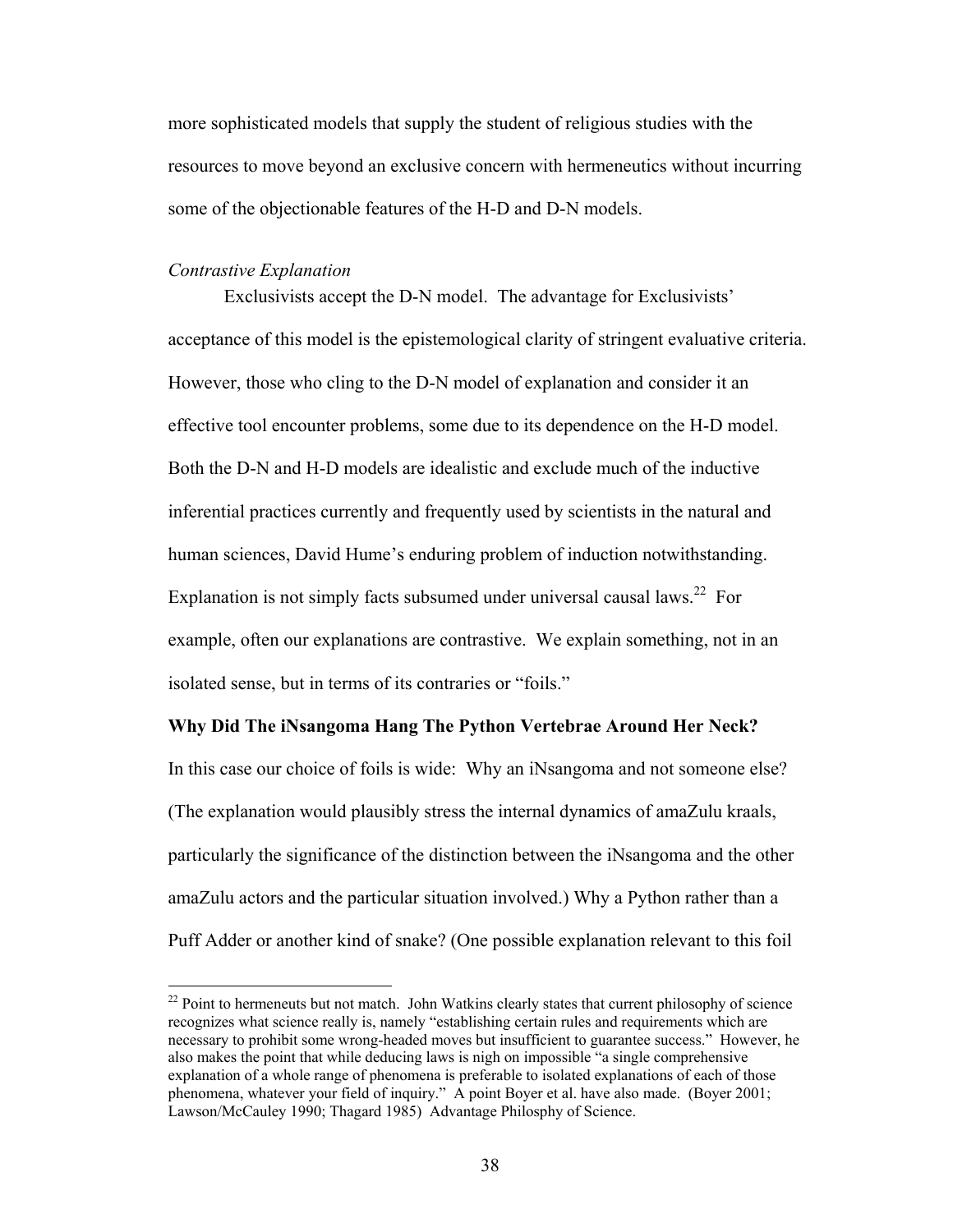more sophisticated models that supply the student of religious studies with the resources to move beyond an exclusive concern with hermeneutics without incurring some of the objectionable features of the H-D and D-N models.

#### *Contrastive Explanation*

<u>.</u>

Exclusivists accept the D-N model. The advantage for Exclusivists' acceptance of this model is the epistemological clarity of stringent evaluative criteria. However, those who cling to the D-N model of explanation and consider it an effective tool encounter problems, some due to its dependence on the H-D model. Both the D-N and H-D models are idealistic and exclude much of the inductive inferential practices currently and frequently used by scientists in the natural and human sciences, David Hume's enduring problem of induction notwithstanding. Explanation is not simply facts subsumed under universal causal laws.<sup>22</sup> For example, often our explanations are contrastive. We explain something, not in an isolated sense, but in terms of its contraries or "foils."

### **Why Did The iNsangoma Hang The Python Vertebrae Around Her Neck?**

In this case our choice of foils is wide: Why an iNsangoma and not someone else? (The explanation would plausibly stress the internal dynamics of amaZulu kraals, particularly the significance of the distinction between the iNsangoma and the other amaZulu actors and the particular situation involved.) Why a Python rather than a Puff Adder or another kind of snake? (One possible explanation relevant to this foil

<span id="page-47-0"></span><sup>&</sup>lt;sup>22</sup> Point to hermeneuts but not match. John Watkins clearly states that current philosophy of science recognizes what science really is, namely "establishing certain rules and requirements which are necessary to prohibit some wrong-headed moves but insufficient to guarantee success." However, he also makes the point that while deducing laws is nigh on impossible "a single comprehensive explanation of a whole range of phenomena is preferable to isolated explanations of each of those phenomena, whatever your field of inquiry." A point Boyer et al. have also made. (Boyer 2001; Lawson/McCauley 1990; Thagard 1985) Advantage Philosphy of Science.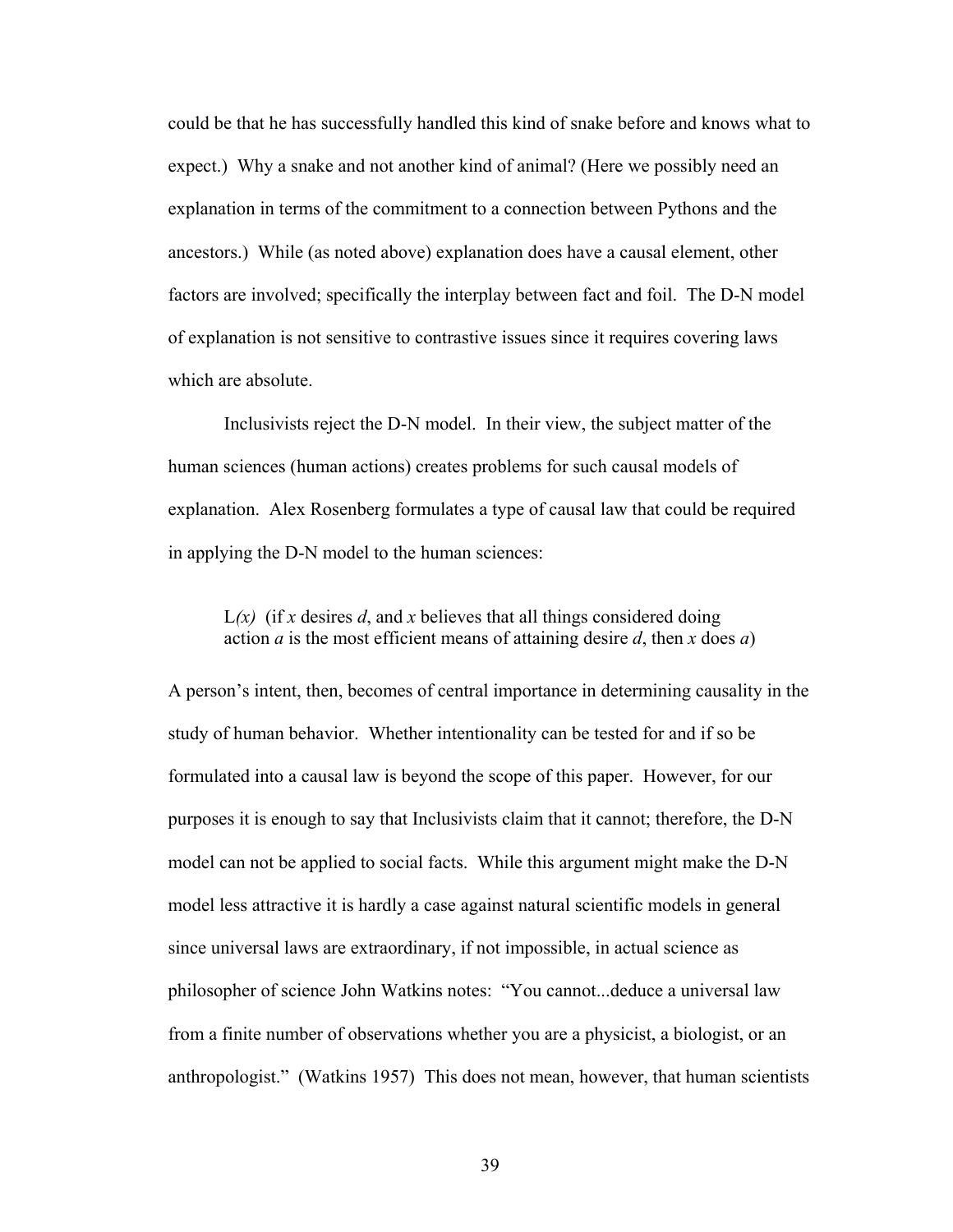could be that he has successfully handled this kind of snake before and knows what to expect.) Why a snake and not another kind of animal? (Here we possibly need an explanation in terms of the commitment to a connection between Pythons and the ancestors.) While (as noted above) explanation does have a causal element, other factors are involved; specifically the interplay between fact and foil. The D-N model of explanation is not sensitive to contrastive issues since it requires covering laws which are absolute.

Inclusivists reject the D-N model. In their view, the subject matter of the human sciences (human actions) creates problems for such causal models of explanation. Alex Rosenberg formulates a type of causal law that could be required in applying the D-N model to the human sciences:

 $L(x)$  (if *x* desires *d*, and *x* believes that all things considered doing action *a* is the most efficient means of attaining desire *d*, then *x* does *a*)

A person's intent, then, becomes of central importance in determining causality in the study of human behavior. Whether intentionality can be tested for and if so be formulated into a causal law is beyond the scope of this paper. However, for our purposes it is enough to say that Inclusivists claim that it cannot; therefore, the D-N model can not be applied to social facts. While this argument might make the D-N model less attractive it is hardly a case against natural scientific models in general since universal laws are extraordinary, if not impossible, in actual science as philosopher of science John Watkins notes: "You cannot...deduce a universal law from a finite number of observations whether you are a physicist, a biologist, or an anthropologist." (Watkins 1957) This does not mean, however, that human scientists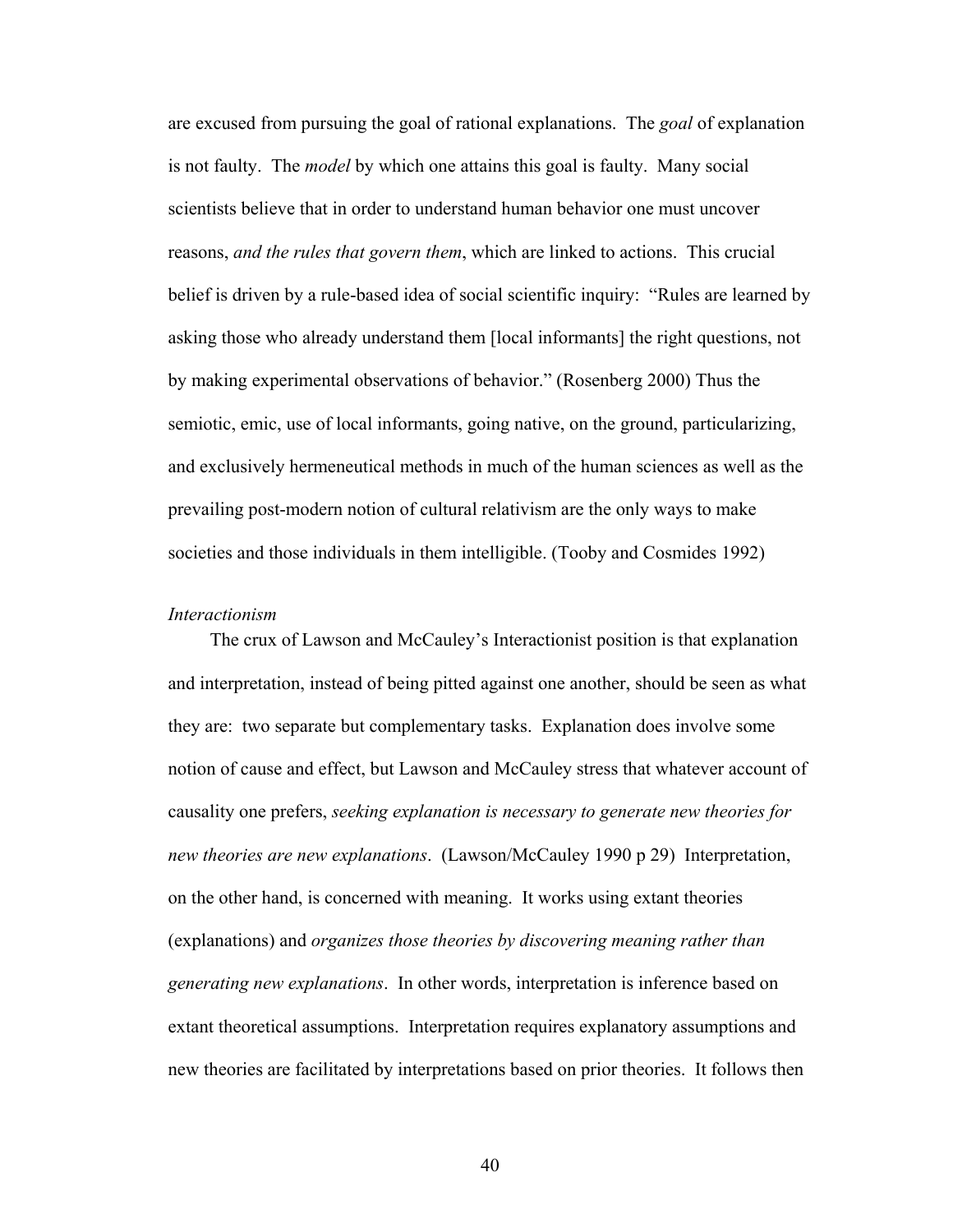are excused from pursuing the goal of rational explanations. The *goal* of explanation is not faulty. The *model* by which one attains this goal is faulty. Many social scientists believe that in order to understand human behavior one must uncover reasons, *and the rules that govern them*, which are linked to actions. This crucial belief is driven by a rule-based idea of social scientific inquiry: "Rules are learned by asking those who already understand them [local informants] the right questions, not by making experimental observations of behavior." (Rosenberg 2000) Thus the semiotic, emic, use of local informants, going native, on the ground, particularizing, and exclusively hermeneutical methods in much of the human sciences as well as the prevailing post-modern notion of cultural relativism are the only ways to make societies and those individuals in them intelligible. (Tooby and Cosmides 1992)

# *Interactionism*

The crux of Lawson and McCauley's Interactionist position is that explanation and interpretation, instead of being pitted against one another, should be seen as what they are: two separate but complementary tasks. Explanation does involve some notion of cause and effect, but Lawson and McCauley stress that whatever account of causality one prefers, *seeking explanation is necessary to generate new theories for new theories are new explanations*. (Lawson/McCauley 1990 p 29) Interpretation, on the other hand, is concerned with meaning. It works using extant theories (explanations) and *organizes those theories by discovering meaning rather than generating new explanations*. In other words, interpretation is inference based on extant theoretical assumptions. Interpretation requires explanatory assumptions and new theories are facilitated by interpretations based on prior theories. It follows then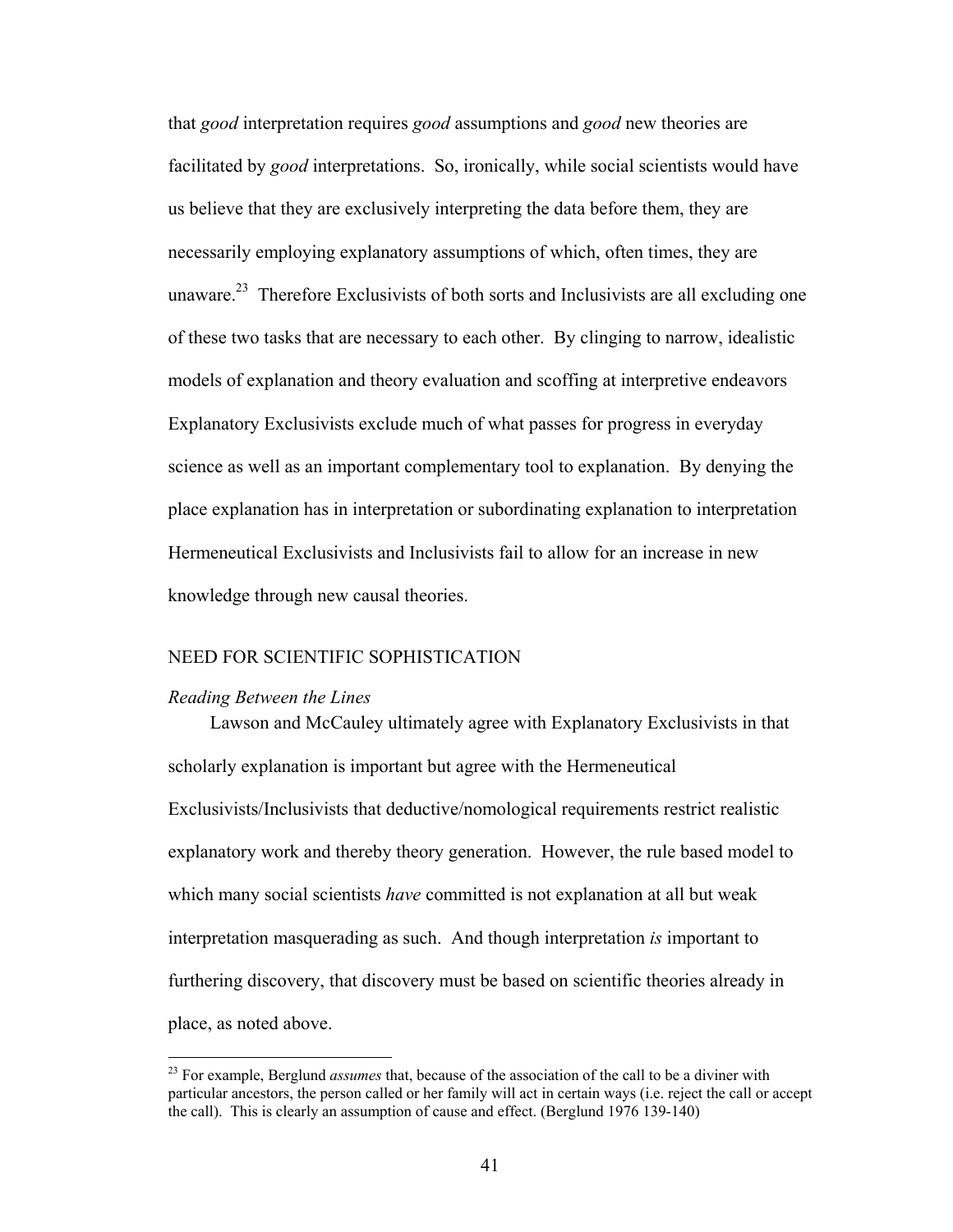that *good* interpretation requires *good* assumptions and *good* new theories are facilitated by *good* interpretations. So, ironically, while social scientists would have us believe that they are exclusively interpreting the data before them, they are necessarily employing explanatory assumptions of which, often times, they are unaware.<sup>23</sup> Therefore Exclusivists of both sorts and Inclusivists are all excluding one of these two tasks that are necessary to each other. By clinging to narrow, idealistic models of explanation and theory evaluation and scoffing at interpretive endeavors Explanatory Exclusivists exclude much of what passes for progress in everyday science as well as an important complementary tool to explanation. By denying the place explanation has in interpretation or subordinating explanation to interpretation Hermeneutical Exclusivists and Inclusivists fail to allow for an increase in new knowledge through new causal theories.

### NEED FOR SCIENTIFIC SOPHISTICATION

#### *Reading Between the Lines*

1

Lawson and McCauley ultimately agree with Explanatory Exclusivists in that scholarly explanation is important but agree with the Hermeneutical Exclusivists/Inclusivists that deductive/nomological requirements restrict realistic explanatory work and thereby theory generation. However, the rule based model to which many social scientists *have* committed is not explanation at all but weak interpretation masquerading as such. And though interpretation *is* important to furthering discovery, that discovery must be based on scientific theories already in place, as noted above.

<span id="page-50-0"></span><sup>&</sup>lt;sup>23</sup> For example, Berglund *assumes* that, because of the association of the call to be a diviner with particular ancestors, the person called or her family will act in certain ways (i.e. reject the call or accept the call). This is clearly an assumption of cause and effect. (Berglund 1976 139-140)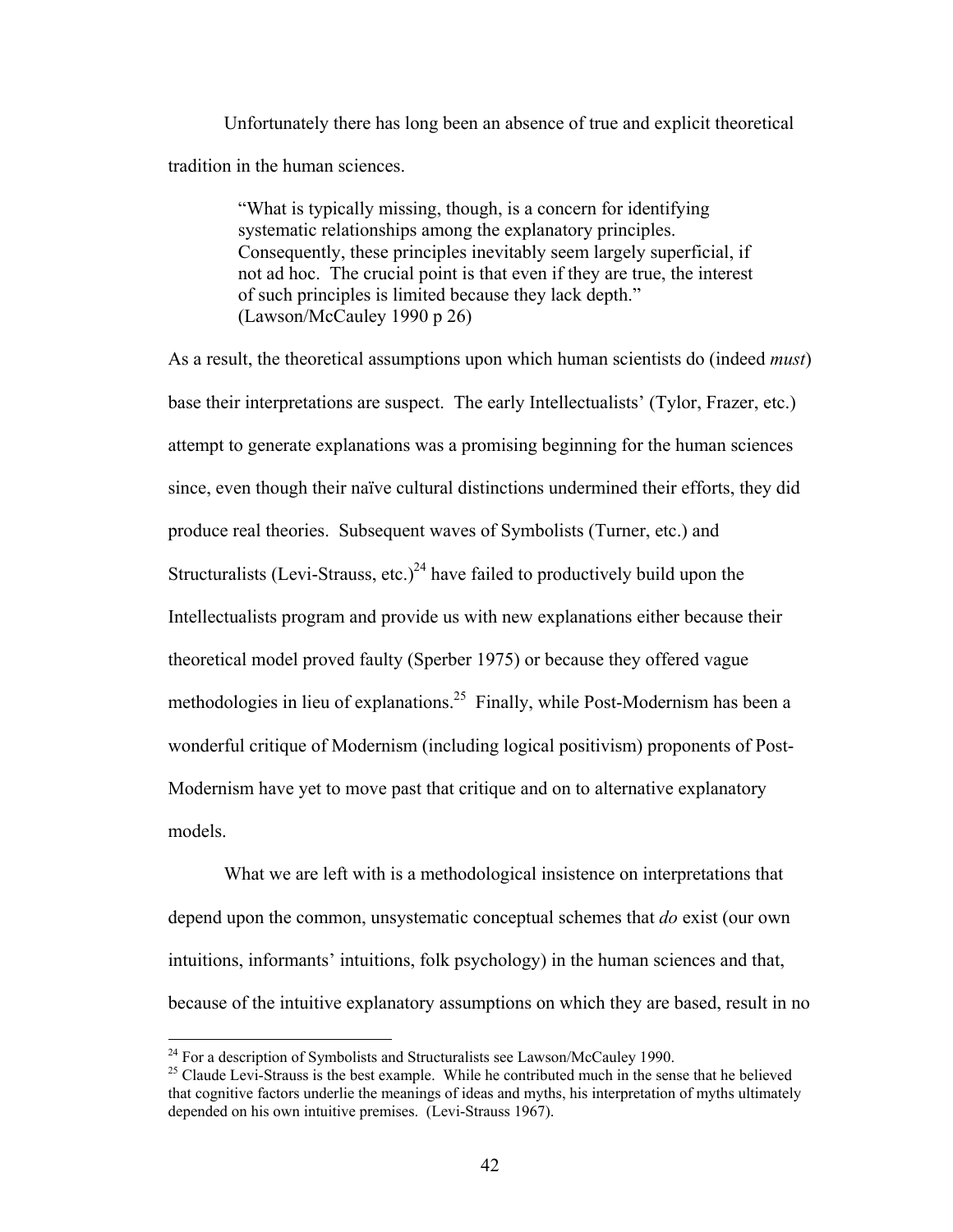Unfortunately there has long been an absence of true and explicit theoretical tradition in the human sciences.

> "What is typically missing, though, is a concern for identifying systematic relationships among the explanatory principles. Consequently, these principles inevitably seem largely superficial, if not ad hoc. The crucial point is that even if they are true, the interest of such principles is limited because they lack depth." (Lawson/McCauley 1990 p 26)

As a result, the theoretical assumptions upon which human scientists do (indeed *must*) base their interpretations are suspect. The early Intellectualists' (Tylor, Frazer, etc.) attempt to generate explanations was a promising beginning for the human sciences since, even though their naïve cultural distinctions undermined their efforts, they did produce real theories. Subsequent waves of Symbolists (Turner, etc.) and Structuralists (Levi-Strauss, etc.)<sup>24</sup> have failed to productively build upon the Intellectualists program and provide us with new explanations either because their theoretical model proved faulty (Sperber 1975) or because they offered vague methodologies in lieu of explanations.<sup>25</sup> Finally, while Post-Modernism has been a wonderful critique of Modernism (including logical positivism) proponents of Post-Modernism have yet to move past that critique and on to alternative explanatory models.

What we are left with is a methodological insistence on interpretations that depend upon the common, unsystematic conceptual schemes that *do* exist (our own intuitions, informants' intuitions, folk psychology) in the human sciences and that, because of the intuitive explanatory assumptions on which they are based, result in no

<span id="page-51-0"></span><sup>&</sup>lt;sup>24</sup> For a description of Symbolists and Structuralists see Lawson/McCauley 1990.

<span id="page-51-1"></span><sup>&</sup>lt;sup>25</sup> Claude Levi-Strauss is the best example. While he contributed much in the sense that he believed that cognitive factors underlie the meanings of ideas and myths, his interpretation of myths ultimately depended on his own intuitive premises. (Levi-Strauss 1967).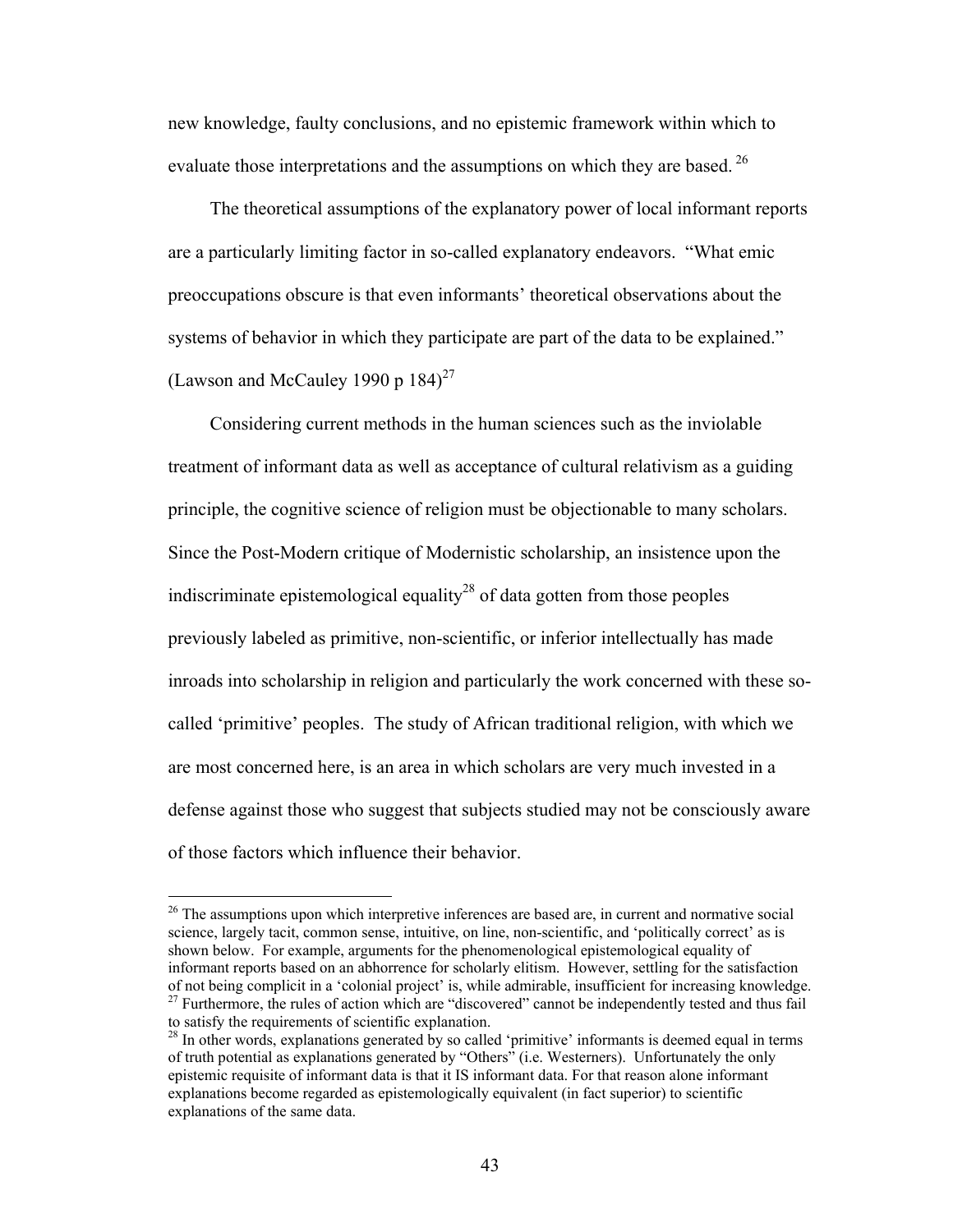new knowledge, faulty conclusions, and no epistemic framework within which to evaluate those interpretations and the assumptions on which they are based.<sup>[26](#page-52-0)</sup>

The theoretical assumptions of the explanatory power of local informant reports are a particularly limiting factor in so-called explanatory endeavors. "What emic preoccupations obscure is that even informants' theoretical observations about the systems of behavior in which they participate are part of the data to be explained." (Lawson and McCauley 1990 p  $184$ )<sup>27</sup>

Considering current methods in the human sciences such as the inviolable treatment of informant data as well as acceptance of cultural relativism as a guiding principle, the cognitive science of religion must be objectionable to many scholars. Since the Post-Modern critique of Modernistic scholarship, an insistence upon the indiscriminate epistemological equality<sup>28</sup> of data gotten from those peoples previously labeled as primitive, non-scientific, or inferior intellectually has made inroads into scholarship in religion and particularly the work concerned with these socalled 'primitive' peoples. The study of African traditional religion, with which we are most concerned here, is an area in which scholars are very much invested in a defense against those who suggest that subjects studied may not be consciously aware of those factors which influence their behavior.

<span id="page-52-0"></span><sup>&</sup>lt;sup>26</sup> The assumptions upon which interpretive inferences are based are, in current and normative social science, largely tacit, common sense, intuitive, on line, non-scientific, and 'politically correct' as is shown below. For example, arguments for the phenomenological epistemological equality of informant reports based on an abhorrence for scholarly elitism. However, settling for the satisfaction of not being complicit in a 'colonial project' is, while admirable, insufficient for increasing knowledge.<br><sup>27</sup> Furthermore, the rules of action which are "discovered" cannot be independently tested and thus fail to satisfy the requirements of scientific explanation.<br><sup>28</sup> In other words, explanations generated by so called 'primitive' informants is deemed equal in terms

<span id="page-52-2"></span><span id="page-52-1"></span>of truth potential as explanations generated by "Others" (i.e. Westerners). Unfortunately the only epistemic requisite of informant data is that it IS informant data. For that reason alone informant explanations become regarded as epistemologically equivalent (in fact superior) to scientific explanations of the same data.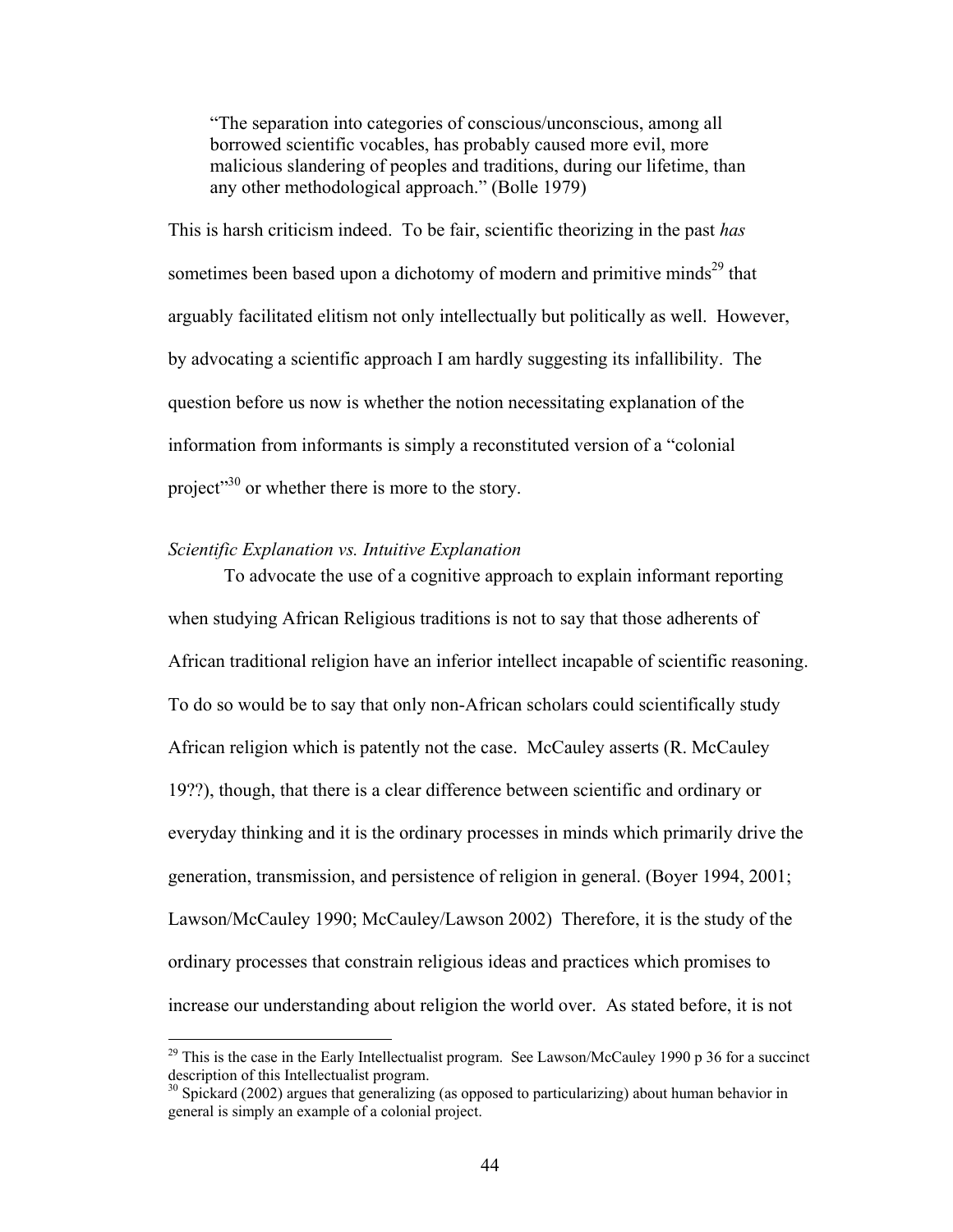"The separation into categories of conscious/unconscious, among all borrowed scientific vocables, has probably caused more evil, more malicious slandering of peoples and traditions, during our lifetime, than any other methodological approach." (Bolle 1979)

This is harsh criticism indeed. To be fair, scientific theorizing in the past *has* sometimes been based upon a dichotomy of modern and primitive minds<sup>29</sup> that arguably facilitated elitism not only intellectually but politically as well. However, by advocating a scientific approach I am hardly suggesting its infallibility. The question before us now is whether the notion necessitating explanation of the information from informants is simply a reconstituted version of a "colonial project<sup>30</sup> or whether there is more to the story.

# *Scientific Explanation vs. Intuitive Explanation*

<u>.</u>

To advocate the use of a cognitive approach to explain informant reporting when studying African Religious traditions is not to say that those adherents of African traditional religion have an inferior intellect incapable of scientific reasoning. To do so would be to say that only non-African scholars could scientifically study African religion which is patently not the case. McCauley asserts (R. McCauley 19??), though, that there is a clear difference between scientific and ordinary or everyday thinking and it is the ordinary processes in minds which primarily drive the generation, transmission, and persistence of religion in general. (Boyer 1994, 2001; Lawson/McCauley 1990; McCauley/Lawson 2002) Therefore, it is the study of the ordinary processes that constrain religious ideas and practices which promises to increase our understanding about religion the world over. As stated before, it is not

<span id="page-53-0"></span> $^{29}$  This is the case in the Early Intellectualist program. See Lawson/McCauley 1990 p 36 for a succinct description of this Intellectualist program.

<span id="page-53-1"></span> $30$  Spickard (2002) argues that generalizing (as opposed to particularizing) about human behavior in general is simply an example of a colonial project.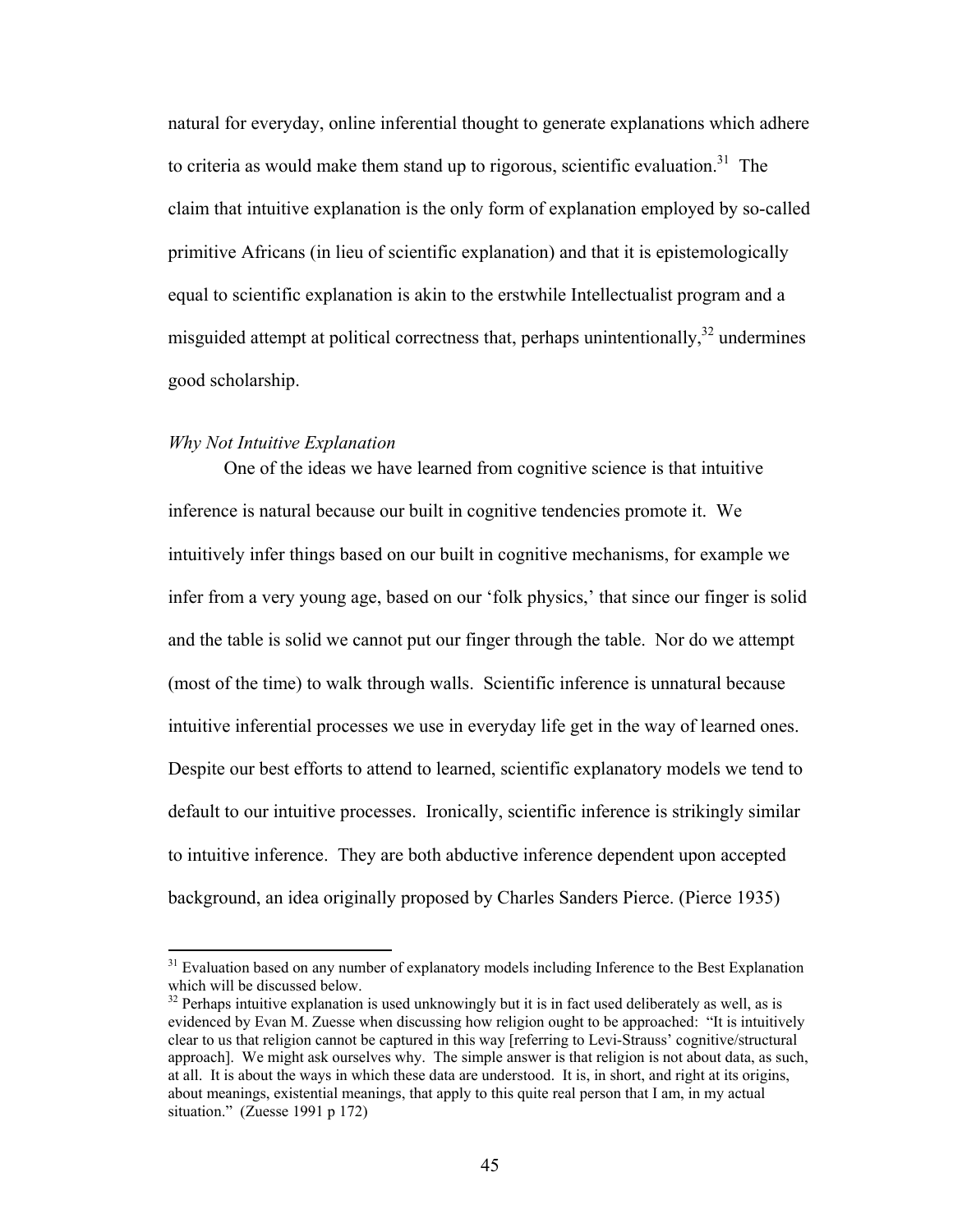natural for everyday, online inferential thought to generate explanations which adhere to criteria as would make them stand up to rigorous, scientific evaluation.<sup>31</sup> The claim that intuitive explanation is the only form of explanation employed by so-called primitive Africans (in lieu of scientific explanation) and that it is epistemologically equal to scientific explanation is akin to the erstwhile Intellectualist program and a misguided attempt at political correctness that, perhaps unintentionally,<sup>32</sup> undermines good scholarship.

#### *Why Not Intuitive Explanation*

 $\overline{a}$ 

One of the ideas we have learned from cognitive science is that intuitive inference is natural because our built in cognitive tendencies promote it. We intuitively infer things based on our built in cognitive mechanisms, for example we infer from a very young age, based on our 'folk physics,' that since our finger is solid and the table is solid we cannot put our finger through the table. Nor do we attempt (most of the time) to walk through walls. Scientific inference is unnatural because intuitive inferential processes we use in everyday life get in the way of learned ones. Despite our best efforts to attend to learned, scientific explanatory models we tend to default to our intuitive processes. Ironically, scientific inference is strikingly similar to intuitive inference. They are both abductive inference dependent upon accepted background, an idea originally proposed by Charles Sanders Pierce. (Pierce 1935)

<span id="page-54-0"></span><sup>&</sup>lt;sup>31</sup> Evaluation based on any number of explanatory models including Inference to the Best Explanation which will be discussed below.<br><sup>32</sup> Perhaps intuitive explanation is used unknowingly but it is in fact used deliberately as well, as is

<span id="page-54-1"></span>evidenced by Evan M. Zuesse when discussing how religion ought to be approached: "It is intuitively clear to us that religion cannot be captured in this way [referring to Levi-Strauss' cognitive/structural approach]. We might ask ourselves why. The simple answer is that religion is not about data, as such, at all. It is about the ways in which these data are understood. It is, in short, and right at its origins, about meanings, existential meanings, that apply to this quite real person that I am, in my actual situation." (Zuesse 1991 p 172)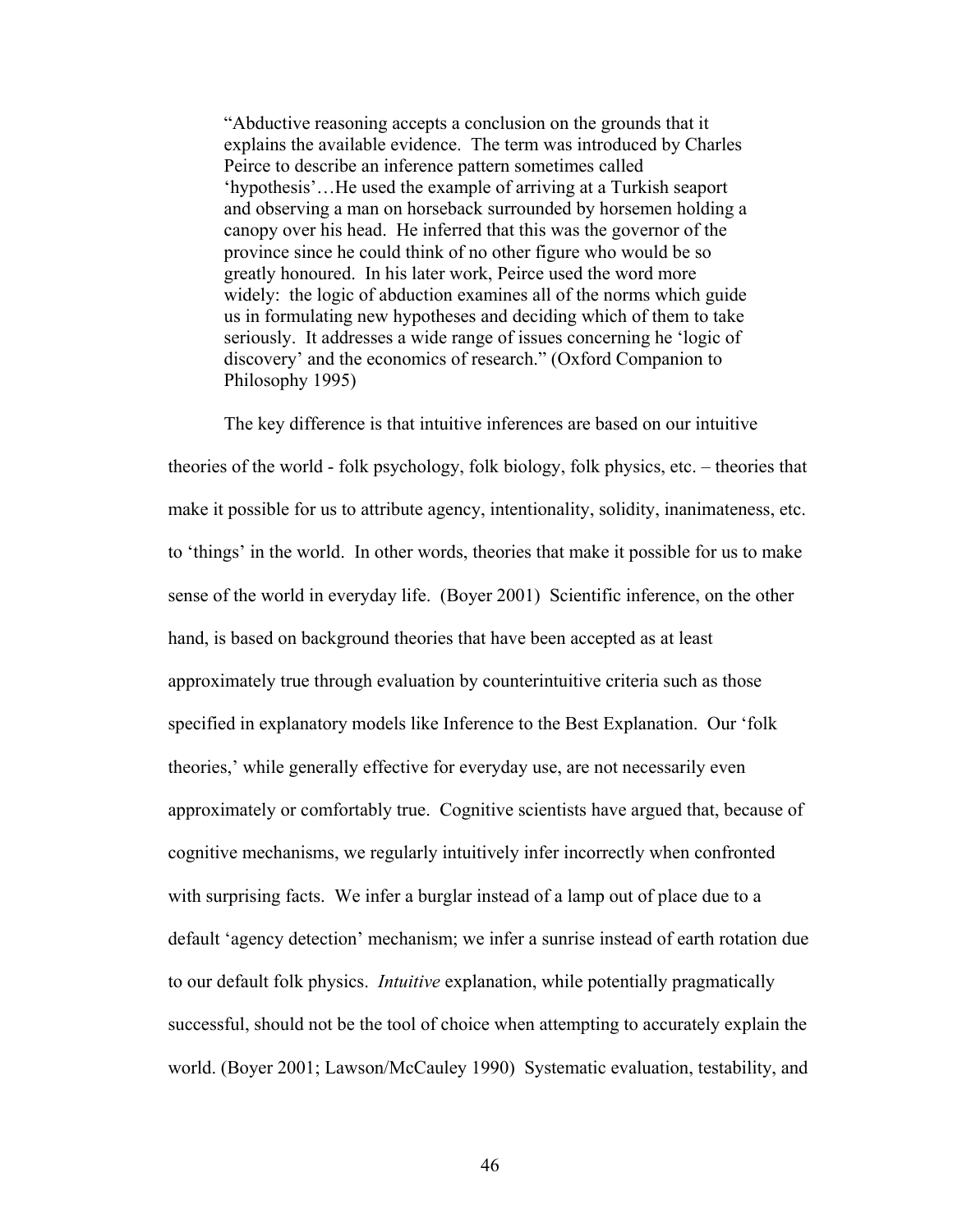"Abductive reasoning accepts a conclusion on the grounds that it explains the available evidence. The term was introduced by Charles Peirce to describe an inference pattern sometimes called 'hypothesis'…He used the example of arriving at a Turkish seaport and observing a man on horseback surrounded by horsemen holding a canopy over his head. He inferred that this was the governor of the province since he could think of no other figure who would be so greatly honoured. In his later work, Peirce used the word more widely: the logic of abduction examines all of the norms which guide us in formulating new hypotheses and deciding which of them to take seriously. It addresses a wide range of issues concerning he 'logic of discovery' and the economics of research." (Oxford Companion to Philosophy 1995)

The key difference is that intuitive inferences are based on our intuitive theories of the world - folk psychology, folk biology, folk physics, etc. – theories that make it possible for us to attribute agency, intentionality, solidity, inanimateness, etc. to 'things' in the world. In other words, theories that make it possible for us to make sense of the world in everyday life. (Boyer 2001) Scientific inference, on the other hand, is based on background theories that have been accepted as at least approximately true through evaluation by counterintuitive criteria such as those specified in explanatory models like Inference to the Best Explanation. Our 'folk theories,' while generally effective for everyday use, are not necessarily even approximately or comfortably true. Cognitive scientists have argued that, because of cognitive mechanisms, we regularly intuitively infer incorrectly when confronted with surprising facts. We infer a burglar instead of a lamp out of place due to a default 'agency detection' mechanism; we infer a sunrise instead of earth rotation due to our default folk physics. *Intuitive* explanation, while potentially pragmatically successful, should not be the tool of choice when attempting to accurately explain the world. (Boyer 2001; Lawson/McCauley 1990) Systematic evaluation, testability, and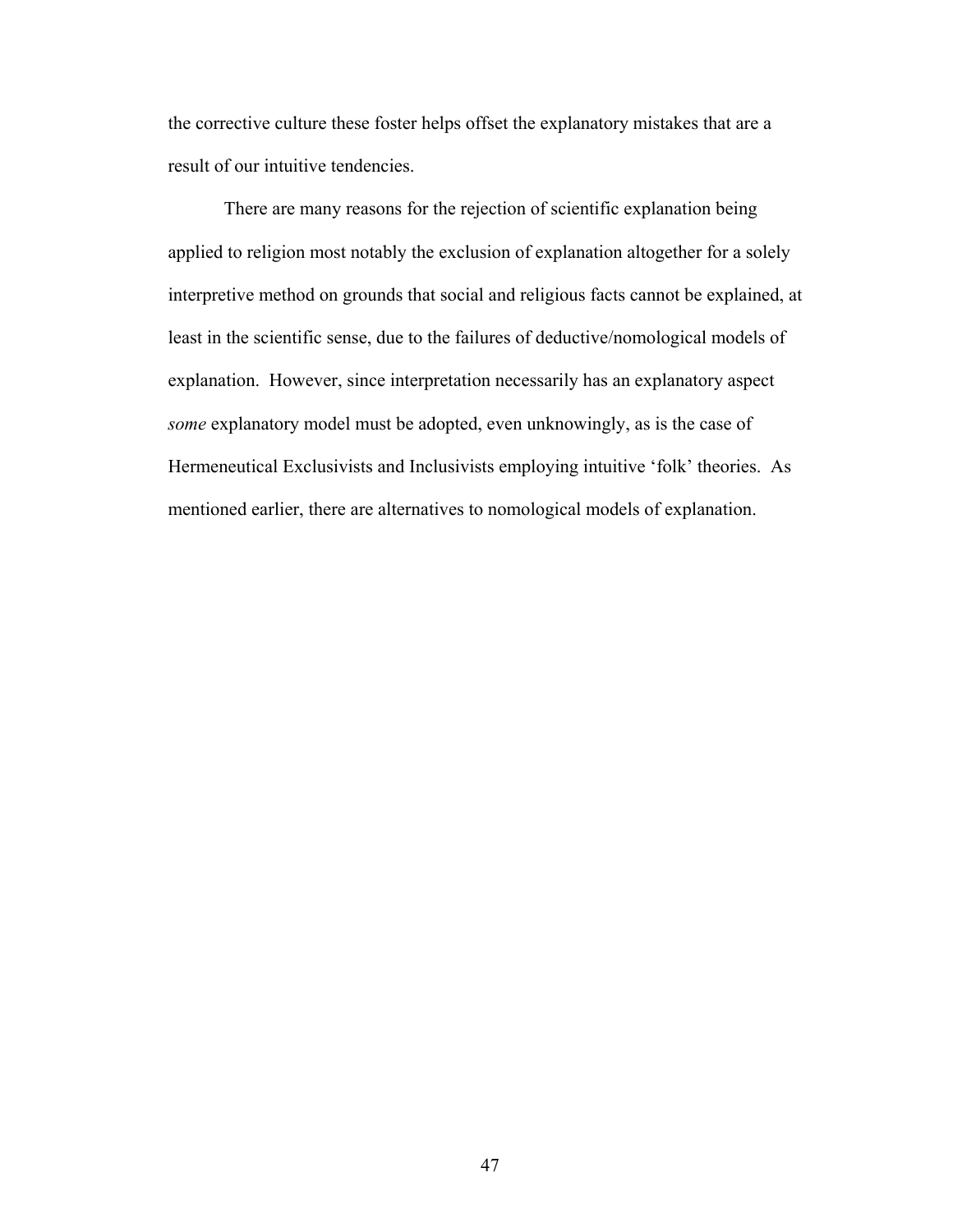the corrective culture these foster helps offset the explanatory mistakes that are a result of our intuitive tendencies.

There are many reasons for the rejection of scientific explanation being applied to religion most notably the exclusion of explanation altogether for a solely interpretive method on grounds that social and religious facts cannot be explained, at least in the scientific sense, due to the failures of deductive/nomological models of explanation. However, since interpretation necessarily has an explanatory aspect *some* explanatory model must be adopted, even unknowingly, as is the case of Hermeneutical Exclusivists and Inclusivists employing intuitive 'folk' theories. As mentioned earlier, there are alternatives to nomological models of explanation.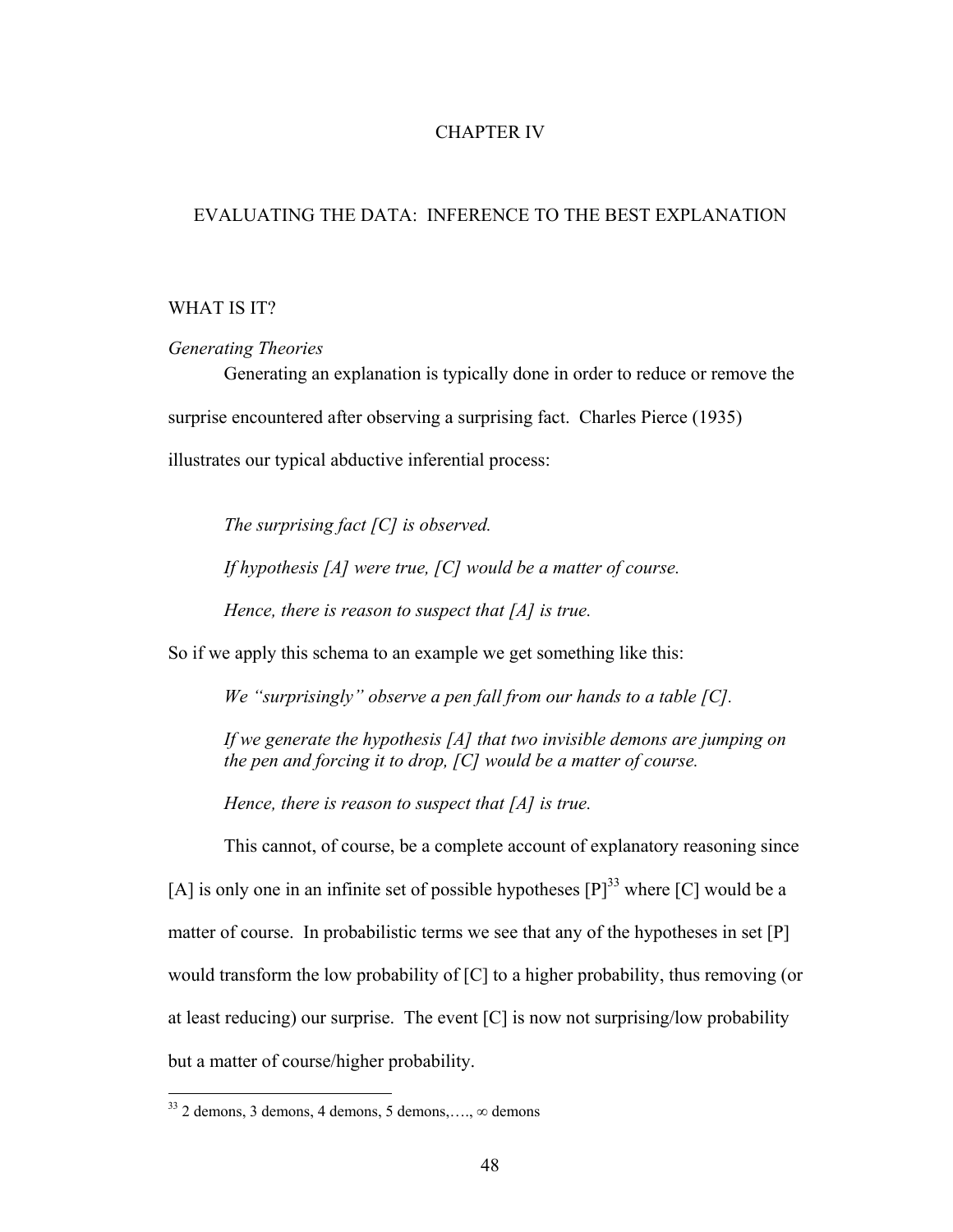# CHAPTER IV

# EVALUATING THE DATA: INFERENCE TO THE BEST EXPLANATION

# WHAT IS IT?

*Generating Theories* 

Generating an explanation is typically done in order to reduce or remove the surprise encountered after observing a surprising fact. Charles Pierce (1935) illustrates our typical abductive inferential process:

*The surprising fact [C] is observed.* 

*If hypothesis [A] were true, [C] would be a matter of course.* 

*Hence, there is reason to suspect that [A] is true.* 

So if we apply this schema to an example we get something like this:

*We "surprisingly" observe a pen fall from our hands to a table [C].*

*If we generate the hypothesis [A] that two invisible demons are jumping on the pen and forcing it to drop, [C] would be a matter of course.* 

*Hence, there is reason to suspect that [A] is true.* 

This cannot, of course, be a complete account of explanatory reasoning since [A] is only one in an infinite set of possible hypotheses  $[P]^{33}$  where [C] would be a matter of course. In probabilistic terms we see that any of the hypotheses in set [P] would transform the low probability of [C] to a higher probability, thus removing (or at least reducing) our surprise. The event [C] is now not surprising/low probability but a matter of course/higher probability.

 $\overline{a}$ 

<span id="page-57-0"></span><sup>33 2</sup> demons, 3 demons, 4 demons, 5 demons,…., *∞* demons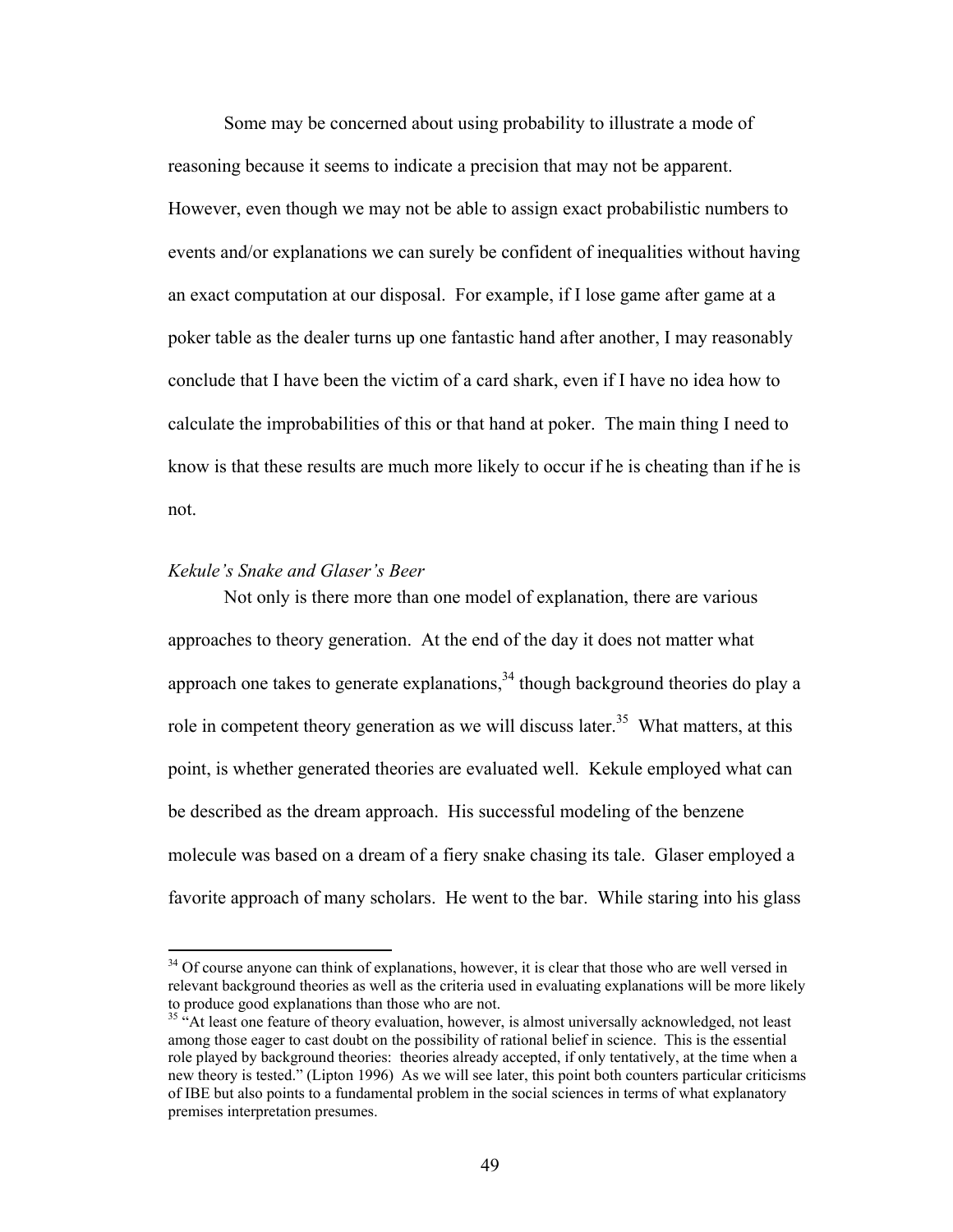Some may be concerned about using probability to illustrate a mode of reasoning because it seems to indicate a precision that may not be apparent. However, even though we may not be able to assign exact probabilistic numbers to events and/or explanations we can surely be confident of inequalities without having an exact computation at our disposal. For example, if I lose game after game at a poker table as the dealer turns up one fantastic hand after another, I may reasonably conclude that I have been the victim of a card shark, even if I have no idea how to calculate the improbabilities of this or that hand at poker. The main thing I need to know is that these results are much more likely to occur if he is cheating than if he is not.

### *Kekule's Snake and Glaser's Beer*

 $\overline{a}$ 

Not only is there more than one model of explanation, there are various approaches to theory generation. At the end of the day it does not matter what approach one takes to generate explanations,  $34$  though background theories do play a role in competent theory generation as we will discuss later.<sup>35</sup> What matters, at this point, is whether generated theories are evaluated well. Kekule employed what can be described as the dream approach. His successful modeling of the benzene molecule was based on a dream of a fiery snake chasing its tale. Glaser employed a favorite approach of many scholars. He went to the bar. While staring into his glass

<span id="page-58-0"></span><sup>&</sup>lt;sup>34</sup> Of course anyone can think of explanations, however, it is clear that those who are well versed in relevant background theories as well as the criteria used in evaluating explanations will be more likely to produce good explanations than those who are not.<br><sup>35</sup> "At least one feature of theory evaluation, however, is almost universally acknowledged, not least

<span id="page-58-1"></span>among those eager to cast doubt on the possibility of rational belief in science. This is the essential role played by background theories: theories already accepted, if only tentatively, at the time when a new theory is tested." (Lipton 1996) As we will see later, this point both counters particular criticisms of IBE but also points to a fundamental problem in the social sciences in terms of what explanatory premises interpretation presumes.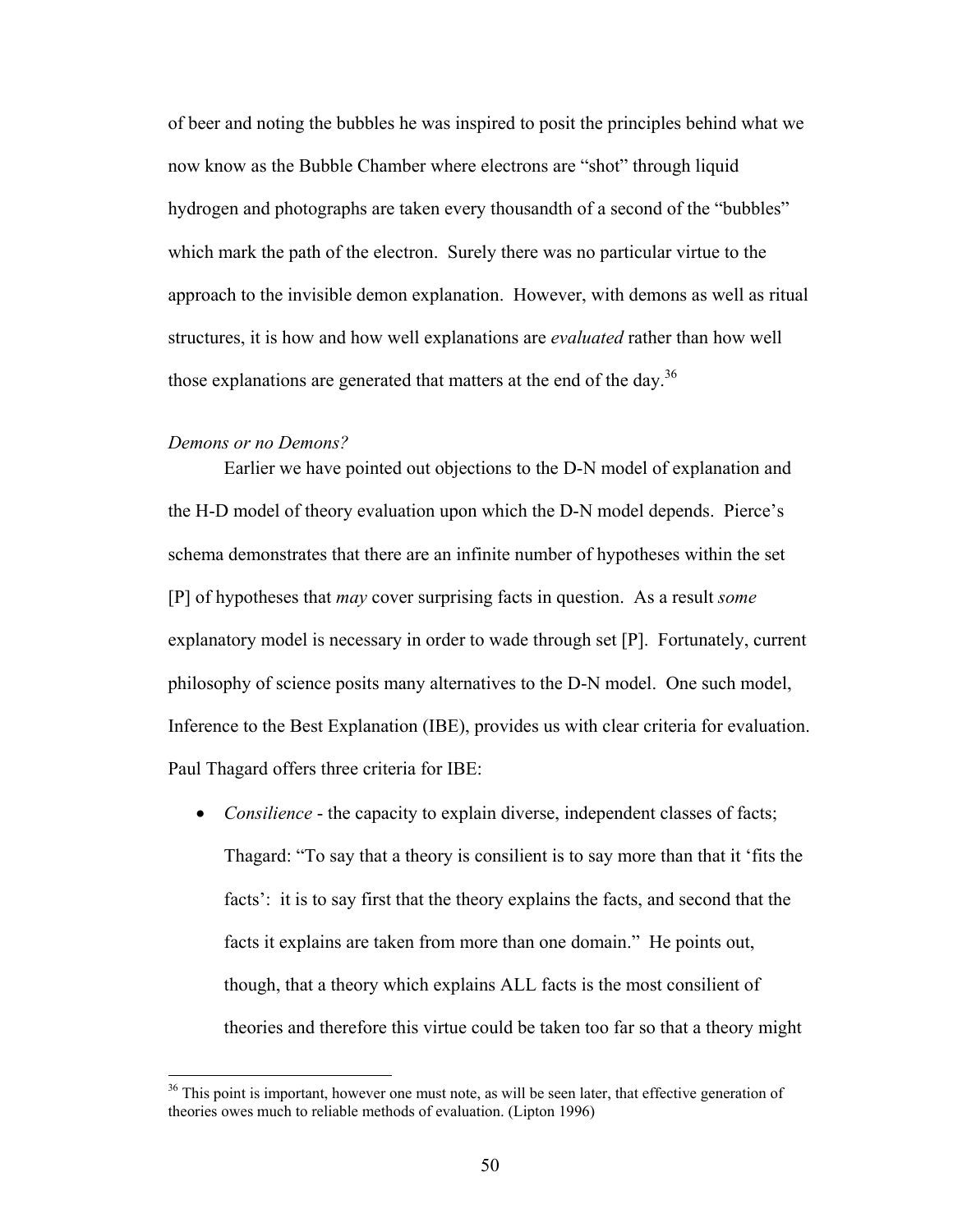of beer and noting the bubbles he was inspired to posit the principles behind what we now know as the Bubble Chamber where electrons are "shot" through liquid hydrogen and photographs are taken every thousandth of a second of the "bubbles" which mark the path of the electron. Surely there was no particular virtue to the approach to the invisible demon explanation. However, with demons as well as ritual structures, it is how and how well explanations are *evaluated* rather than how well those explanations are generated that matters at the end of the day.<sup>[36](#page-59-0)</sup>

#### *Demons or no Demons?*

 $\overline{a}$ 

Earlier we have pointed out objections to the D-N model of explanation and the H-D model of theory evaluation upon which the D-N model depends. Pierce's schema demonstrates that there are an infinite number of hypotheses within the set [P] of hypotheses that *may* cover surprising facts in question. As a result *some* explanatory model is necessary in order to wade through set [P]. Fortunately, current philosophy of science posits many alternatives to the D-N model. One such model, Inference to the Best Explanation (IBE), provides us with clear criteria for evaluation. Paul Thagard offers three criteria for IBE:

• *Consilience* - the capacity to explain diverse, independent classes of facts; Thagard: "To say that a theory is consilient is to say more than that it 'fits the facts': it is to say first that the theory explains the facts, and second that the facts it explains are taken from more than one domain." He points out, though, that a theory which explains ALL facts is the most consilient of theories and therefore this virtue could be taken too far so that a theory might

<span id="page-59-0"></span><sup>&</sup>lt;sup>36</sup> This point is important, however one must note, as will be seen later, that effective generation of theories owes much to reliable methods of evaluation. (Lipton 1996)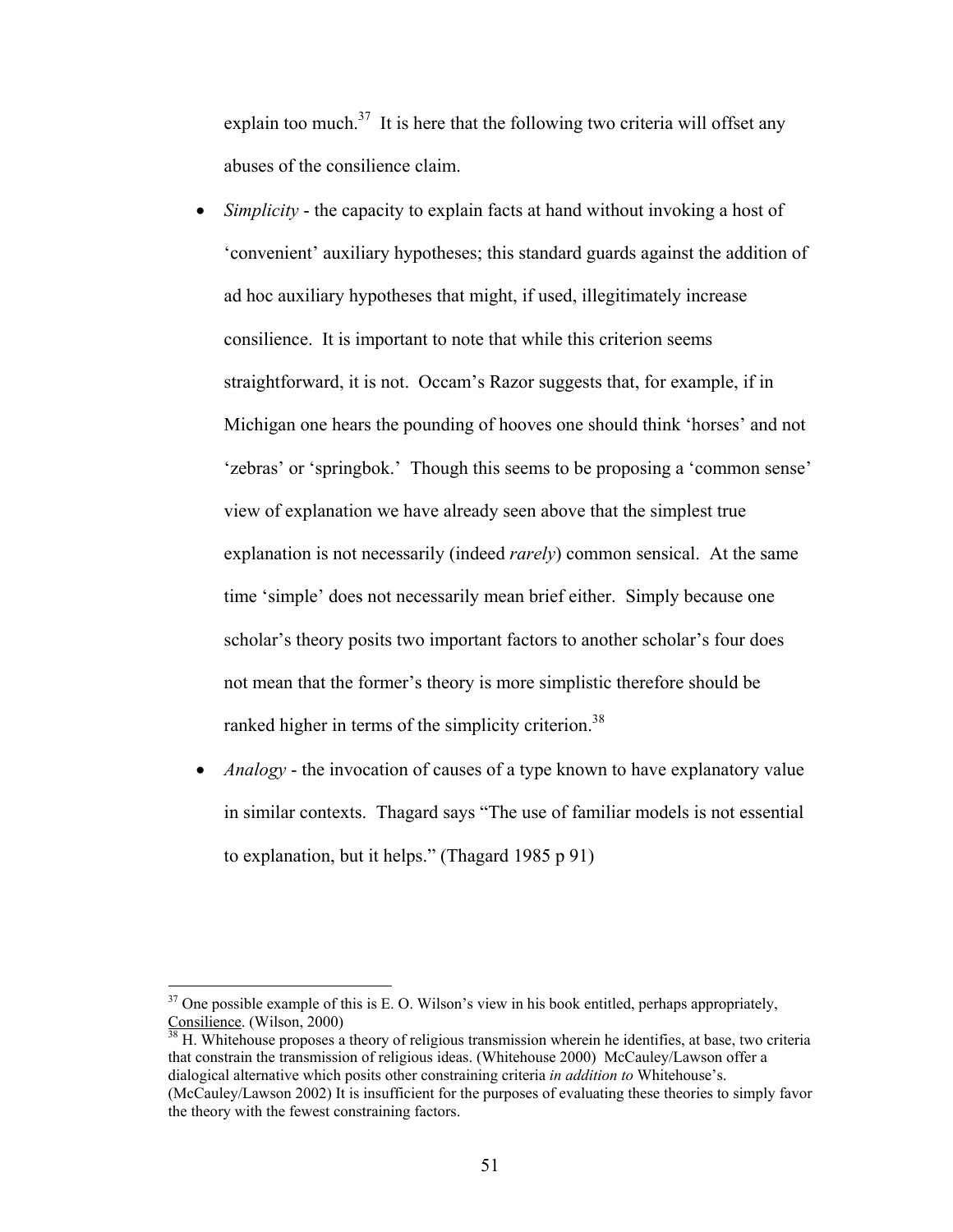explain too much.<sup>37</sup> It is here that the following two criteria will offset any abuses of the consilience claim.

- *Simplicity* the capacity to explain facts at hand without invoking a host of 'convenient' auxiliary hypotheses; this standard guards against the addition of ad hoc auxiliary hypotheses that might, if used, illegitimately increase consilience. It is important to note that while this criterion seems straightforward, it is not. Occam's Razor suggests that, for example, if in Michigan one hears the pounding of hooves one should think 'horses' and not 'zebras' or 'springbok.' Though this seems to be proposing a 'common sense' view of explanation we have already seen above that the simplest true explanation is not necessarily (indeed *rarely*) common sensical. At the same time 'simple' does not necessarily mean brief either. Simply because one scholar's theory posits two important factors to another scholar's four does not mean that the former's theory is more simplistic therefore should be ranked higher in terms of the simplicity criterion.<sup>[38](#page-60-1)</sup>
- *Analogy* the invocation of causes of a type known to have explanatory value in similar contexts. Thagard says "The use of familiar models is not essential to explanation, but it helps." (Thagard 1985 p 91)

 $\overline{a}$ 

<span id="page-60-1"></span> $\frac{38}{38}$  H. Whitehouse proposes a theory of religious transmission wherein he identifies, at base, two criteria that constrain the transmission of religious ideas. (Whitehouse 2000) McCauley/Lawson offer a dialogical alternative which posits other constraining criteria *in addition to* Whitehouse's. (McCauley/Lawson 2002) It is insufficient for the purposes of evaluating these theories to simply favor the theory with the fewest constraining factors.

<span id="page-60-0"></span> $37$  One possible example of this is E. O. Wilson's view in his book entitled, perhaps appropriately, Consilience. (Wilson, 2000)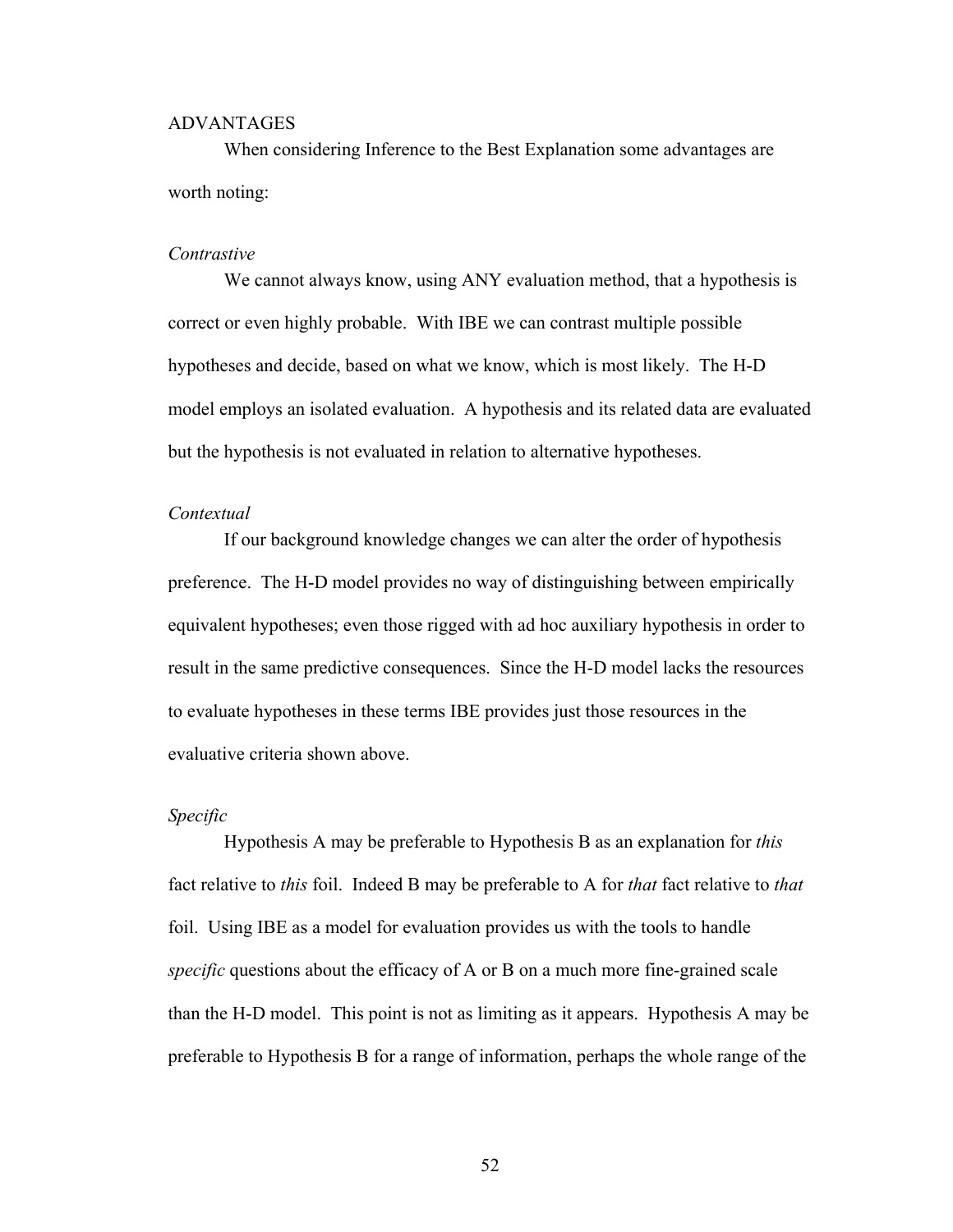### ADVANTAGES

When considering Inference to the Best Explanation some advantages are worth noting:

### *Contrastive*

We cannot always know, using ANY evaluation method, that a hypothesis is correct or even highly probable. With IBE we can contrast multiple possible hypotheses and decide, based on what we know, which is most likely. The H-D model employs an isolated evaluation. A hypothesis and its related data are evaluated but the hypothesis is not evaluated in relation to alternative hypotheses.

# *Contextual*

If our background knowledge changes we can alter the order of hypothesis preference. The H-D model provides no way of distinguishing between empirically equivalent hypotheses; even those rigged with ad hoc auxiliary hypothesis in order to result in the same predictive consequences. Since the H-D model lacks the resources to evaluate hypotheses in these terms IBE provides just those resources in the evaluative criteria shown above.

#### *Specific*

Hypothesis A may be preferable to Hypothesis B as an explanation for *this* fact relative to *this* foil. Indeed B may be preferable to A for *that* fact relative to *that* foil. Using IBE as a model for evaluation provides us with the tools to handle *specific* questions about the efficacy of A or B on a much more fine-grained scale than the H-D model. This point is not as limiting as it appears. Hypothesis A may be preferable to Hypothesis B for a range of information, perhaps the whole range of the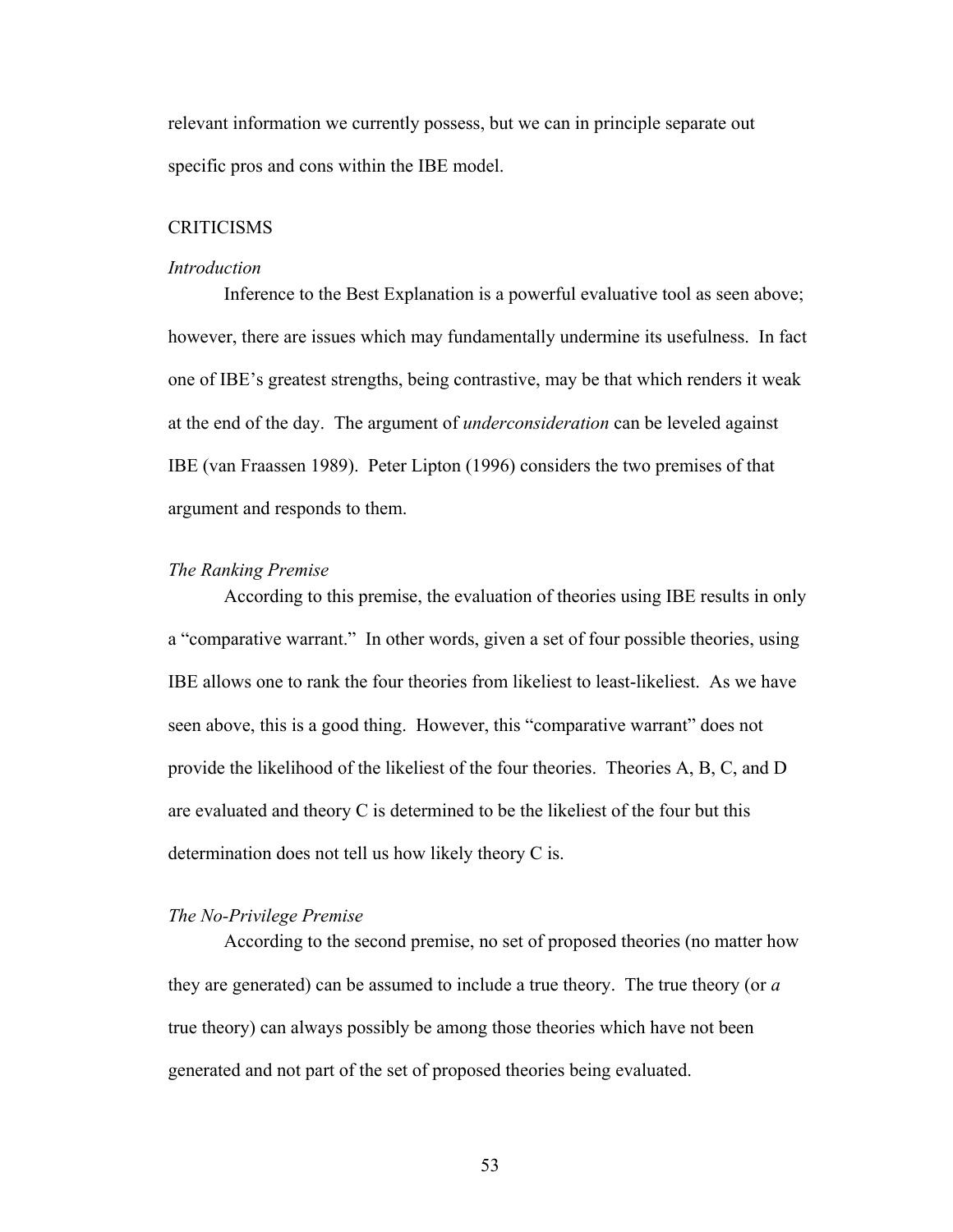relevant information we currently possess, but we can in principle separate out specific pros and cons within the IBE model.

### **CRITICISMS**

#### *Introduction*

Inference to the Best Explanation is a powerful evaluative tool as seen above; however, there are issues which may fundamentally undermine its usefulness. In fact one of IBE's greatest strengths, being contrastive, may be that which renders it weak at the end of the day. The argument of *underconsideration* can be leveled against IBE (van Fraassen 1989). Peter Lipton (1996) considers the two premises of that argument and responds to them.

### *The Ranking Premise*

According to this premise, the evaluation of theories using IBE results in only a "comparative warrant." In other words, given a set of four possible theories, using IBE allows one to rank the four theories from likeliest to least-likeliest. As we have seen above, this is a good thing. However, this "comparative warrant" does not provide the likelihood of the likeliest of the four theories. Theories A, B, C, and D are evaluated and theory C is determined to be the likeliest of the four but this determination does not tell us how likely theory C is.

# *The No-Privilege Premise*

According to the second premise, no set of proposed theories (no matter how they are generated) can be assumed to include a true theory. The true theory (or *a* true theory) can always possibly be among those theories which have not been generated and not part of the set of proposed theories being evaluated.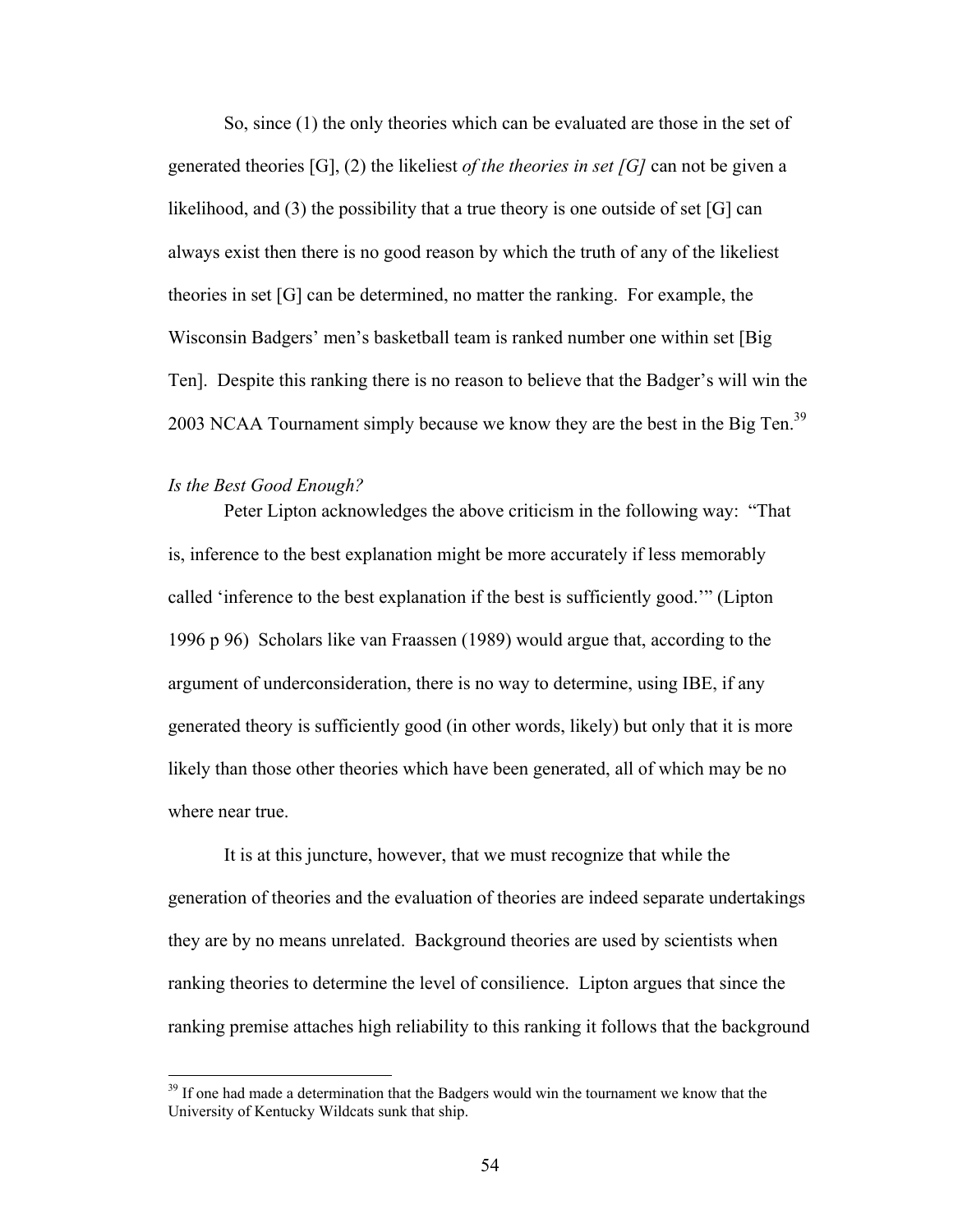So, since (1) the only theories which can be evaluated are those in the set of generated theories [G], (2) the likeliest *of the theories in set [G]* can not be given a likelihood, and (3) the possibility that a true theory is one outside of set [G] can always exist then there is no good reason by which the truth of any of the likeliest theories in set [G] can be determined, no matter the ranking. For example, the Wisconsin Badgers' men's basketball team is ranked number one within set [Big Ten]. Despite this ranking there is no reason to believe that the Badger's will win the 2003 NCAA Tournament simply because we know they are the best in the Big Ten.<sup>[39](#page-63-0)</sup>

### *Is the Best Good Enough?*

1

Peter Lipton acknowledges the above criticism in the following way: "That is, inference to the best explanation might be more accurately if less memorably called 'inference to the best explanation if the best is sufficiently good.'" (Lipton 1996 p 96) Scholars like van Fraassen (1989) would argue that, according to the argument of underconsideration, there is no way to determine, using IBE, if any generated theory is sufficiently good (in other words, likely) but only that it is more likely than those other theories which have been generated, all of which may be no where near true.

It is at this juncture, however, that we must recognize that while the generation of theories and the evaluation of theories are indeed separate undertakings they are by no means unrelated. Background theories are used by scientists when ranking theories to determine the level of consilience. Lipton argues that since the ranking premise attaches high reliability to this ranking it follows that the background

<span id="page-63-0"></span> $39$  If one had made a determination that the Badgers would win the tournament we know that the University of Kentucky Wildcats sunk that ship.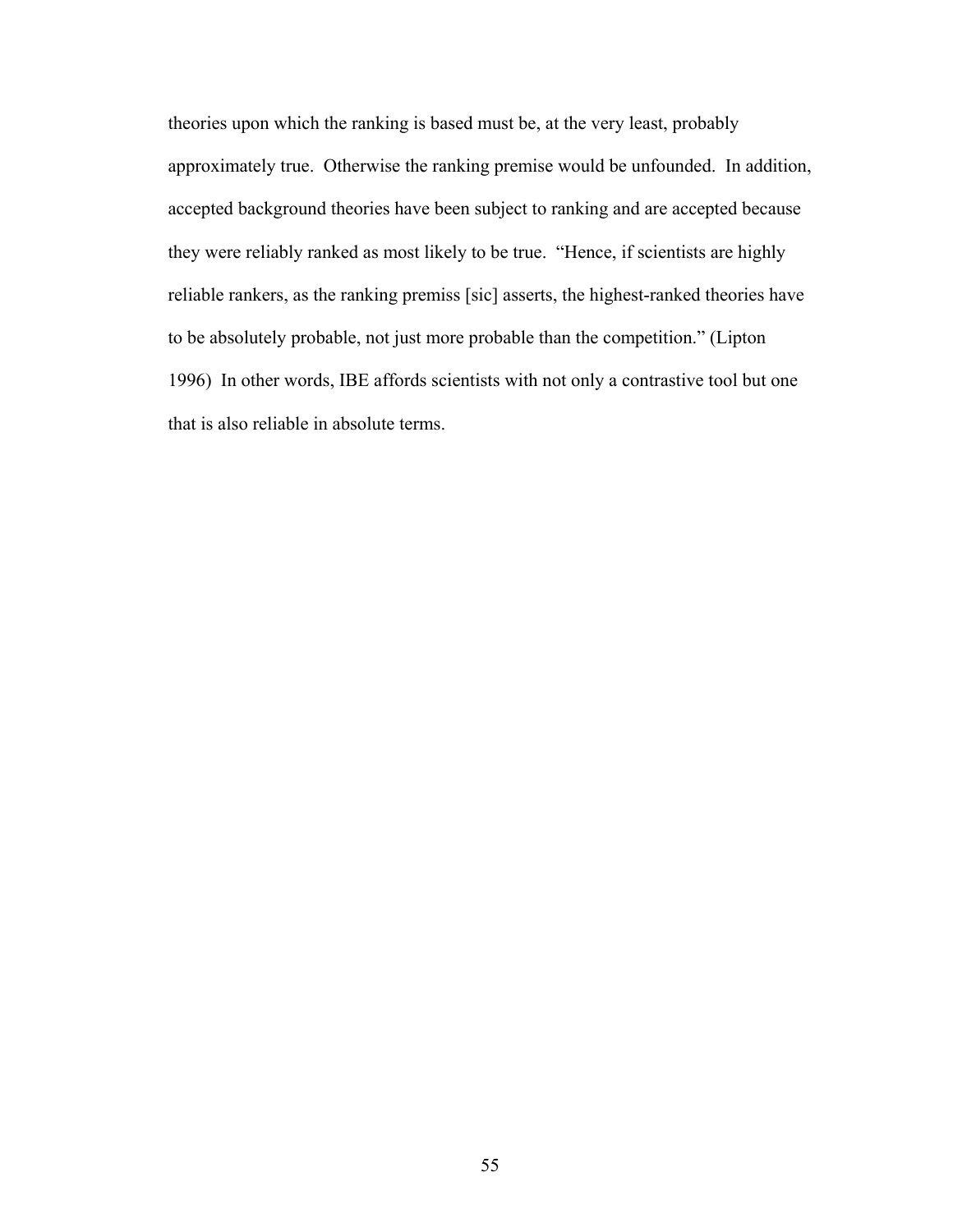theories upon which the ranking is based must be, at the very least, probably approximately true. Otherwise the ranking premise would be unfounded. In addition, accepted background theories have been subject to ranking and are accepted because they were reliably ranked as most likely to be true. "Hence, if scientists are highly reliable rankers, as the ranking premiss [sic] asserts, the highest-ranked theories have to be absolutely probable, not just more probable than the competition." (Lipton 1996) In other words, IBE affords scientists with not only a contrastive tool but one that is also reliable in absolute terms.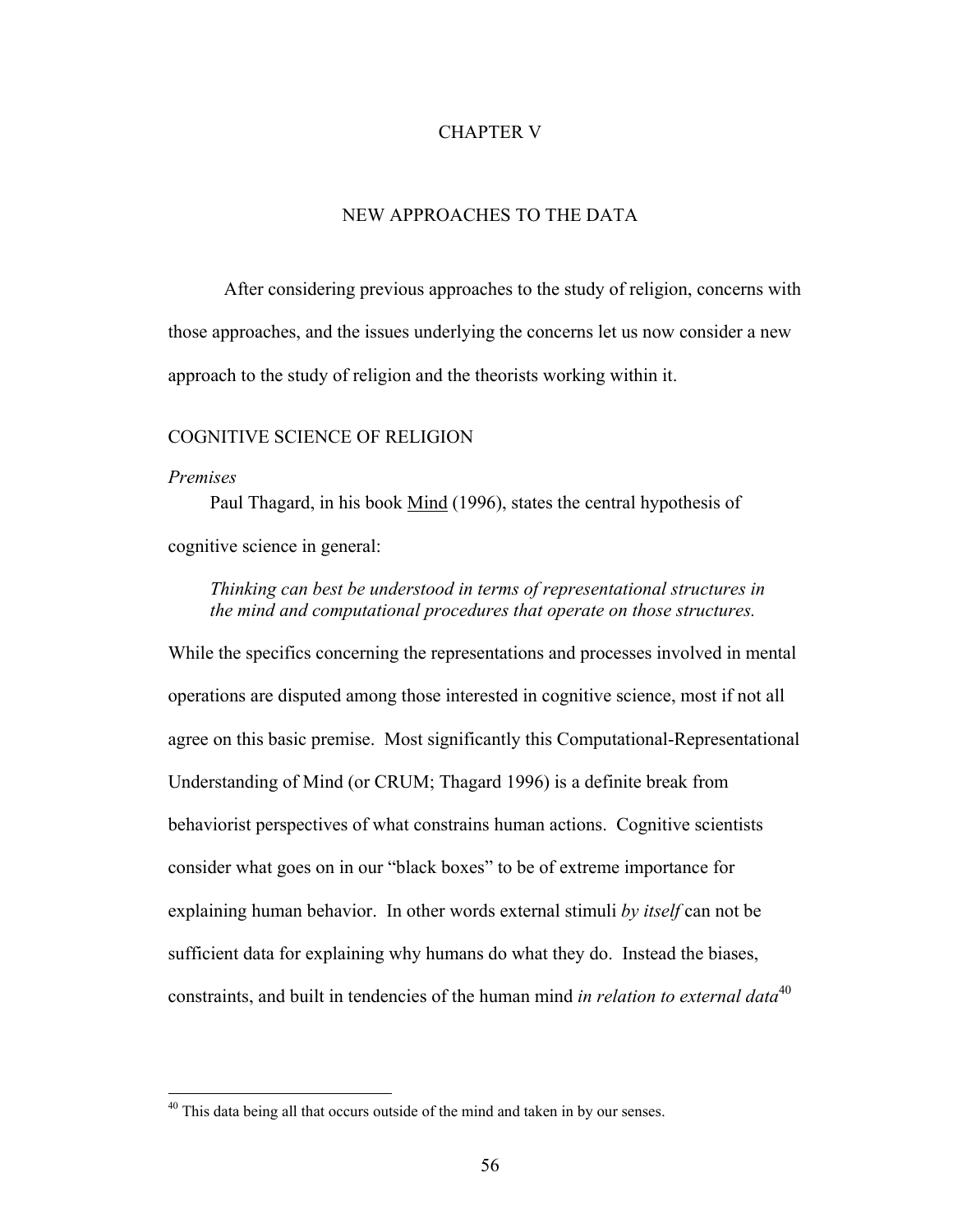### CHAPTER V

# NEW APPROACHES TO THE DATA

After considering previous approaches to the study of religion, concerns with those approaches, and the issues underlying the concerns let us now consider a new approach to the study of religion and the theorists working within it.

# COGNITIVE SCIENCE OF RELIGION

#### *Premises*

 $\overline{a}$ 

Paul Thagard, in his book Mind (1996), states the central hypothesis of cognitive science in general:

*Thinking can best be understood in terms of representational structures in the mind and computational procedures that operate on those structures.* 

While the specifics concerning the representations and processes involved in mental operations are disputed among those interested in cognitive science, most if not all agree on this basic premise. Most significantly this Computational-Representational Understanding of Mind (or CRUM; Thagard 1996) is a definite break from behaviorist perspectives of what constrains human actions. Cognitive scientists consider what goes on in our "black boxes" to be of extreme importance for explaining human behavior. In other words external stimuli *by itself* can not be sufficient data for explaining why humans do what they do. Instead the biases, constraints, and built in tendencies of the human mind *in relation to external data*[40](#page-65-0)

<span id="page-65-0"></span><sup>&</sup>lt;sup>40</sup> This data being all that occurs outside of the mind and taken in by our senses.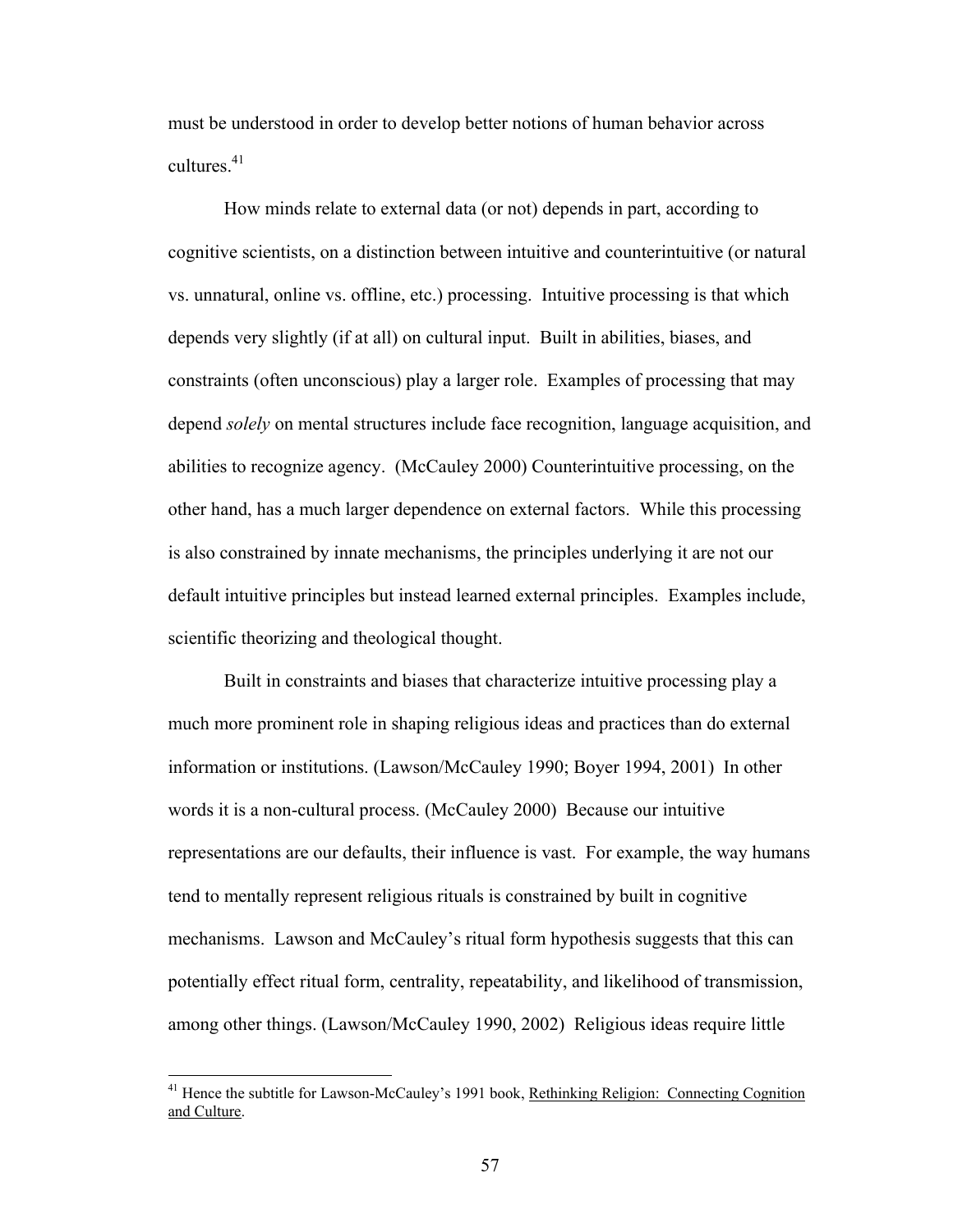must be understood in order to develop better notions of human behavior across cultures.<sup>41</sup>

How minds relate to external data (or not) depends in part, according to cognitive scientists, on a distinction between intuitive and counterintuitive (or natural vs. unnatural, online vs. offline, etc.) processing. Intuitive processing is that which depends very slightly (if at all) on cultural input. Built in abilities, biases, and constraints (often unconscious) play a larger role. Examples of processing that may depend *solely* on mental structures include face recognition, language acquisition, and abilities to recognize agency. (McCauley 2000) Counterintuitive processing, on the other hand, has a much larger dependence on external factors. While this processing is also constrained by innate mechanisms, the principles underlying it are not our default intuitive principles but instead learned external principles. Examples include, scientific theorizing and theological thought.

Built in constraints and biases that characterize intuitive processing play a much more prominent role in shaping religious ideas and practices than do external information or institutions. (Lawson/McCauley 1990; Boyer 1994, 2001) In other words it is a non-cultural process. (McCauley 2000) Because our intuitive representations are our defaults, their influence is vast. For example, the way humans tend to mentally represent religious rituals is constrained by built in cognitive mechanisms. Lawson and McCauley's ritual form hypothesis suggests that this can potentially effect ritual form, centrality, repeatability, and likelihood of transmission, among other things. (Lawson/McCauley 1990, 2002) Religious ideas require little

<span id="page-66-0"></span><sup>&</sup>lt;sup>41</sup> Hence the subtitle for Lawson-McCauley's 1991 book, Rethinking Religion: Connecting Cognition and Culture.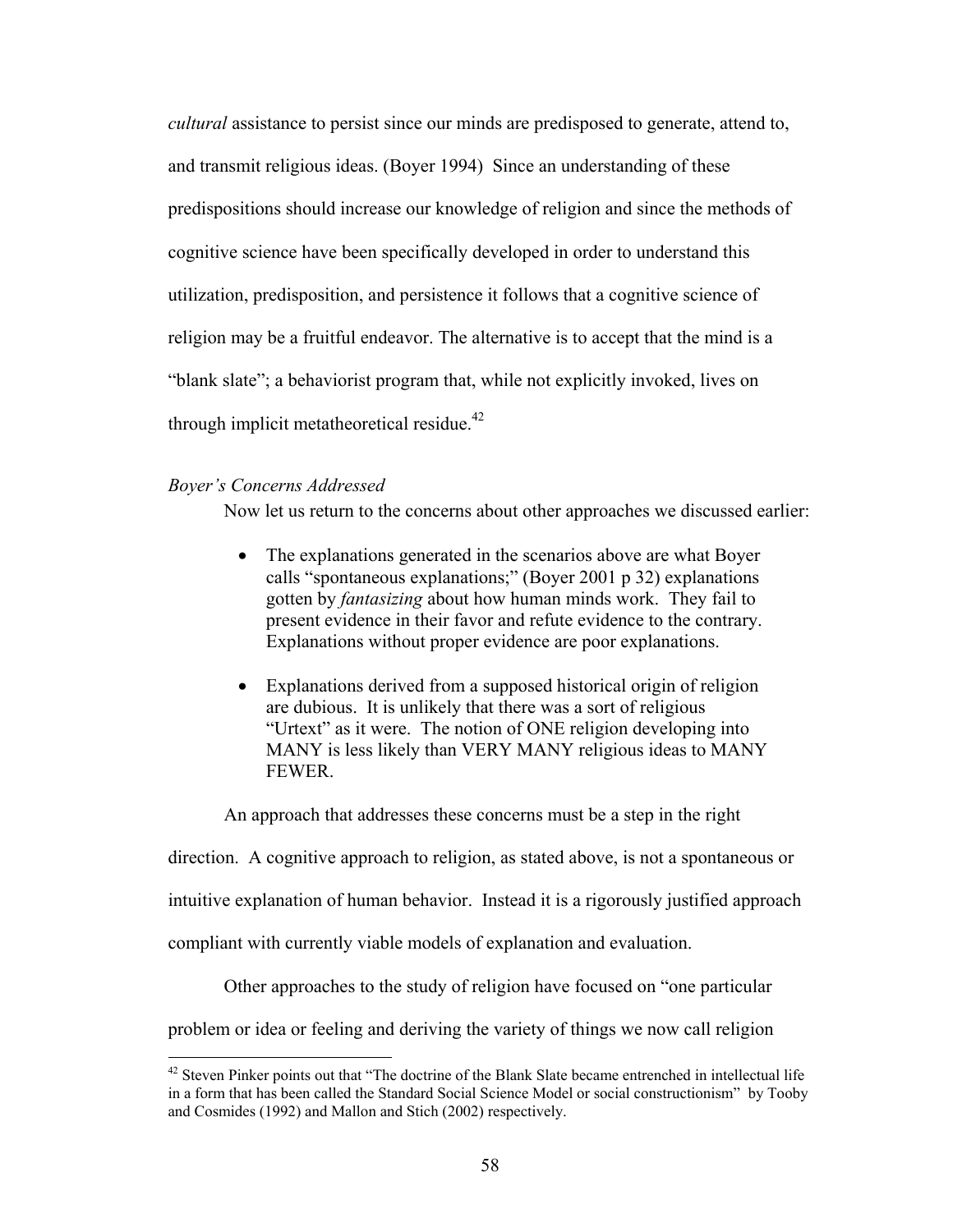*cultural* assistance to persist since our minds are predisposed to generate, attend to, and transmit religious ideas. (Boyer 1994) Since an understanding of these predispositions should increase our knowledge of religion and since the methods of cognitive science have been specifically developed in order to understand this utilization, predisposition, and persistence it follows that a cognitive science of religion may be a fruitful endeavor. The alternative is to accept that the mind is a "blank slate"; a behaviorist program that, while not explicitly invoked, lives on through implicit metatheoretical residue.<sup>42</sup>

# *Boyer's Concerns Addressed*

1

Now let us return to the concerns about other approaches we discussed earlier:

- The explanations generated in the scenarios above are what Boyer calls "spontaneous explanations;" (Boyer 2001 p 32) explanations gotten by *fantasizing* about how human minds work. They fail to present evidence in their favor and refute evidence to the contrary. Explanations without proper evidence are poor explanations.
- Explanations derived from a supposed historical origin of religion are dubious. It is unlikely that there was a sort of religious "Urtext" as it were. The notion of ONE religion developing into MANY is less likely than VERY MANY religious ideas to MANY FEWER.

An approach that addresses these concerns must be a step in the right

direction. A cognitive approach to religion, as stated above, is not a spontaneous or

intuitive explanation of human behavior. Instead it is a rigorously justified approach

compliant with currently viable models of explanation and evaluation.

Other approaches to the study of religion have focused on "one particular

problem or idea or feeling and deriving the variety of things we now call religion

<span id="page-67-0"></span><sup>&</sup>lt;sup>42</sup> Steven Pinker points out that "The doctrine of the Blank Slate became entrenched in intellectual life in a form that has been called the Standard Social Science Model or social constructionism" by Tooby and Cosmides (1992) and Mallon and Stich (2002) respectively.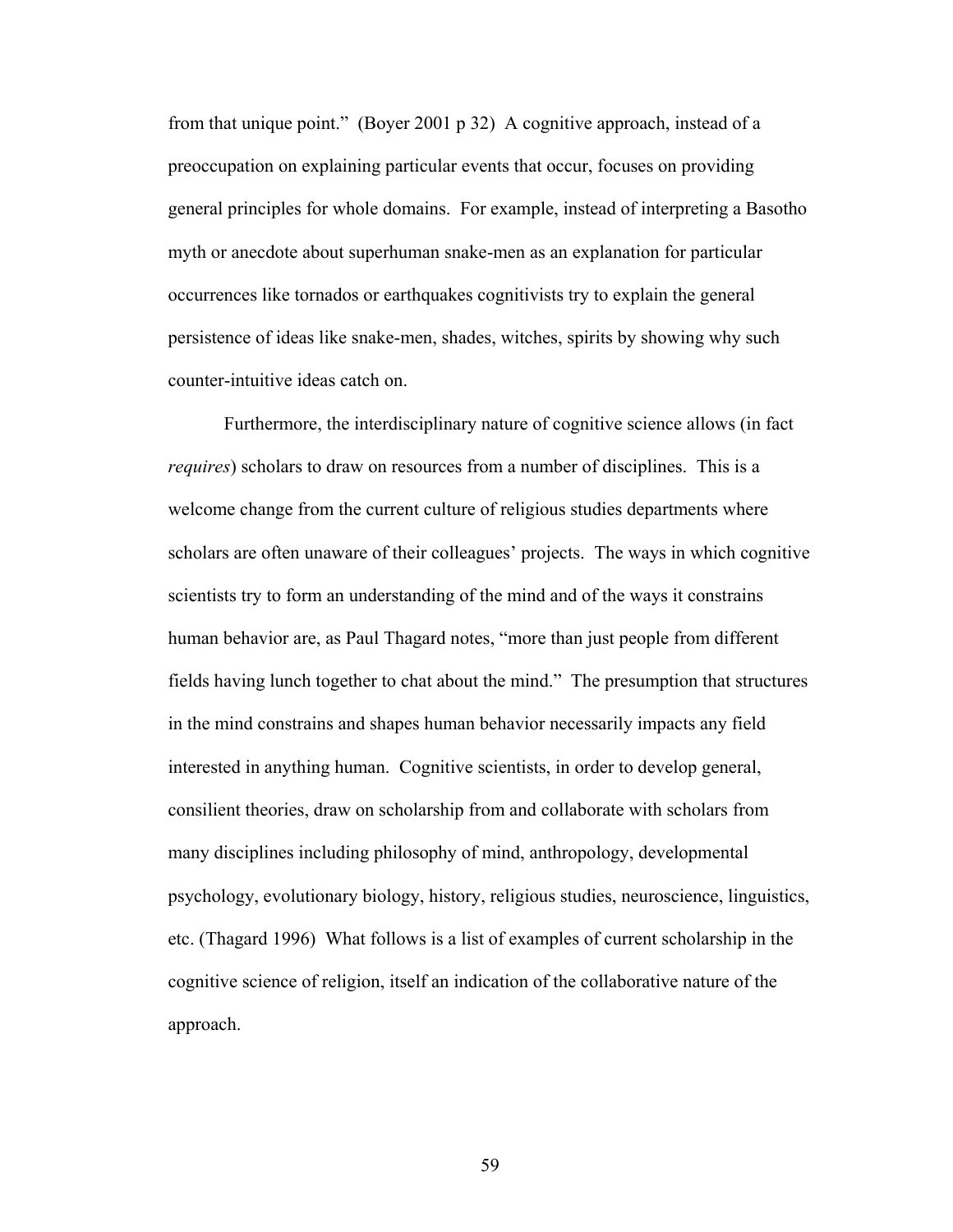from that unique point." (Boyer 2001 p 32) A cognitive approach, instead of a preoccupation on explaining particular events that occur, focuses on providing general principles for whole domains. For example, instead of interpreting a Basotho myth or anecdote about superhuman snake-men as an explanation for particular occurrences like tornados or earthquakes cognitivists try to explain the general persistence of ideas like snake-men, shades, witches, spirits by showing why such counter-intuitive ideas catch on.

Furthermore, the interdisciplinary nature of cognitive science allows (in fact *requires*) scholars to draw on resources from a number of disciplines. This is a welcome change from the current culture of religious studies departments where scholars are often unaware of their colleagues' projects. The ways in which cognitive scientists try to form an understanding of the mind and of the ways it constrains human behavior are, as Paul Thagard notes, "more than just people from different fields having lunch together to chat about the mind." The presumption that structures in the mind constrains and shapes human behavior necessarily impacts any field interested in anything human. Cognitive scientists, in order to develop general, consilient theories, draw on scholarship from and collaborate with scholars from many disciplines including philosophy of mind, anthropology, developmental psychology, evolutionary biology, history, religious studies, neuroscience, linguistics, etc. (Thagard 1996) What follows is a list of examples of current scholarship in the cognitive science of religion, itself an indication of the collaborative nature of the approach.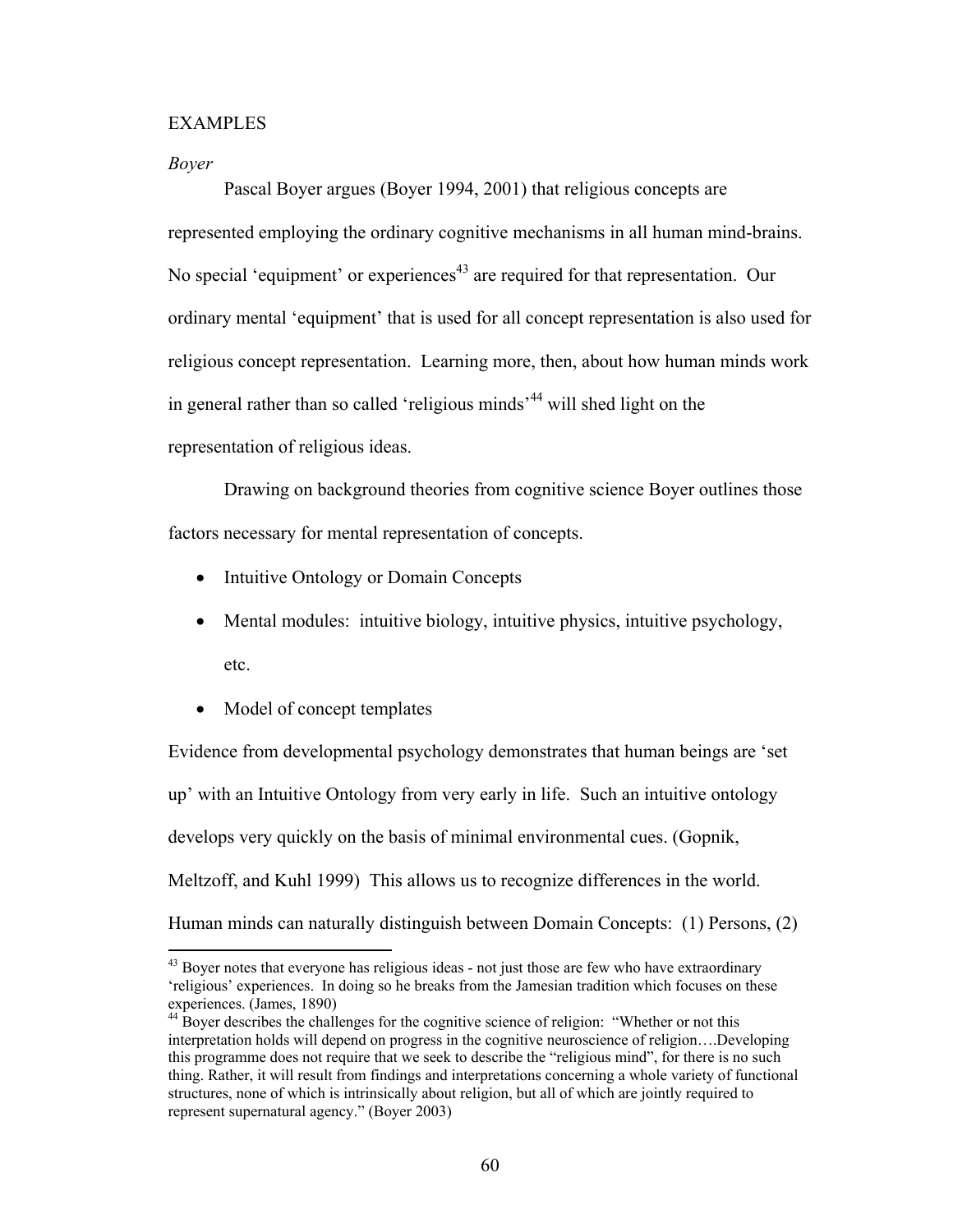### EXAMPLES

#### *Boyer*

 $\overline{a}$ 

Pascal Boyer argues (Boyer 1994, 2001) that religious concepts are represented employing the ordinary cognitive mechanisms in all human mind-brains. No special 'equipment' or experiences<sup> $43$ </sup> are required for that representation. Our ordinary mental 'equipment' that is used for all concept representation is also used for religious concept representation. Learning more, then, about how human minds work in general rather than so called 'religious minds<sup>-44</sup> will shed light on the representation of religious ideas.

Drawing on background theories from cognitive science Boyer outlines those factors necessary for mental representation of concepts.

- Intuitive Ontology or Domain Concepts
- Mental modules: intuitive biology, intuitive physics, intuitive psychology, etc.
- Model of concept templates

Evidence from developmental psychology demonstrates that human beings are 'set up' with an Intuitive Ontology from very early in life. Such an intuitive ontology develops very quickly on the basis of minimal environmental cues. (Gopnik, Meltzoff, and Kuhl 1999) This allows us to recognize differences in the world. Human minds can naturally distinguish between Domain Concepts: (1) Persons, (2)

<span id="page-69-0"></span> $43$  Boyer notes that everyone has religious ideas - not just those are few who have extraordinary 'religious' experiences. In doing so he breaks from the Jamesian tradition which focuses on these experiences. (James, 1890)<br><sup>44</sup> Boyer describes the challenges for the cognitive science of religion: "Whether or not this

<span id="page-69-1"></span>interpretation holds will depend on progress in the cognitive neuroscience of religion….Developing this programme does not require that we seek to describe the "religious mind", for there is no such thing. Rather, it will result from findings and interpretations concerning a whole variety of functional structures, none of which is intrinsically about religion, but all of which are jointly required to represent supernatural agency." (Boyer 2003)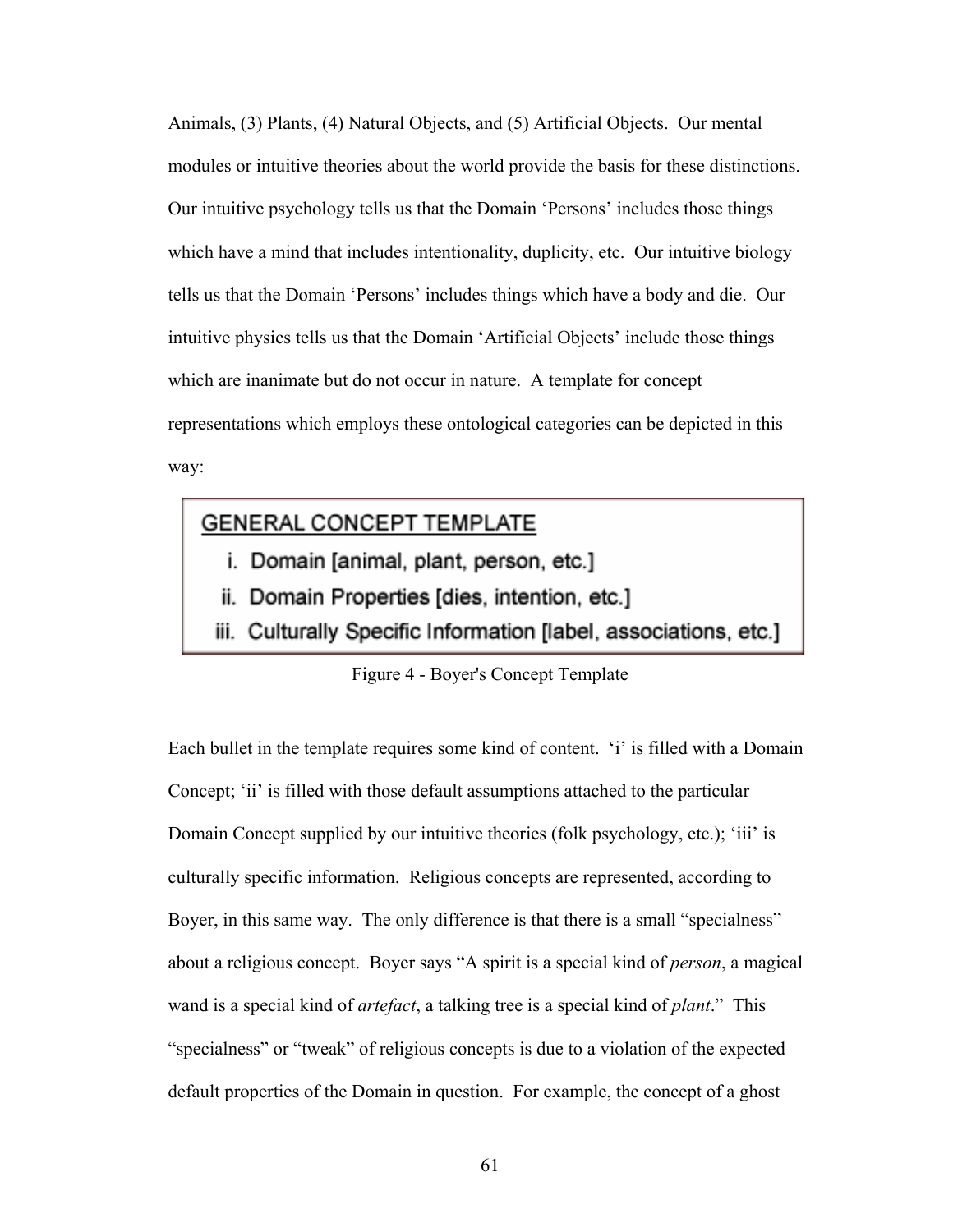Animals, (3) Plants, (4) Natural Objects, and (5) Artificial Objects. Our mental modules or intuitive theories about the world provide the basis for these distinctions. Our intuitive psychology tells us that the Domain 'Persons' includes those things which have a mind that includes intentionality, duplicity, etc. Our intuitive biology tells us that the Domain 'Persons' includes things which have a body and die. Our intuitive physics tells us that the Domain 'Artificial Objects' include those things which are inanimate but do not occur in nature. A template for concept representations which employs these ontological categories can be depicted in this way:

# **GENERAL CONCEPT TEMPLATE**

- i. Domain [animal, plant, person, etc.]
- ii. Domain Properties [dies, intention, etc.]
- iii. Culturally Specific Information [label, associations, etc.]

# Figure 4 - Boyer's Concept Template

Each bullet in the template requires some kind of content. 'i' is filled with a Domain Concept; 'ii' is filled with those default assumptions attached to the particular Domain Concept supplied by our intuitive theories (folk psychology, etc.); 'iii' is culturally specific information. Religious concepts are represented, according to Boyer, in this same way. The only difference is that there is a small "specialness" about a religious concept. Boyer says "A spirit is a special kind of *person*, a magical wand is a special kind of *artefact*, a talking tree is a special kind of *plant*." This "specialness" or "tweak" of religious concepts is due to a violation of the expected default properties of the Domain in question. For example, the concept of a ghost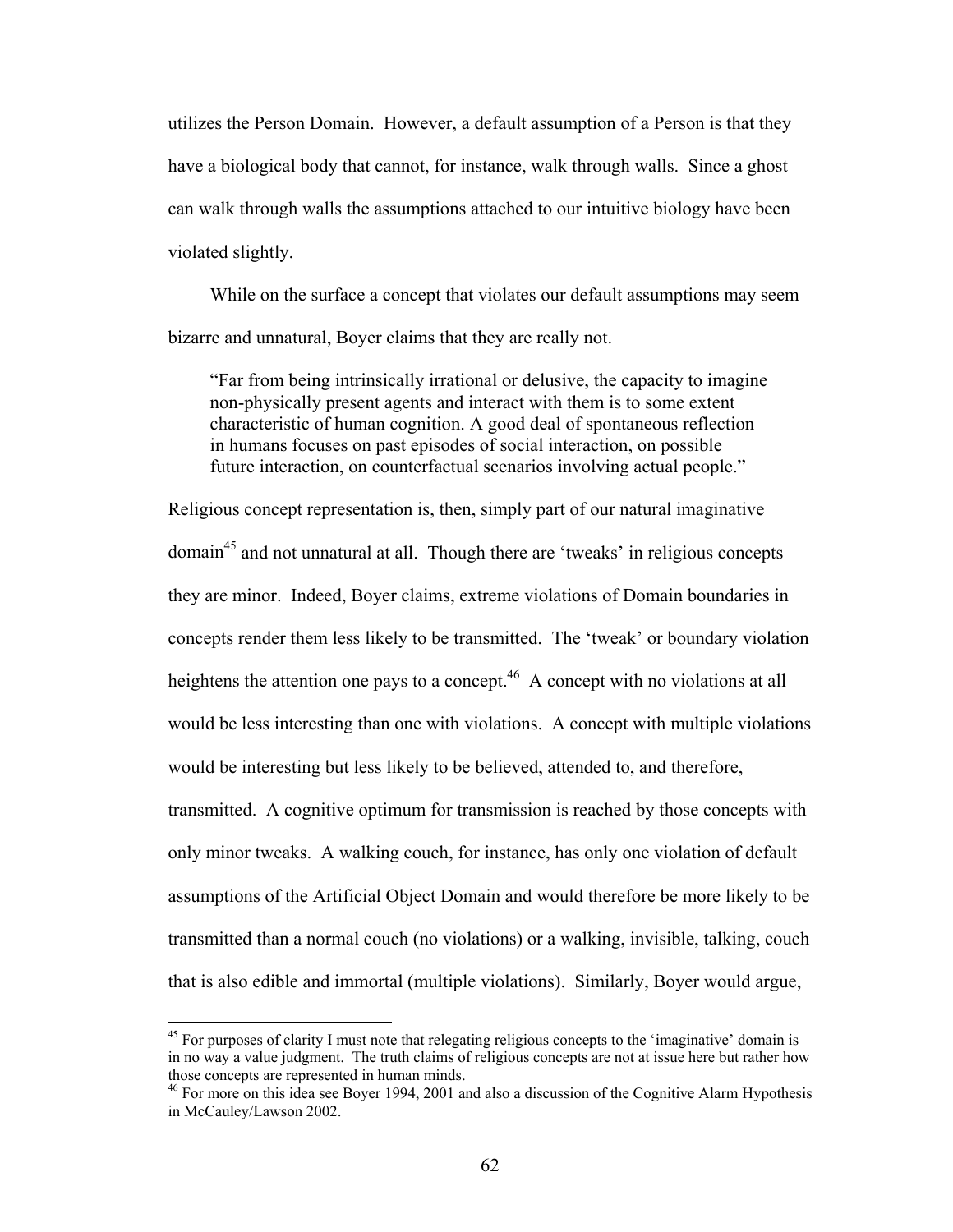utilizes the Person Domain. However, a default assumption of a Person is that they have a biological body that cannot, for instance, walk through walls. Since a ghost can walk through walls the assumptions attached to our intuitive biology have been violated slightly.

While on the surface a concept that violates our default assumptions may seem bizarre and unnatural, Boyer claims that they are really not.

"Far from being intrinsically irrational or delusive, the capacity to imagine non-physically present agents and interact with them is to some extent characteristic of human cognition. A good deal of spontaneous reflection in humans focuses on past episodes of social interaction, on possible future interaction, on counterfactual scenarios involving actual people."

Religious concept representation is, then, simply part of our natural imaginative domai[n45](#page-71-0) and not unnatural at all. Though there are 'tweaks' in religious concepts they are minor. Indeed, Boyer claims, extreme violations of Domain boundaries in concepts render them less likely to be transmitted. The 'tweak' or boundary violation heightens the attention one pays to a concept.<sup>46</sup> A concept with no violations at all would be less interesting than one with violations. A concept with multiple violations would be interesting but less likely to be believed, attended to, and therefore, transmitted. A cognitive optimum for transmission is reached by those concepts with only minor tweaks. A walking couch, for instance, has only one violation of default assumptions of the Artificial Object Domain and would therefore be more likely to be transmitted than a normal couch (no violations) or a walking, invisible, talking, couch that is also edible and immortal (multiple violations). Similarly, Boyer would argue,

 $\overline{a}$ 

<span id="page-71-0"></span> $45$  For purposes of clarity I must note that relegating religious concepts to the 'imaginative' domain is in no way a value judgment. The truth claims of religious concepts are not at issue here but rather how those concepts are represented in human minds.<br><sup>46</sup> For more on this idea see Boyer 1994, 2001 and also a discussion of the Cognitive Alarm Hypothesis

<span id="page-71-1"></span>in McCauley/Lawson 2002.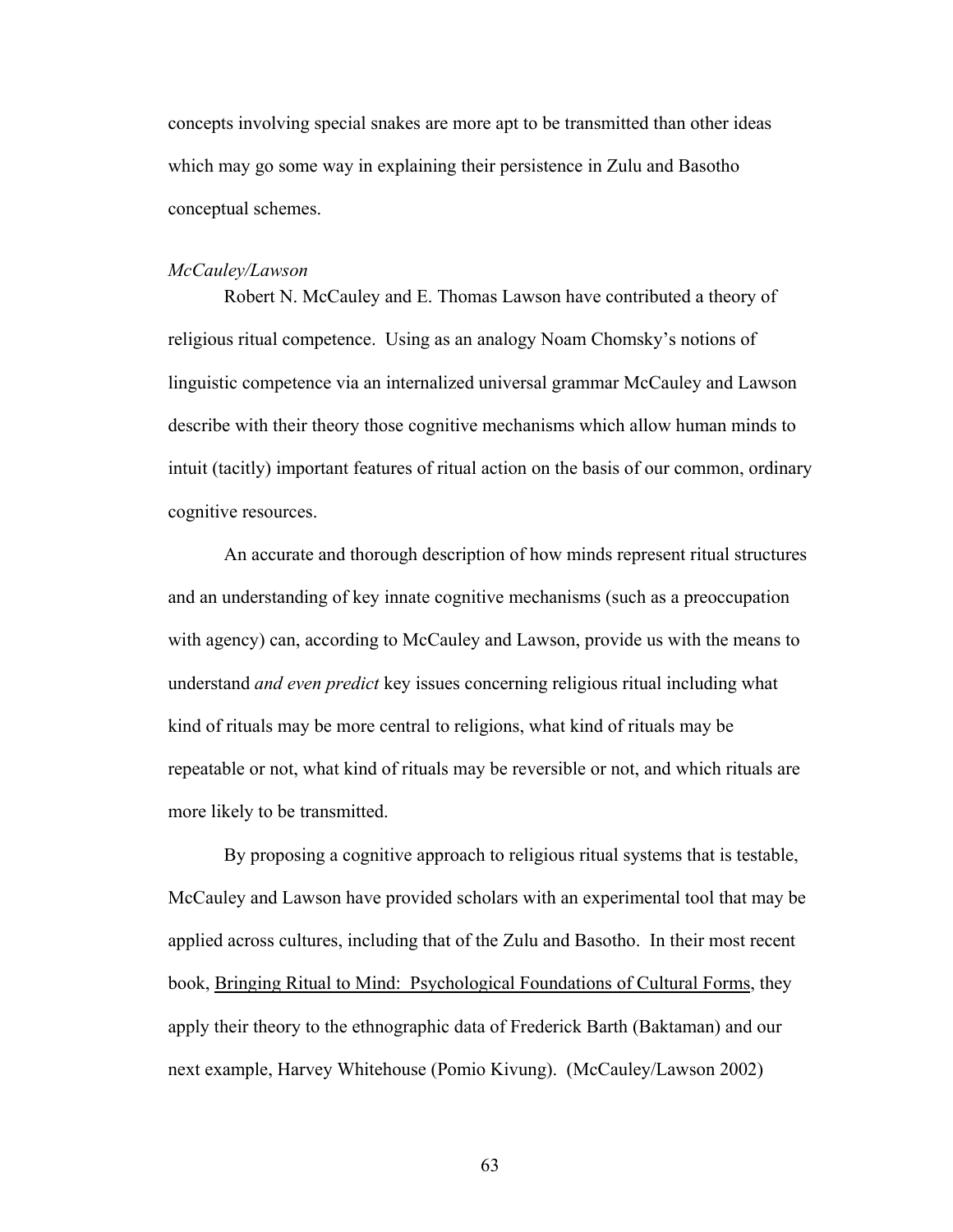concepts involving special snakes are more apt to be transmitted than other ideas which may go some way in explaining their persistence in Zulu and Basotho conceptual schemes.

## *McCauley/Lawson*

Robert N. McCauley and E. Thomas Lawson have contributed a theory of religious ritual competence. Using as an analogy Noam Chomsky's notions of linguistic competence via an internalized universal grammar McCauley and Lawson describe with their theory those cognitive mechanisms which allow human minds to intuit (tacitly) important features of ritual action on the basis of our common, ordinary cognitive resources.

An accurate and thorough description of how minds represent ritual structures and an understanding of key innate cognitive mechanisms (such as a preoccupation with agency) can, according to McCauley and Lawson, provide us with the means to understand *and even predict* key issues concerning religious ritual including what kind of rituals may be more central to religions, what kind of rituals may be repeatable or not, what kind of rituals may be reversible or not, and which rituals are more likely to be transmitted.

By proposing a cognitive approach to religious ritual systems that is testable, McCauley and Lawson have provided scholars with an experimental tool that may be applied across cultures, including that of the Zulu and Basotho. In their most recent book, Bringing Ritual to Mind: Psychological Foundations of Cultural Forms, they apply their theory to the ethnographic data of Frederick Barth (Baktaman) and our next example, Harvey Whitehouse (Pomio Kivung). (McCauley/Lawson 2002)

63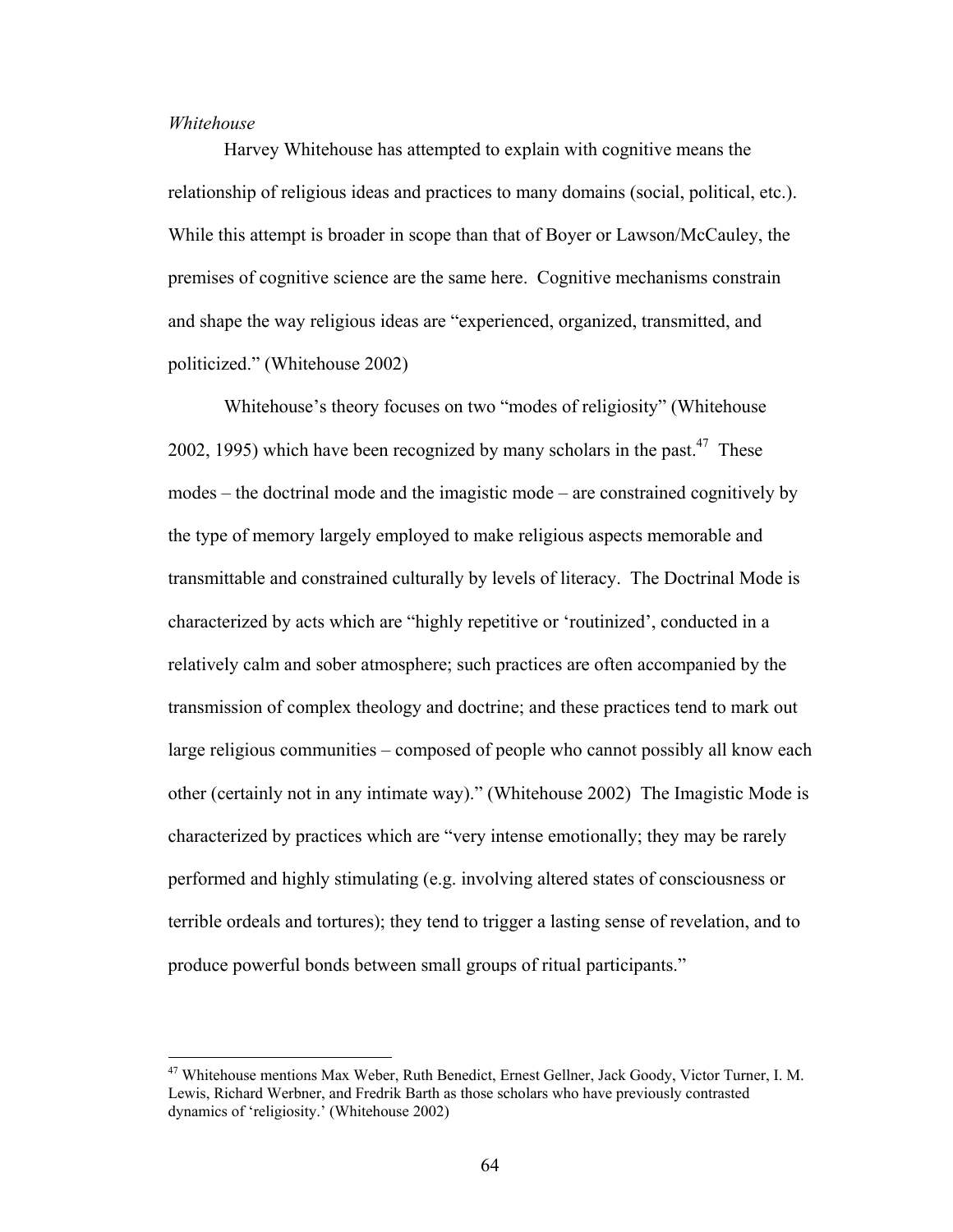## *Whitehouse*

 $\overline{a}$ 

Harvey Whitehouse has attempted to explain with cognitive means the relationship of religious ideas and practices to many domains (social, political, etc.). While this attempt is broader in scope than that of Boyer or Lawson/McCauley, the premises of cognitive science are the same here. Cognitive mechanisms constrain and shape the way religious ideas are "experienced, organized, transmitted, and politicized." (Whitehouse 2002)

Whitehouse's theory focuses on two "modes of religiosity" (Whitehouse 2002, 1995) which have been recognized by many scholars in the past.<sup>47</sup> These modes – the doctrinal mode and the imagistic mode – are constrained cognitively by the type of memory largely employed to make religious aspects memorable and transmittable and constrained culturally by levels of literacy. The Doctrinal Mode is characterized by acts which are "highly repetitive or 'routinized', conducted in a relatively calm and sober atmosphere; such practices are often accompanied by the transmission of complex theology and doctrine; and these practices tend to mark out large religious communities – composed of people who cannot possibly all know each other (certainly not in any intimate way)." (Whitehouse 2002) The Imagistic Mode is characterized by practices which are "very intense emotionally; they may be rarely performed and highly stimulating (e.g. involving altered states of consciousness or terrible ordeals and tortures); they tend to trigger a lasting sense of revelation, and to produce powerful bonds between small groups of ritual participants."

<span id="page-73-0"></span><sup>&</sup>lt;sup>47</sup> Whitehouse mentions Max Weber, Ruth Benedict, Ernest Gellner, Jack Goody, Victor Turner, I. M. Lewis, Richard Werbner, and Fredrik Barth as those scholars who have previously contrasted dynamics of 'religiosity.' (Whitehouse 2002)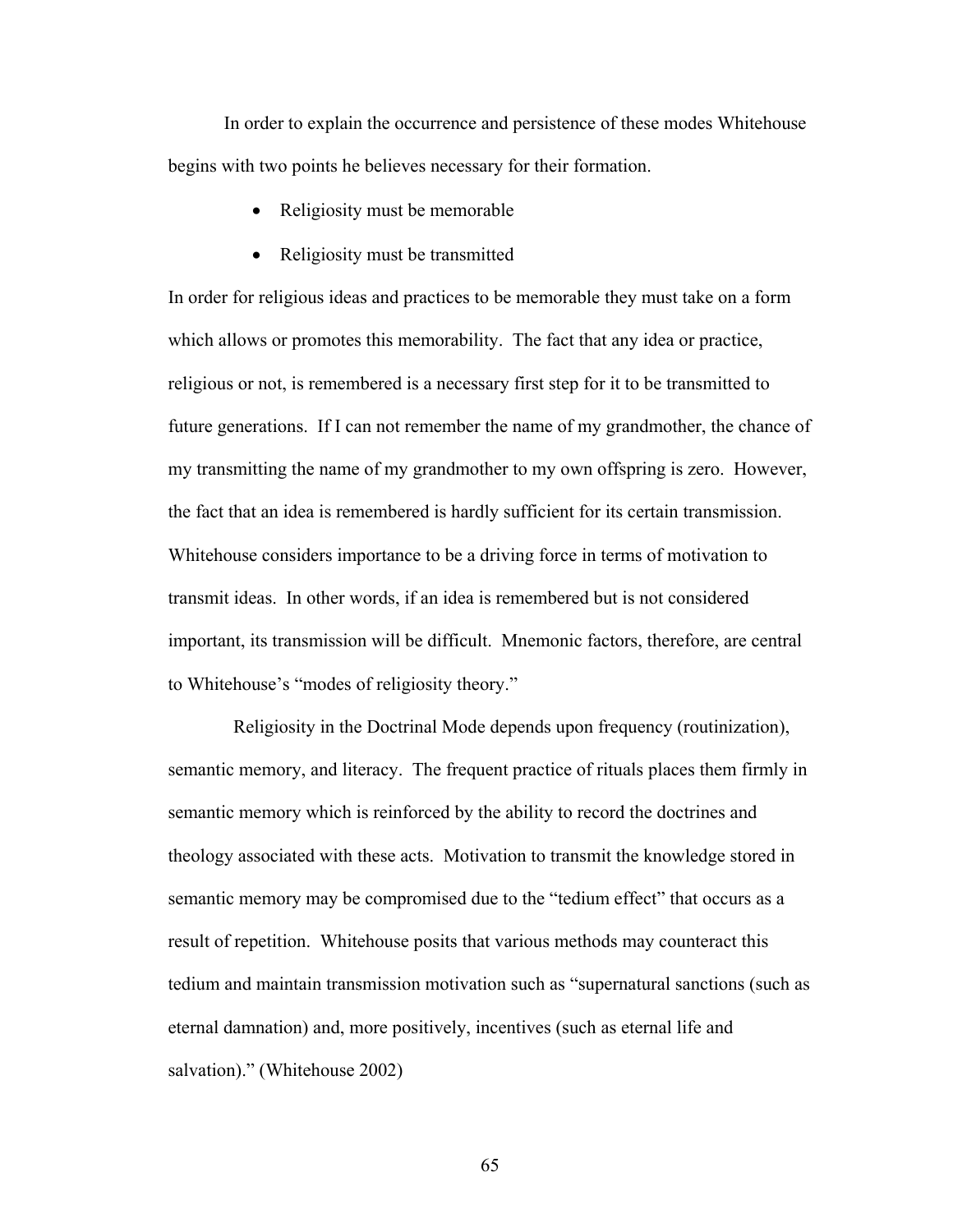In order to explain the occurrence and persistence of these modes Whitehouse begins with two points he believes necessary for their formation.

- Religiosity must be memorable
- Religiosity must be transmitted

In order for religious ideas and practices to be memorable they must take on a form which allows or promotes this memorability. The fact that any idea or practice, religious or not, is remembered is a necessary first step for it to be transmitted to future generations. If I can not remember the name of my grandmother, the chance of my transmitting the name of my grandmother to my own offspring is zero. However, the fact that an idea is remembered is hardly sufficient for its certain transmission. Whitehouse considers importance to be a driving force in terms of motivation to transmit ideas. In other words, if an idea is remembered but is not considered important, its transmission will be difficult. Mnemonic factors, therefore, are central to Whitehouse's "modes of religiosity theory."

 Religiosity in the Doctrinal Mode depends upon frequency (routinization), semantic memory, and literacy. The frequent practice of rituals places them firmly in semantic memory which is reinforced by the ability to record the doctrines and theology associated with these acts. Motivation to transmit the knowledge stored in semantic memory may be compromised due to the "tedium effect" that occurs as a result of repetition. Whitehouse posits that various methods may counteract this tedium and maintain transmission motivation such as "supernatural sanctions (such as eternal damnation) and, more positively, incentives (such as eternal life and salvation)." (Whitehouse 2002)

65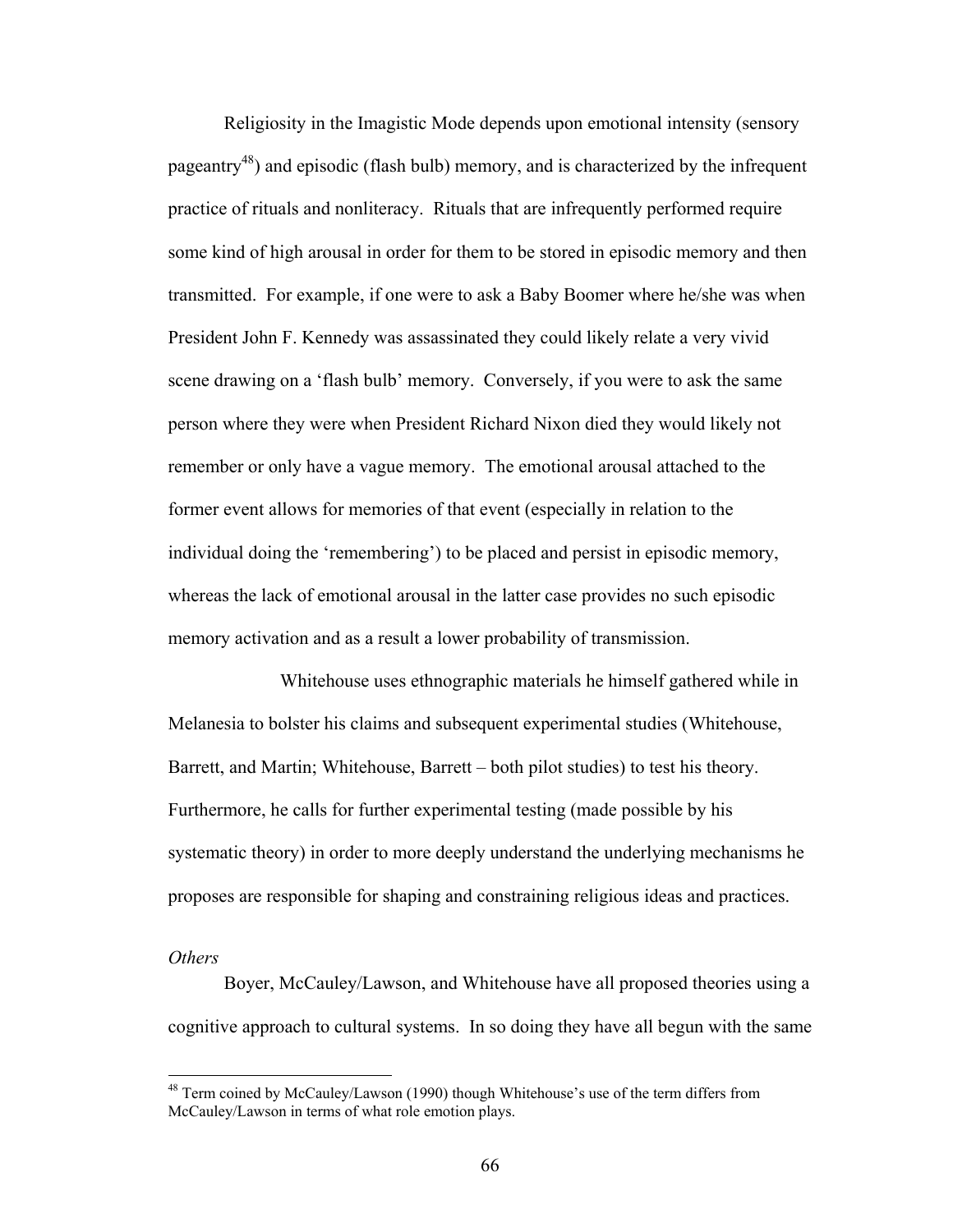Religiosity in the Imagistic Mode depends upon emotional intensity (sensory pageantry<sup>48</sup>) and episodic (flash bulb) memory, and is characterized by the infrequent practice of rituals and nonliteracy. Rituals that are infrequently performed require some kind of high arousal in order for them to be stored in episodic memory and then transmitted. For example, if one were to ask a Baby Boomer where he/she was when President John F. Kennedy was assassinated they could likely relate a very vivid scene drawing on a 'flash bulb' memory. Conversely, if you were to ask the same person where they were when President Richard Nixon died they would likely not remember or only have a vague memory. The emotional arousal attached to the former event allows for memories of that event (especially in relation to the individual doing the 'remembering') to be placed and persist in episodic memory, whereas the lack of emotional arousal in the latter case provides no such episodic memory activation and as a result a lower probability of transmission.

Whitehouse uses ethnographic materials he himself gathered while in Melanesia to bolster his claims and subsequent experimental studies (Whitehouse, Barrett, and Martin; Whitehouse, Barrett – both pilot studies) to test his theory. Furthermore, he calls for further experimental testing (made possible by his systematic theory) in order to more deeply understand the underlying mechanisms he proposes are responsible for shaping and constraining religious ideas and practices.

# *Others*

 $\overline{a}$ 

Boyer, McCauley/Lawson, and Whitehouse have all proposed theories using a cognitive approach to cultural systems. In so doing they have all begun with the same

<span id="page-75-0"></span><sup>&</sup>lt;sup>48</sup> Term coined by McCauley/Lawson (1990) though Whitehouse's use of the term differs from McCauley/Lawson in terms of what role emotion plays.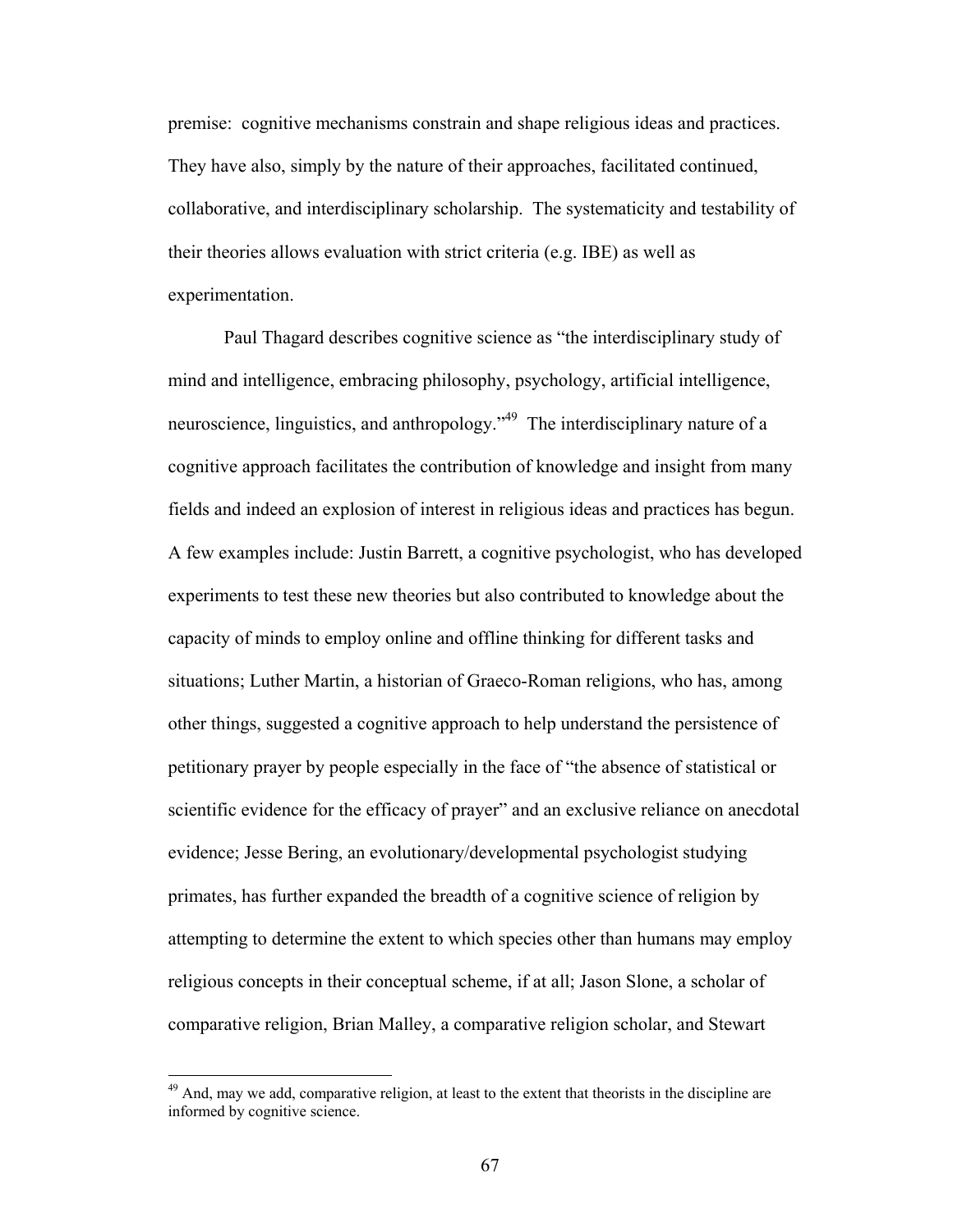premise: cognitive mechanisms constrain and shape religious ideas and practices. They have also, simply by the nature of their approaches, facilitated continued, collaborative, and interdisciplinary scholarship. The systematicity and testability of their theories allows evaluation with strict criteria (e.g. IBE) as well as experimentation.

Paul Thagard describes cognitive science as "the interdisciplinary study of mind and intelligence, embracing philosophy, psychology, artificial intelligence, neuroscience, linguistics, and anthropology."<sup>49</sup> The interdisciplinary nature of a cognitive approach facilitates the contribution of knowledge and insight from many fields and indeed an explosion of interest in religious ideas and practices has begun. A few examples include: Justin Barrett, a cognitive psychologist, who has developed experiments to test these new theories but also contributed to knowledge about the capacity of minds to employ online and offline thinking for different tasks and situations; Luther Martin, a historian of Graeco-Roman religions, who has, among other things, suggested a cognitive approach to help understand the persistence of petitionary prayer by people especially in the face of "the absence of statistical or scientific evidence for the efficacy of prayer" and an exclusive reliance on anecdotal evidence; Jesse Bering, an evolutionary/developmental psychologist studying primates, has further expanded the breadth of a cognitive science of religion by attempting to determine the extent to which species other than humans may employ religious concepts in their conceptual scheme, if at all; Jason Slone, a scholar of comparative religion, Brian Malley, a comparative religion scholar, and Stewart

 $\overline{a}$ 

<span id="page-76-0"></span> $49$  And, may we add, comparative religion, at least to the extent that theorists in the discipline are informed by cognitive science.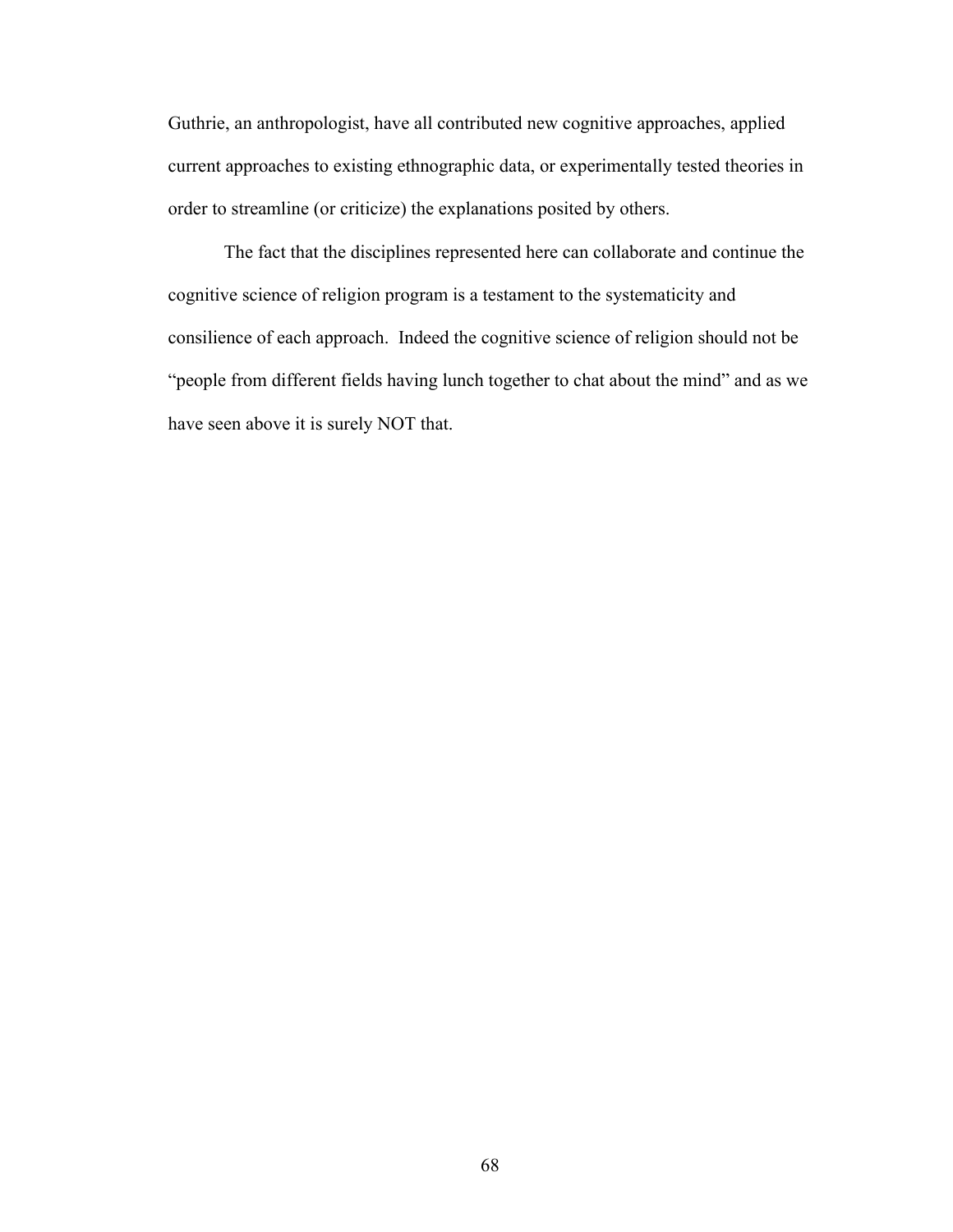Guthrie, an anthropologist, have all contributed new cognitive approaches, applied current approaches to existing ethnographic data, or experimentally tested theories in order to streamline (or criticize) the explanations posited by others.

The fact that the disciplines represented here can collaborate and continue the cognitive science of religion program is a testament to the systematicity and consilience of each approach. Indeed the cognitive science of religion should not be "people from different fields having lunch together to chat about the mind" and as we have seen above it is surely NOT that.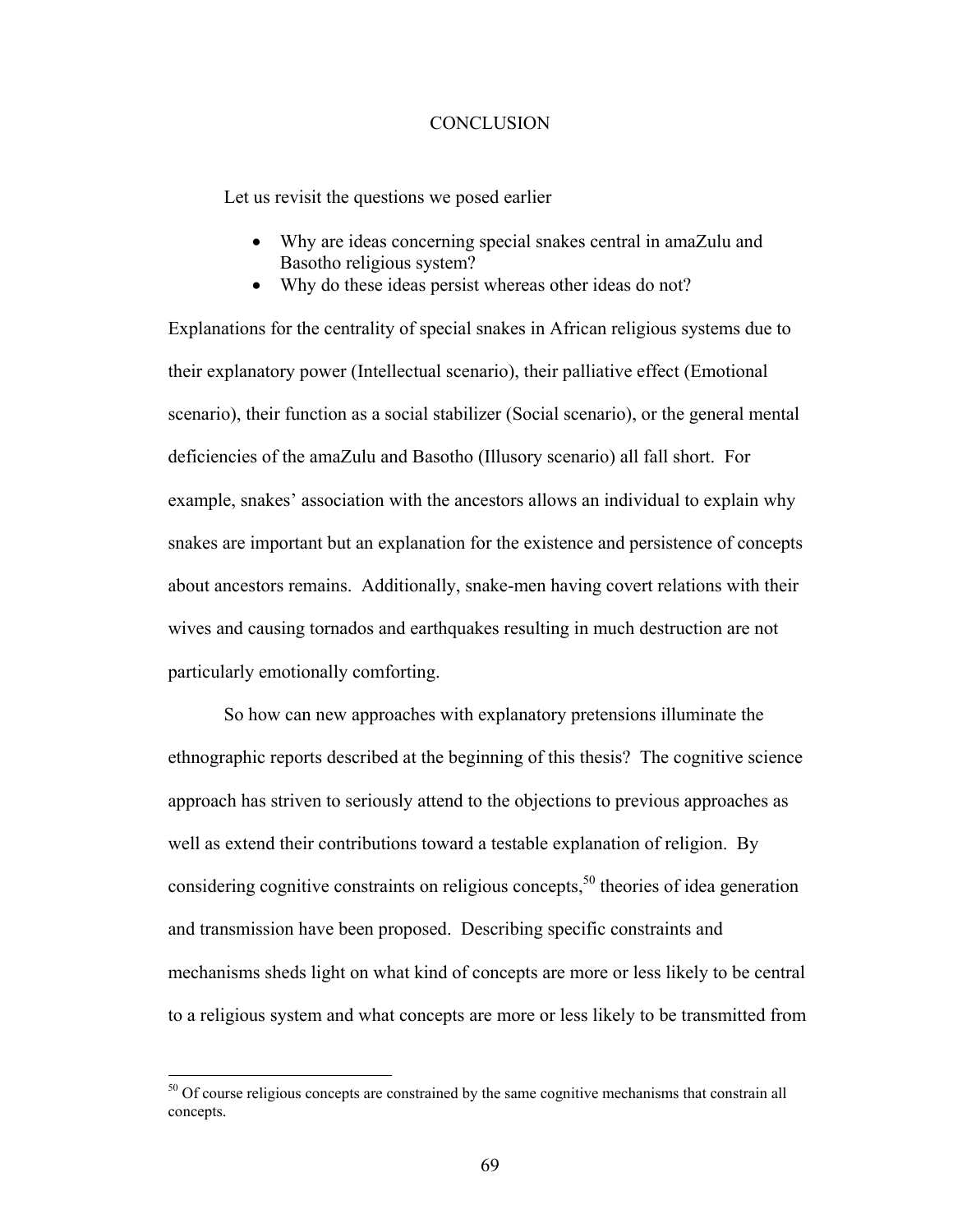## **CONCLUSION**

Let us revisit the questions we posed earlier

- Why are ideas concerning special snakes central in amaZulu and Basotho religious system?
- Why do these ideas persist whereas other ideas do not?

Explanations for the centrality of special snakes in African religious systems due to their explanatory power (Intellectual scenario), their palliative effect (Emotional scenario), their function as a social stabilizer (Social scenario), or the general mental deficiencies of the amaZulu and Basotho (Illusory scenario) all fall short. For example, snakes' association with the ancestors allows an individual to explain why snakes are important but an explanation for the existence and persistence of concepts about ancestors remains. Additionally, snake-men having covert relations with their wives and causing tornados and earthquakes resulting in much destruction are not particularly emotionally comforting.

So how can new approaches with explanatory pretensions illuminate the ethnographic reports described at the beginning of this thesis? The cognitive science approach has striven to seriously attend to the objections to previous approaches as well as extend their contributions toward a testable explanation of religion. By considering cognitive constraints on religious concepts, $5<sup>0</sup>$  theories of idea generation and transmission have been proposed. Describing specific constraints and mechanisms sheds light on what kind of concepts are more or less likely to be central to a religious system and what concepts are more or less likely to be transmitted from

 $\overline{a}$ 

<span id="page-78-0"></span> $50$  Of course religious concepts are constrained by the same cognitive mechanisms that constrain all concepts.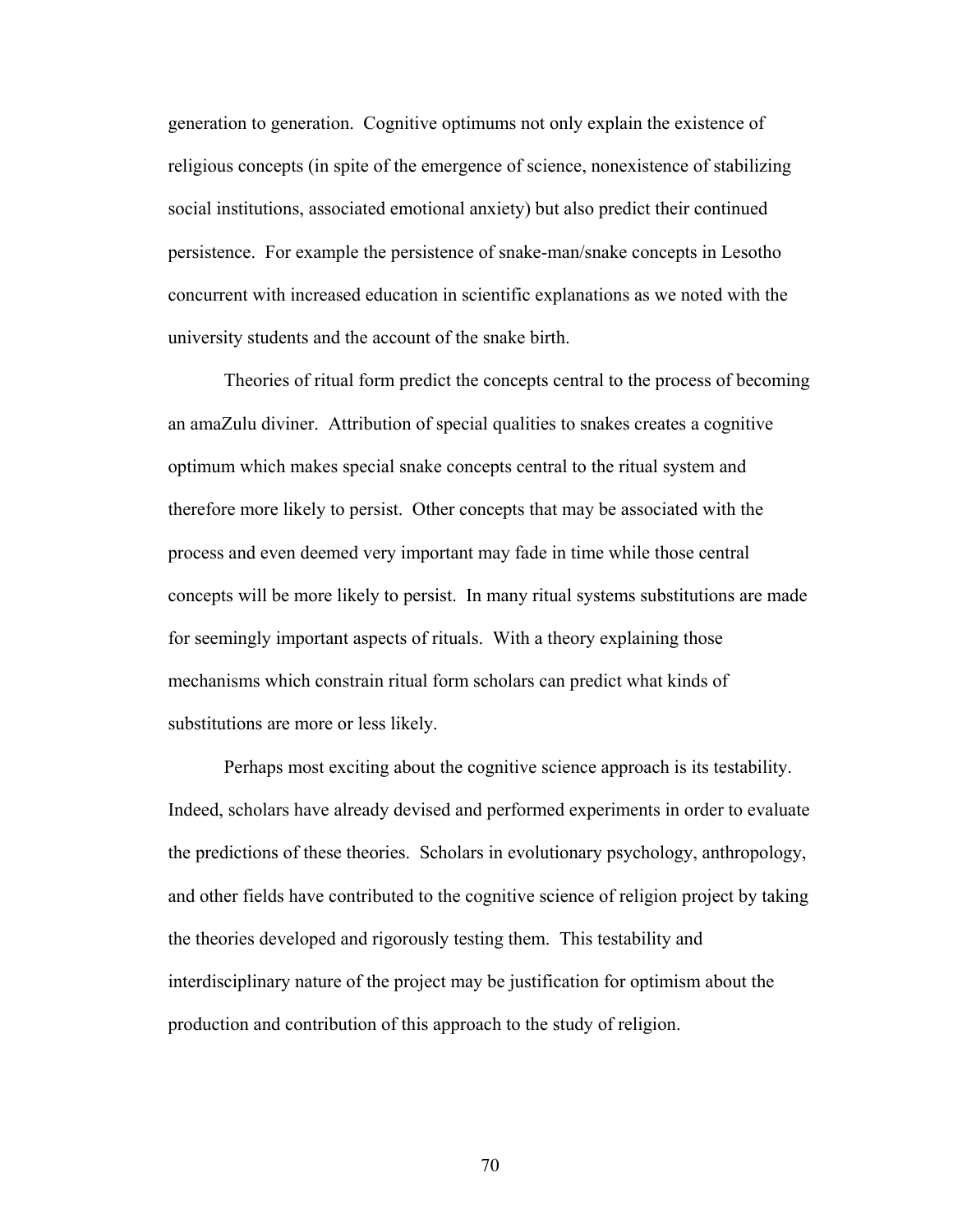generation to generation. Cognitive optimums not only explain the existence of religious concepts (in spite of the emergence of science, nonexistence of stabilizing social institutions, associated emotional anxiety) but also predict their continued persistence. For example the persistence of snake-man/snake concepts in Lesotho concurrent with increased education in scientific explanations as we noted with the university students and the account of the snake birth.

Theories of ritual form predict the concepts central to the process of becoming an amaZulu diviner. Attribution of special qualities to snakes creates a cognitive optimum which makes special snake concepts central to the ritual system and therefore more likely to persist. Other concepts that may be associated with the process and even deemed very important may fade in time while those central concepts will be more likely to persist. In many ritual systems substitutions are made for seemingly important aspects of rituals. With a theory explaining those mechanisms which constrain ritual form scholars can predict what kinds of substitutions are more or less likely.

Perhaps most exciting about the cognitive science approach is its testability. Indeed, scholars have already devised and performed experiments in order to evaluate the predictions of these theories. Scholars in evolutionary psychology, anthropology, and other fields have contributed to the cognitive science of religion project by taking the theories developed and rigorously testing them. This testability and interdisciplinary nature of the project may be justification for optimism about the production and contribution of this approach to the study of religion.

70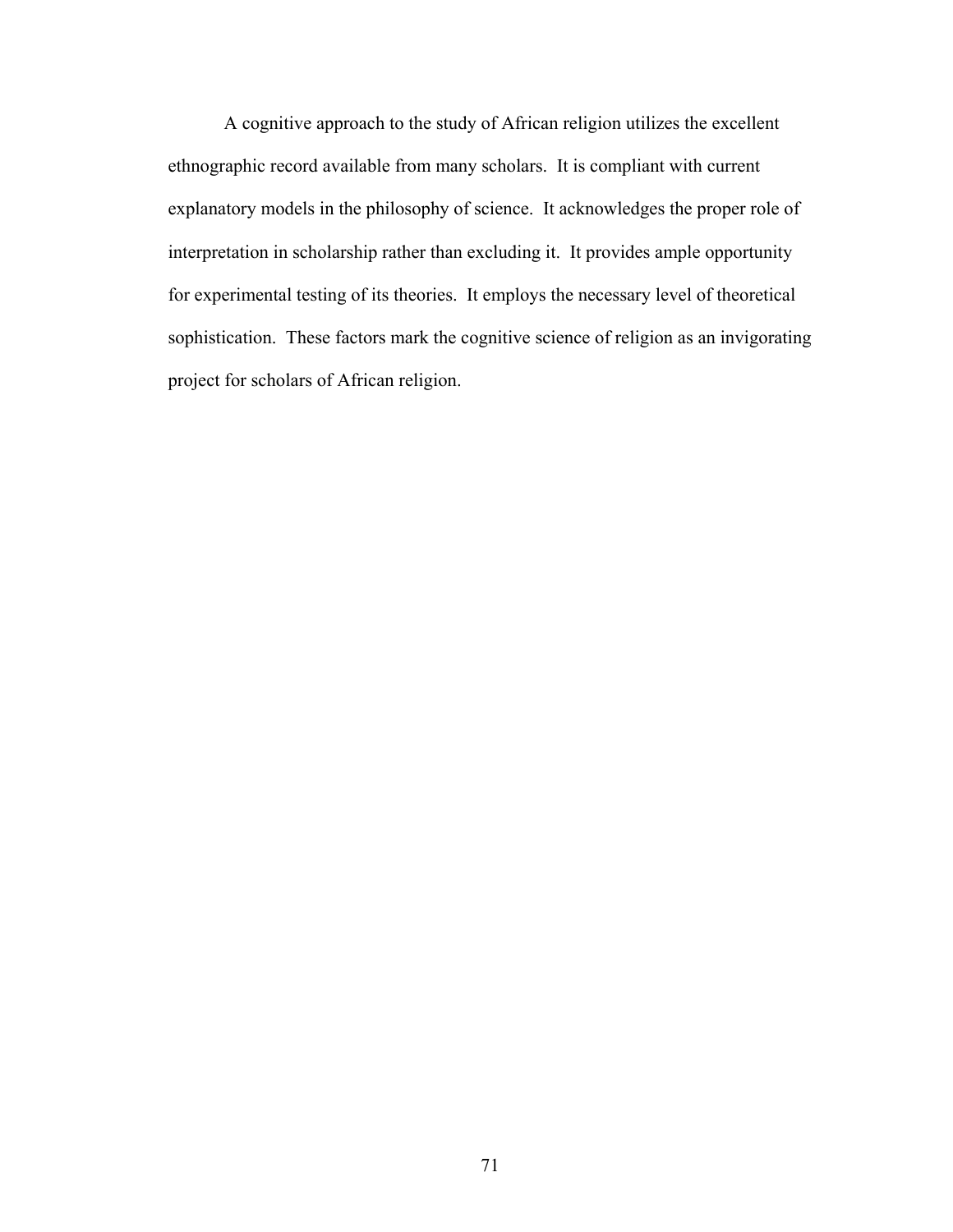A cognitive approach to the study of African religion utilizes the excellent ethnographic record available from many scholars. It is compliant with current explanatory models in the philosophy of science. It acknowledges the proper role of interpretation in scholarship rather than excluding it. It provides ample opportunity for experimental testing of its theories. It employs the necessary level of theoretical sophistication. These factors mark the cognitive science of religion as an invigorating project for scholars of African religion.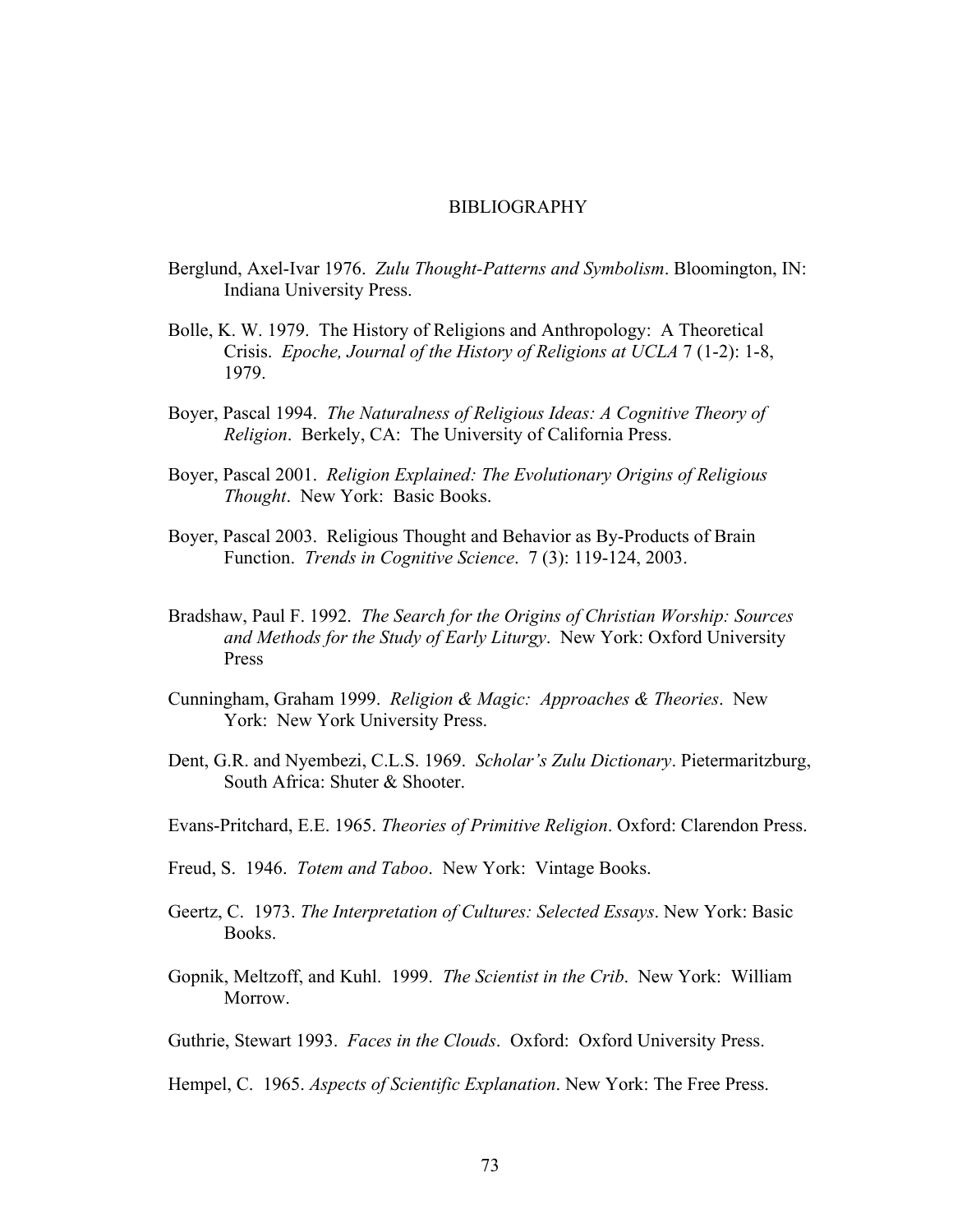#### BIBLIOGRAPHY

- Berglund, Axel-Ivar 1976. *Zulu Thought-Patterns and Symbolism*. Bloomington, IN: Indiana University Press.
- Bolle, K. W. 1979. The History of Religions and Anthropology: A Theoretical Crisis. *Epoche, Journal of the History of Religions at UCLA* 7 (1-2): 1-8, 1979.
- Boyer, Pascal 1994. *The Naturalness of Religious Ideas: A Cognitive Theory of Religion*. Berkely, CA: The University of California Press.
- Boyer, Pascal 2001. *Religion Explained: The Evolutionary Origins of Religious Thought*. New York: Basic Books.
- Boyer, Pascal 2003. Religious Thought and Behavior as By-Products of Brain Function. *Trends in Cognitive Science*. 7 (3): 119-124, 2003.
- Bradshaw, Paul F. 1992. *The Search for the Origins of Christian Worship: Sources and Methods for the Study of Early Liturgy*. New York: Oxford University Press
- Cunningham, Graham 1999. *Religion & Magic: Approaches & Theories*. New York: New York University Press.
- Dent, G.R. and Nyembezi, C.L.S. 1969. *Scholar's Zulu Dictionary*. Pietermaritzburg, South Africa: Shuter & Shooter.
- Evans-Pritchard, E.E. 1965. *Theories of Primitive Religion*. Oxford: Clarendon Press.
- Freud, S. 1946. *Totem and Taboo*. New York: Vintage Books.
- Geertz, C. 1973. *The Interpretation of Cultures: Selected Essays*. New York: Basic Books.
- Gopnik, Meltzoff, and Kuhl. 1999. *The Scientist in the Crib*. New York: William Morrow.
- Guthrie, Stewart 1993. *Faces in the Clouds*. Oxford: Oxford University Press.

Hempel, C. 1965. *Aspects of Scientific Explanation*. New York: The Free Press.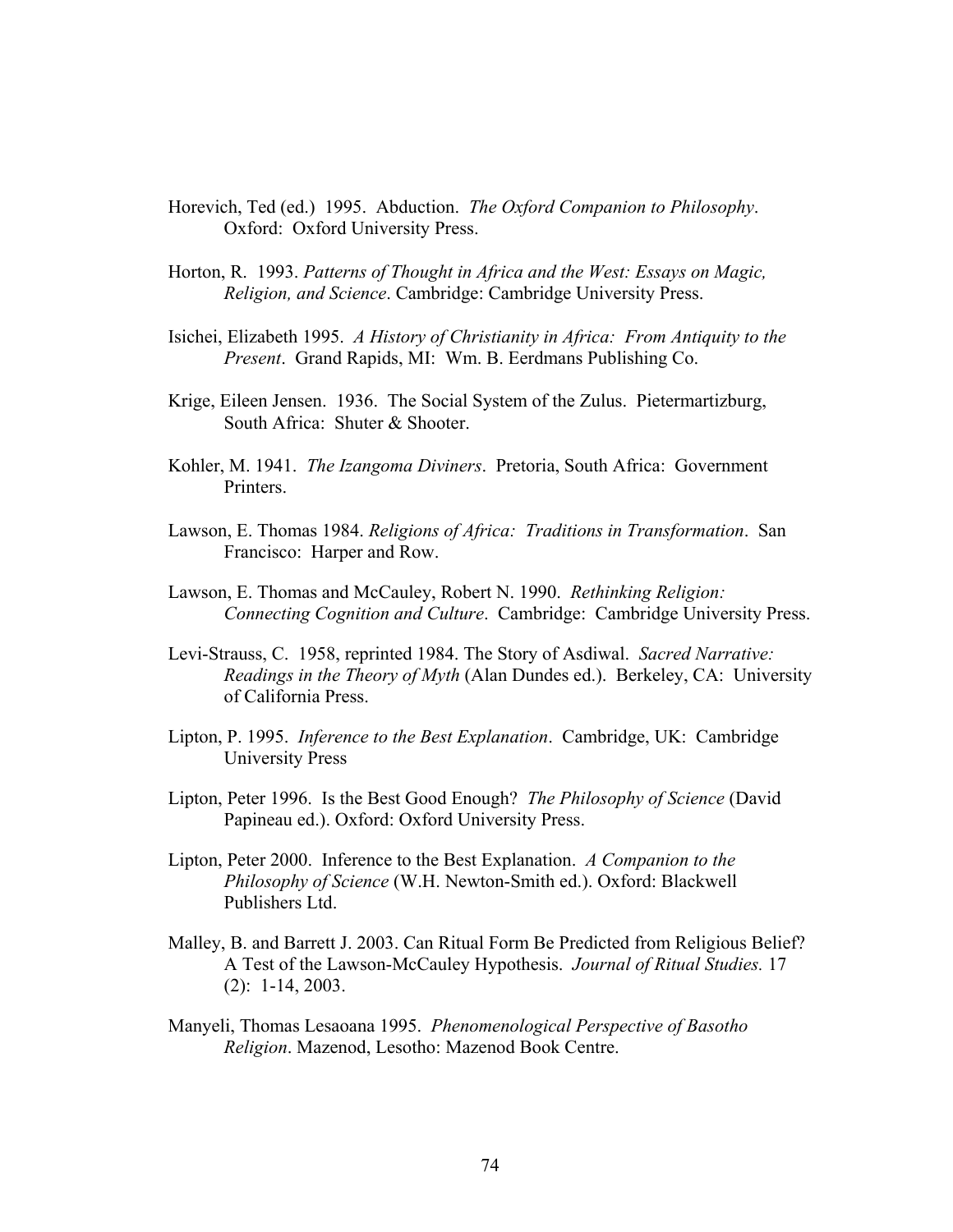- Horevich, Ted (ed.) 1995. Abduction. *The Oxford Companion to Philosophy*. Oxford: Oxford University Press.
- Horton, R. 1993. *Patterns of Thought in Africa and the West: Essays on Magic, Religion, and Science*. Cambridge: Cambridge University Press.
- Isichei, Elizabeth 1995. *A History of Christianity in Africa: From Antiquity to the Present*. Grand Rapids, MI: Wm. B. Eerdmans Publishing Co.
- Krige, Eileen Jensen. 1936. The Social System of the Zulus. Pietermartizburg, South Africa: Shuter & Shooter.
- Kohler, M. 1941. *The Izangoma Diviners*. Pretoria, South Africa: Government Printers.
- Lawson, E. Thomas 1984. *Religions of Africa: Traditions in Transformation*. San Francisco: Harper and Row.
- Lawson, E. Thomas and McCauley, Robert N. 1990. *Rethinking Religion: Connecting Cognition and Culture*. Cambridge: Cambridge University Press.
- Levi-Strauss, C. 1958, reprinted 1984. The Story of Asdiwal. *Sacred Narrative: Readings in the Theory of Myth* (Alan Dundes ed.). Berkeley, CA: University of California Press.
- Lipton, P. 1995. *Inference to the Best Explanation*. Cambridge, UK: Cambridge University Press
- Lipton, Peter 1996. Is the Best Good Enough? *The Philosophy of Science* (David Papineau ed.). Oxford: Oxford University Press.
- Lipton, Peter 2000. Inference to the Best Explanation. *A Companion to the Philosophy of Science* (W.H. Newton-Smith ed.). Oxford: Blackwell Publishers Ltd.
- Malley, B. and Barrett J. 2003. Can Ritual Form Be Predicted from Religious Belief? A Test of the Lawson-McCauley Hypothesis. *Journal of Ritual Studies.* 17 (2): 1-14, 2003.
- Manyeli, Thomas Lesaoana 1995. *Phenomenological Perspective of Basotho Religion*. Mazenod, Lesotho: Mazenod Book Centre.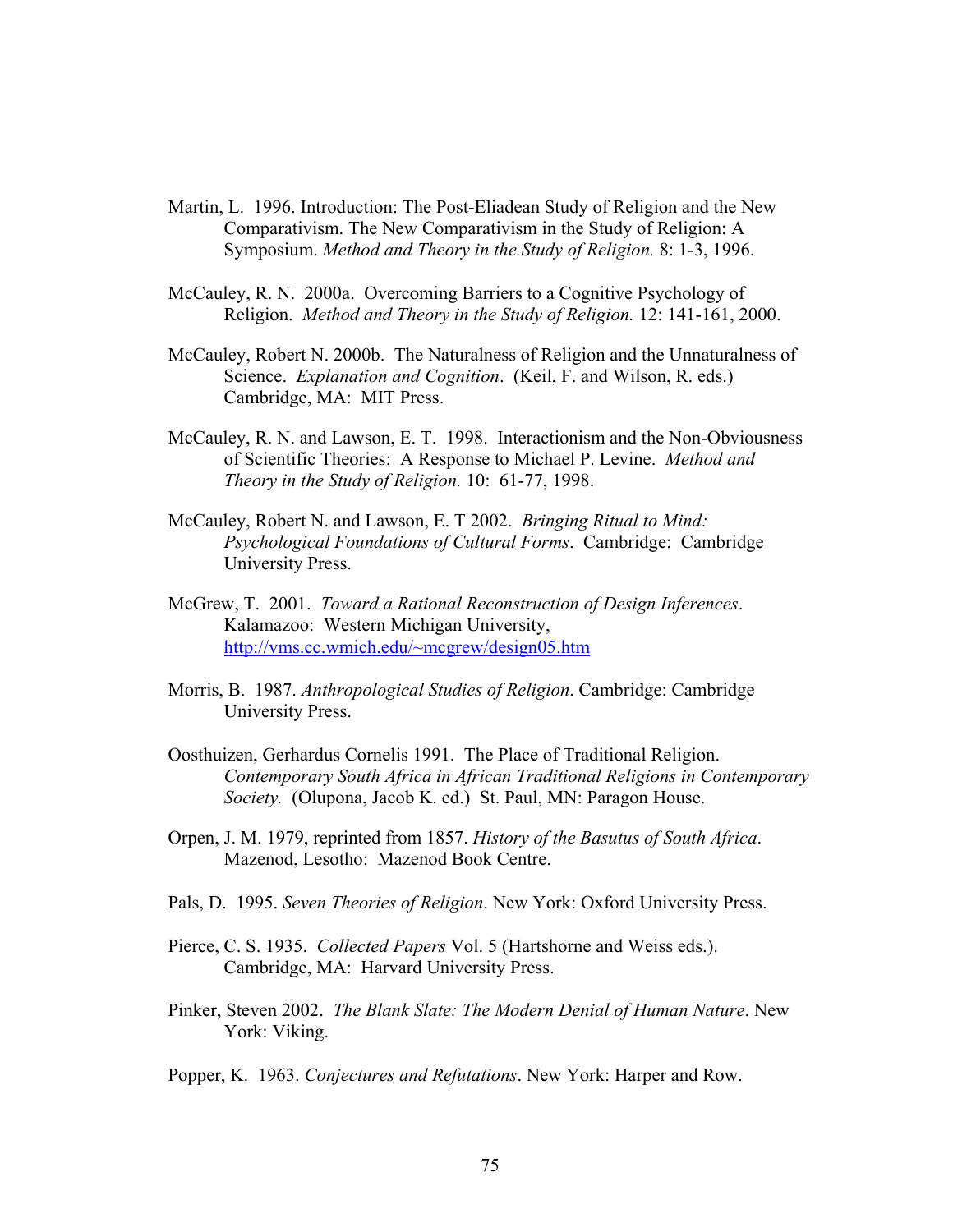- Martin, L. 1996. Introduction: The Post-Eliadean Study of Religion and the New Comparativism. The New Comparativism in the Study of Religion: A Symposium. *Method and Theory in the Study of Religion.* 8: 1-3, 1996.
- McCauley, R. N. 2000a. Overcoming Barriers to a Cognitive Psychology of Religion. *Method and Theory in the Study of Religion.* 12: 141-161, 2000.
- McCauley, Robert N. 2000b. The Naturalness of Religion and the Unnaturalness of Science. *Explanation and Cognition*. (Keil, F. and Wilson, R. eds.) Cambridge, MA: MIT Press.
- McCauley, R. N. and Lawson, E. T. 1998. Interactionism and the Non-Obviousness of Scientific Theories: A Response to Michael P. Levine. *Method and Theory in the Study of Religion.* 10: 61-77, 1998.
- McCauley, Robert N. and Lawson, E. T 2002. *Bringing Ritual to Mind: Psychological Foundations of Cultural Forms*. Cambridge: Cambridge University Press.
- McGrew, T. 2001. *Toward a Rational Reconstruction of Design Inferences*. Kalamazoo: Western Michigan University, <http://vms.cc.wmich.edu/~mcgrew/design05.htm>
- Morris, B. 1987. *Anthropological Studies of Religion*. Cambridge: Cambridge University Press.
- Oosthuizen, Gerhardus Cornelis 1991. The Place of Traditional Religion. *Contemporary South Africa in African Traditional Religions in Contemporary Society.* (Olupona, Jacob K. ed.) St. Paul, MN: Paragon House.
- Orpen, J. M. 1979, reprinted from 1857. *History of the Basutus of South Africa*. Mazenod, Lesotho: Mazenod Book Centre.
- Pals, D. 1995. *Seven Theories of Religion*. New York: Oxford University Press.
- Pierce, C. S. 1935. *Collected Papers* Vol. 5 (Hartshorne and Weiss eds.). Cambridge, MA: Harvard University Press.
- Pinker, Steven 2002. *The Blank Slate: The Modern Denial of Human Nature*. New York: Viking.
- Popper, K. 1963. *Conjectures and Refutations*. New York: Harper and Row.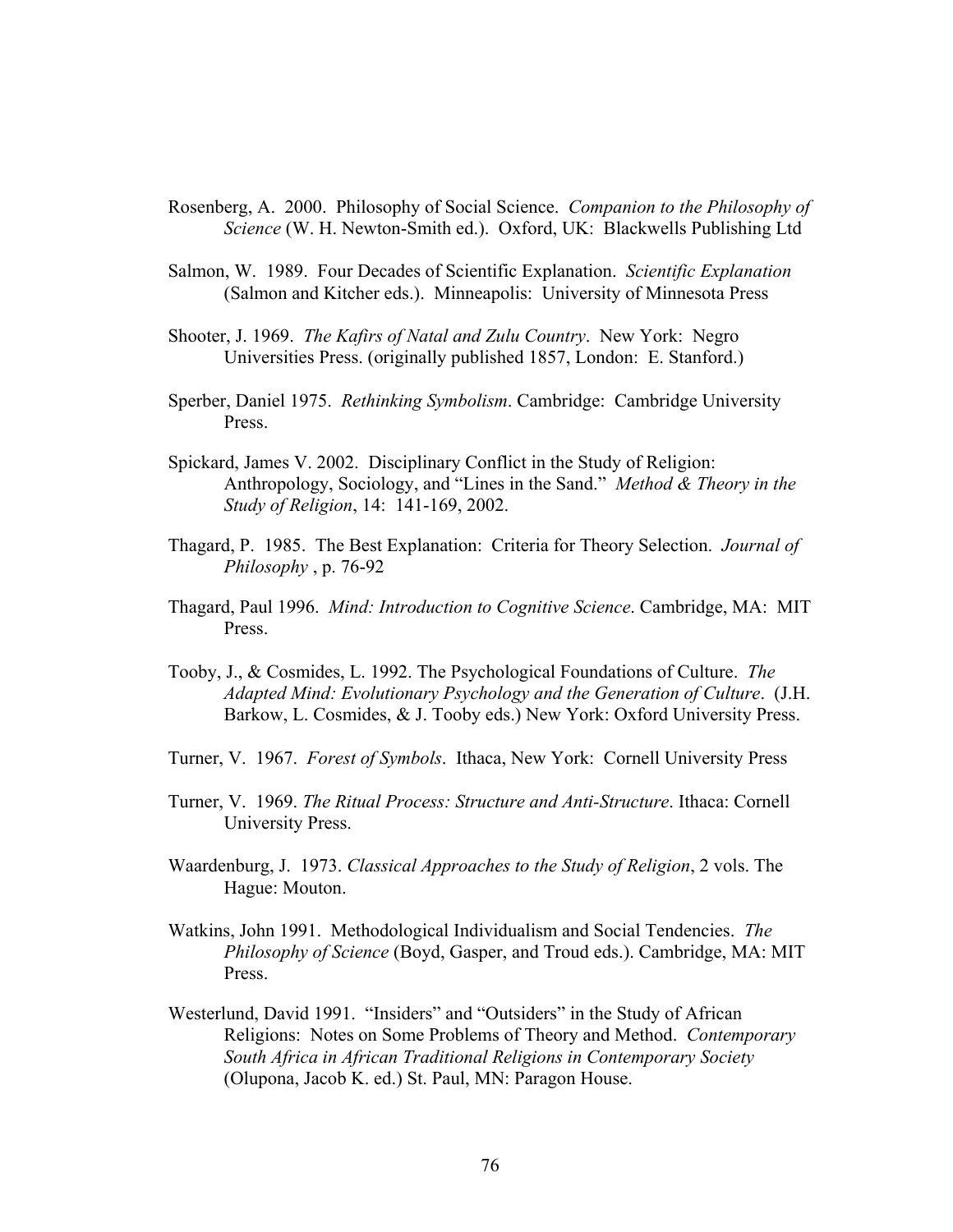- Rosenberg, A. 2000. Philosophy of Social Science. *Companion to the Philosophy of Science* (W. H. Newton-Smith ed.). Oxford, UK: Blackwells Publishing Ltd
- Salmon, W. 1989. Four Decades of Scientific Explanation. *Scientific Explanation* (Salmon and Kitcher eds.). Minneapolis: University of Minnesota Press
- Shooter, J. 1969. *The Kafirs of Natal and Zulu Country*. New York: Negro Universities Press. (originally published 1857, London: E. Stanford.)
- Sperber, Daniel 1975. *Rethinking Symbolism*. Cambridge: Cambridge University Press.
- Spickard, James V. 2002. Disciplinary Conflict in the Study of Religion: Anthropology, Sociology, and "Lines in the Sand." *Method & Theory in the Study of Religion*, 14: 141-169, 2002.
- Thagard, P. 1985. The Best Explanation: Criteria for Theory Selection. *Journal of Philosophy* , p. 76-92
- Thagard, Paul 1996. *Mind: Introduction to Cognitive Science*. Cambridge, MA: MIT Press.
- Tooby, J., & Cosmides, L. 1992. The Psychological Foundations of Culture. *The Adapted Mind: Evolutionary Psychology and the Generation of Culture*. (J.H. Barkow, L. Cosmides, & J. Tooby eds.) New York: Oxford University Press.
- Turner, V. 1967. *Forest of Symbols*. Ithaca, New York: Cornell University Press
- Turner, V. 1969. *The Ritual Process: Structure and Anti-Structure*. Ithaca: Cornell University Press.
- Waardenburg, J. 1973. *Classical Approaches to the Study of Religion*, 2 vols. The Hague: Mouton.
- Watkins, John 1991. Methodological Individualism and Social Tendencies. *The Philosophy of Science* (Boyd, Gasper, and Troud eds.). Cambridge, MA: MIT Press.
- Westerlund, David 1991. "Insiders" and "Outsiders" in the Study of African Religions: Notes on Some Problems of Theory and Method. *Contemporary South Africa in African Traditional Religions in Contemporary Society*  (Olupona, Jacob K. ed.) St. Paul, MN: Paragon House.